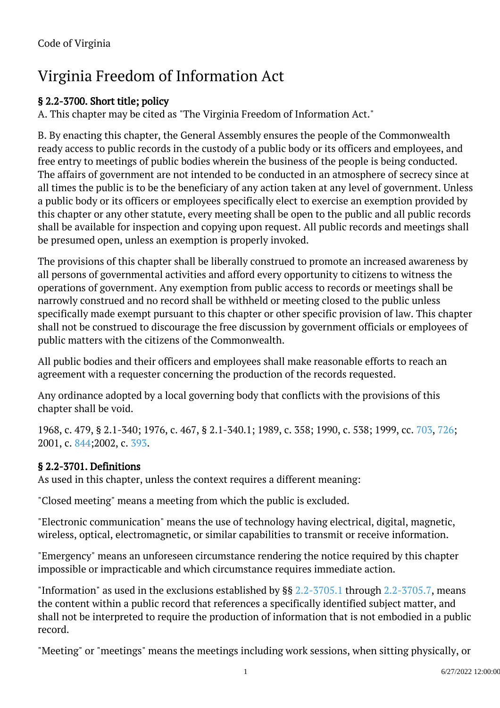# Virginia Freedom of Information Act

# § 2.2-3700. Short title; policy

A. This chapter may be cited as "The Virginia Freedom of Information Act."

B. By enacting this chapter, the General Assembly ensures the people of the Commonwealth ready access to public records in the custody of a public body or its officers and employees, and free entry to meetings of public bodies wherein the business of the people is being conducted. The affairs of government are not intended to be conducted in an atmosphere of secrecy since at all times the public is to be the beneficiary of any action taken at any level of government. Unless a public body or its officers or employees specifically elect to exercise an exemption provided by this chapter or any other statute, every meeting shall be open to the public and all public records shall be available for inspection and copying upon request. All public records and meetings shall be presumed open, unless an exemption is properly invoked.

The provisions of this chapter shall be liberally construed to promote an increased awareness by all persons of governmental activities and afford every opportunity to citizens to witness the operations of government. Any exemption from public access to records or meetings shall be narrowly construed and no record shall be withheld or meeting closed to the public unless specifically made exempt pursuant to this chapter or other specific provision of law. This chapter shall not be construed to discourage the free discussion by government officials or employees of public matters with the citizens of the Commonwealth. <sup>"</sup>

All public bodies and their officers and employees shall make reasonable efforts to reach an agreement with a requester concerning the production of the records requested. Ĩ

Any ordinance adopted by a local governing body that conflicts with the provisions of this chapter shall be void.

1968, c. 479, § 2.1-340; 1976, c. 467, § 2.1-340.1; 1989, c. 358; 1990, c. 538; 1999, cc. [703,](http://lis.virginia.gov/cgi-bin/legp604.exe?991+ful+CHAP0703) [726;](http://lis.virginia.gov/cgi-bin/legp604.exe?991+ful+CHAP0726) 2001, c. [844;2](http://lis.virginia.gov/cgi-bin/legp604.exe?011+ful+CHAP0844)002, c. [393.](http://lis.virginia.gov/cgi-bin/legp604.exe?021+ful+CHAP0393)

## § 2.2-3701. Definitions

As used in this chapter, unless the context requires a different meaning:

"Closed meeting" means a meeting from which the public is excluded.

"Electronic communication" means the use of technology having electrical, digital, magnetic, wireless, optical, electromagnetic, or similar capabilities to transmit or receive information.

"Emergency" means an unforeseen circumstance rendering the notice required by this chapter impossible or impracticable and which circumstance requires immediate action.

"Information" as used in the exclusions established by  $\S$ §  $2.2$ -3705.1 through [2.2-3705.7](/vacode/2.2-3705.7/), means the content within a public record that references a specifically identified subject matter, and shall not be interpreted to require the production of information that is not embodied in a public record.

"Meeting" or "meetings" means the meetings including work sessions, when sitting physically, or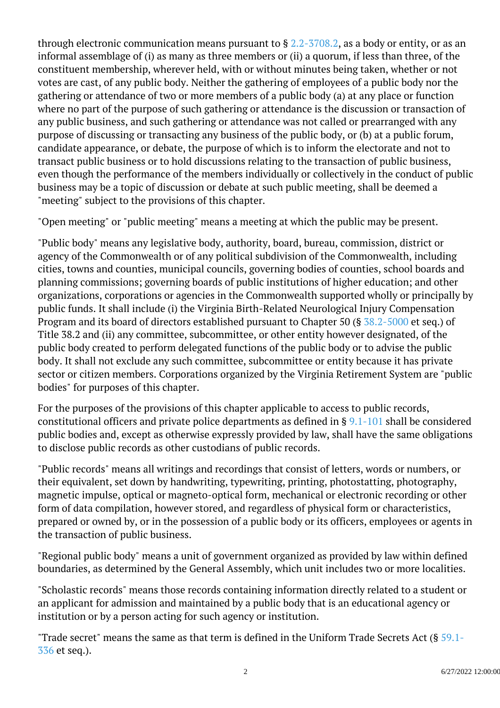through electronic communication means pursuant to  $\S 2.2 - 3708.2$ , as a body or entity, or as an informal assemblage of (i) as many as three members or (ii) a quorum, if less than three, of the constituent membership, wherever held, with or without minutes being taken, whether or not votes are cast, of any public body. Neither the gathering of employees of a public body nor the gathering or attendance of two or more members of a public body (a) at any place or function where no part of the purpose of such gathering or attendance is the discussion or transaction of any public business, and such gathering or attendance was not called or prearranged with any purpose of discussing or transacting any business of the public body, or (b) at a public forum, candidate appearance, or debate, the purpose of which is to inform the electorate and not to transact public business or to hold discussions relating to the transaction of public business, even though the performance of the members individually or collectively in the conduct of public business may be a topic of discussion or debate at such public meeting, shall be deemed a "meeting" subject to the provisions of this chapter.

"Open meeting" or "public meeting" means a meeting at which the public may be present.

"Public body" means any legislative body, authority, board, bureau, commission, district or agency of the Commonwealth or of any political subdivision of the Commonwealth, including cities, towns and counties, municipal councils, governing bodies of counties, school boards and planning commissions; governing boards of public institutions of higher education; and other organizations, corporations or agencies in the Commonwealth supported wholly or principally by public funds. It shall include (i) the Virginia Birth-Related Neurological Injury Compensation Program and its board of directors established pursuant to Chapter 50 (§ [38.2-5000](/vacode/38.2-5000/) et seq.) of Title 38.2 and (ii) any committee, subcommittee, or other entity however designated, of the public body created to perform delegated functions of the public body or to advise the public body. It shall not exclude any such committee, subcommittee or entity because it has private sector or citizen members. Corporations organized by the Virginia Retirement System are "public bodies" for purposes of this chapter.

For the purposes of the provisions of this chapter applicable to access to public records, constitutional officers and private police departments as defined in § [9.1-101](/vacode/9.1-101/) shall be considered public bodies and, except as otherwise expressly provided by law, shall have the same obligations to disclose public records as other custodians of public records.

"Public records" means all writings and recordings that consist of letters, words or numbers, or their equivalent, set down by handwriting, typewriting, printing, photostatting, photography, magnetic impulse, optical or magneto-optical form, mechanical or electronic recording or other form of data compilation, however stored, and regardless of physical form or characteristics, prepared or owned by, or in the possession of a public body or its officers, employees or agents in the transaction of public business.

"Regional public body" means a unit of government organized as provided by law within defined boundaries, as determined by the General Assembly, which unit includes two or more localities.

"Scholastic records" means those records containing information directly related to a student or an applicant for admission and maintained by a public body that is an educational agency or institution or by a person acting for such agency or institution.

"Trade secret" means the same as that term is defined in the Uniform Trade Secrets Act  $(§\;59.1 (§\;59.1-$ [336](/vacode/59.1-336/) et seq.).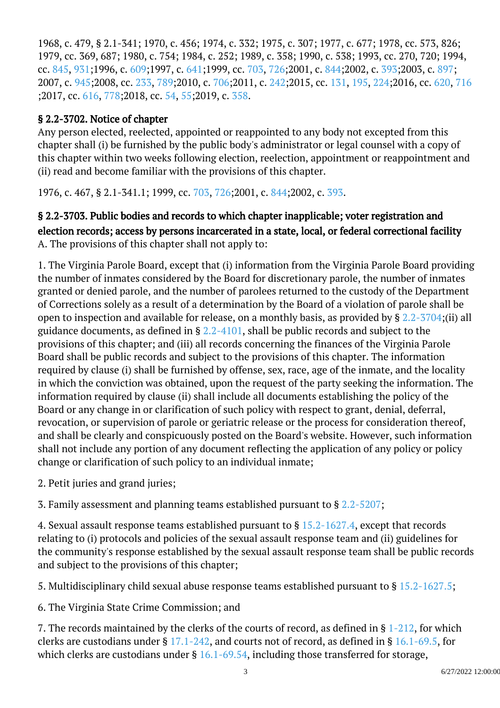1968, c. 479, § 2.1-341; 1970, c. 456; 1974, c. 332; 1975, c. 307; 1977, c. 677; 1978, cc. 573, 826; 1979, cc. 369, 687; 1980, c. 754; 1984, c. 252; 1989, c. 358; 1990, c. 538; 1993, cc. 270, 720; 1994, cc. [845,](http://lis.virginia.gov/cgi-bin/legp604.exe?941+ful+CHAP0845) [931;](http://lis.virginia.gov/cgi-bin/legp604.exe?941+ful+CHAP0931)1996, c. [609;](http://lis.virginia.gov/cgi-bin/legp604.exe?961+ful+CHAP0609)1997, c. [641;1](http://lis.virginia.gov/cgi-bin/legp604.exe?971+ful+CHAP0641)999, cc. [703,](http://lis.virginia.gov/cgi-bin/legp604.exe?991+ful+CHAP0703) [726;2](http://lis.virginia.gov/cgi-bin/legp604.exe?991+ful+CHAP0726)001, c. [844;2](http://lis.virginia.gov/cgi-bin/legp604.exe?011+ful+CHAP0844)002, c. [393;2](http://lis.virginia.gov/cgi-bin/legp604.exe?021+ful+CHAP0393)003, c. [897;](http://lis.virginia.gov/cgi-bin/legp604.exe?031+ful+CHAP0897) 2007, c. [945;2](http://lis.virginia.gov/cgi-bin/legp604.exe?071+ful+CHAP0945)008, cc. [233](http://lis.virginia.gov/cgi-bin/legp604.exe?081+ful+CHAP0233), [789;2](http://lis.virginia.gov/cgi-bin/legp604.exe?081+ful+CHAP0789)010, c. [706;2](http://lis.virginia.gov/cgi-bin/legp604.exe?101+ful+CHAP0706)011, c. [242;2](http://lis.virginia.gov/cgi-bin/legp604.exe?111+ful+CHAP0242)015, cc. [131](http://lis.virginia.gov/cgi-bin/legp604.exe?151+ful+CHAP0131), [195,](http://lis.virginia.gov/cgi-bin/legp604.exe?151+ful+CHAP0195) [224;](http://lis.virginia.gov/cgi-bin/legp604.exe?151+ful+CHAP0224)2016, cc. [620,](http://lis.virginia.gov/cgi-bin/legp604.exe?161+ful+CHAP0620) [716](http://lis.virginia.gov/cgi-bin/legp604.exe?161+ful+CHAP0716) [;2](http://lis.virginia.gov/cgi-bin/legp604.exe?161+ful+CHAP0716)017, cc. [616,](http://lis.virginia.gov/cgi-bin/legp604.exe?171+ful+CHAP0616) [778;](http://lis.virginia.gov/cgi-bin/legp604.exe?171+ful+CHAP0778)2018, cc. [54](http://lis.virginia.gov/cgi-bin/legp604.exe?181+ful+CHAP0054), [55;](http://lis.virginia.gov/cgi-bin/legp604.exe?181+ful+CHAP0055)2019, c. [358](http://lis.virginia.gov/cgi-bin/legp604.exe?191+ful+CHAP0358).  $\overline{a}$ 

### § 2.2-3702. Notice of chapter

Any person elected, reelected, appointed or reappointed to any body not excepted from this chapter shall (i) be furnished by the public body's administrator or legal counsel with a copy of this chapter within two weeks following election, reelection, appointment or reappointment and (ii) read and become familiar with the provisions of this chapter. Ì

1976, c. 467, § 2.1-341.1; 1999, cc. [703](http://lis.virginia.gov/cgi-bin/legp604.exe?991+ful+CHAP0703), [726;2](http://lis.virginia.gov/cgi-bin/legp604.exe?991+ful+CHAP0726)001, c. [844;2](http://lis.virginia.gov/cgi-bin/legp604.exe?011+ful+CHAP0844)002, c. [393](http://lis.virginia.gov/cgi-bin/legp604.exe?021+ful+CHAP0393).

### § 2.2-3703. Public bodies and records to which chapter inapplicable; voter registration and election records; access by persons incarcerated in a state, local, or federal correctional facility A. The provisions of this chapter shall not apply to:

1. The Virginia Parole Board, except that (i) information from the Virginia Parole Board providing the number of inmates considered by the Board for discretionary parole, the number of inmates granted or denied parole, and the number of parolees returned to the custody of the Department of Corrections solely as a result of a determination by the Board of a violation of parole shall be open to inspection and available for release, on a monthly basis, as provided by § [2.2-3704;\(](/vacode/2.2-3704/)ii) all guidance documents, as defined in §  $2.2-4101$ , shall be public records and subject to the provisions of this chapter; and (iii) all records concerning the finances of the Virginia Parole Board shall be public records and subject to the provisions of this chapter. The information required by clause (i) shall be furnished by offense, sex, race, age of the inmate, and the locality in which the conviction was obtained, upon the request of the party seeking the information. The information required by clause (ii) shall include all documents establishing the policy of the Board or any change in or clarification of such policy with respect to grant, denial, deferral, revocation, or supervision of parole or geriatric release or the process for consideration thereof, and shall be clearly and conspicuously posted on the Board's website. However, such information shall not include any portion of any document reflecting the application of any policy or policy change or clarification of such policy to an individual inmate;

2. Petit juries and grand juries;

3. Family assessment and planning teams established pursuant to §  $2.2$ -5 $207\,$ ;

4. Sexual assault response teams established pursuant to § [15.2-1627.4](/vacode/15.2-1627.4/), except that records relating to (i) protocols and policies of the sexual assault response team and (ii) guidelines for the community's response established by the sexual assault response team shall be public records and subject to the provisions of this chapter; Ĩ

5. Multidisciplinary child sexual abuse response teams established pursuant to § [15.2-1627.5](/vacode/15.2-1627.5/); I

6. The Virginia State Crime Commission; and

7. The records maintained by the clerks of the courts of record, as defined in § [1-212,](/vacode/1-212/) for which clerks are custodians under § [17.1-242](/vacode/17.1-242/), and courts not of record, as defined in § [16.1-69.5](/vacode/16.1-69.5/), for which clerks are custodians under § [16.1-69.54](/vacode/16.1-69.54/), including those transferred for storage,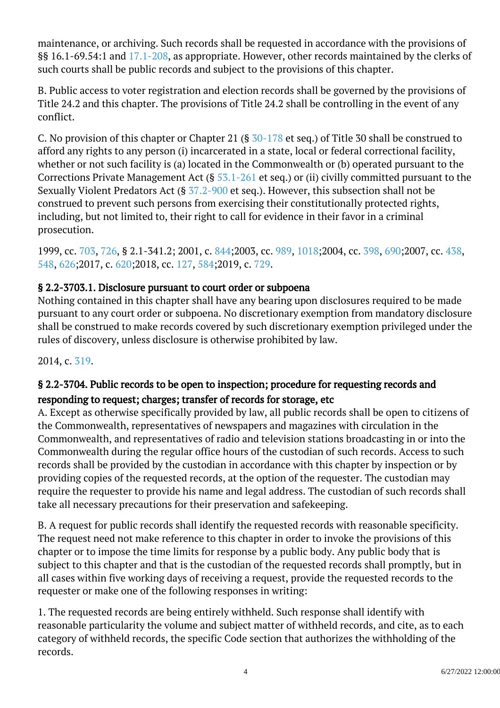maintenance, or archiving. Such records shall be requested in accordance with the provisions of §§ 16.1-69.54:1 and [17.1-208,](/vacode/17.1-208/) as appropriate. However, other records maintained by the clerks of such courts shall be public records and subject to the provisions of this chapter. Ĩ

B. Public access to voter registration and election records shall be governed by the provisions of Title 24.2 and this chapter. The provisions of Title 24.2 shall be controlling in the event of any conflict.

C. No provision of this chapter or Chapter 21 (§ [30-178](/vacode/30-178/) et seq.) of Title 30 shall be construed to afford any rights to any person (i) incarcerated in a state, local or federal correctional facility, whether or not such facility is (a) located in the Commonwealth or (b) operated pursuant to the Corrections Private Management Act ( $\S 53.1-261$  $\S 53.1-261$  et seq.) or (ii) civilly committed pursuant to the Sexually Violent Predators Act (§ [37.2-900](/vacode/37.2-900/) et seq.). However, this subsection shall not be construed to prevent such persons from exercising their constitutionally protected rights, including, but not limited to, their right to call for evidence in their favor in a criminal prosecution. <u>i</u>

1999, cc. [703,](http://lis.virginia.gov/cgi-bin/legp604.exe?991+ful+CHAP0703) [726](http://lis.virginia.gov/cgi-bin/legp604.exe?991+ful+CHAP0726), § 2.1-341.2; 2001, c. [844;2](http://lis.virginia.gov/cgi-bin/legp604.exe?011+ful+CHAP0844)003, cc. [989](http://lis.virginia.gov/cgi-bin/legp604.exe?031+ful+CHAP0989), [1018;2](http://lis.virginia.gov/cgi-bin/legp604.exe?031+ful+CHAP1018)004, cc. [398,](http://lis.virginia.gov/cgi-bin/legp604.exe?041+ful+CHAP0398) [690;](http://lis.virginia.gov/cgi-bin/legp604.exe?041+ful+CHAP0690)2007, cc. [438,](http://lis.virginia.gov/cgi-bin/legp604.exe?071+ful+CHAP0438) [548](http://lis.virginia.gov/cgi-bin/legp604.exe?071+ful+CHAP0548), [626;2](http://lis.virginia.gov/cgi-bin/legp604.exe?071+ful+CHAP0626)017, c. [620;2](http://lis.virginia.gov/cgi-bin/legp604.exe?171+ful+CHAP0620)018, cc. [127](http://lis.virginia.gov/cgi-bin/legp604.exe?181+ful+CHAP0127), [584;2](http://lis.virginia.gov/cgi-bin/legp604.exe?181+ful+CHAP0584)019, c. [729.](http://lis.virginia.gov/cgi-bin/legp604.exe?191+ful+CHAP0729)

## § 2.2-3703.1. Disclosure pursuant to court order or subpoena

Nothing contained in this chapter shall have any bearing upon disclosures required to be made pursuant to any court order or subpoena. No discretionary exemption from mandatory disclosure shall be construed to make records covered by such discretionary exemption privileged under the rules of discovery, unless disclosure is otherwise prohibited by law.

2014, c. [319.](http://lis.virginia.gov/cgi-bin/legp604.exe?141+ful+CHAP0319)

## § 2.2-3704. Public records to be open to inspection; procedure for requesting records and responding to request; charges; transfer of records for storage, etc

A. Except as otherwise specifically provided by law, all public records shall be open to citizens of the Commonwealth, representatives of newspapers and magazines with circulation in the Commonwealth, and representatives of radio and television stations broadcasting in or into the Commonwealth during the regular office hours of the custodian of such records. Access to such records shall be provided by the custodian in accordance with this chapter by inspection or by providing copies of the requested records, at the option of the requester. The custodian may require the requester to provide his name and legal address. The custodian of such records shall take all necessary precautions for their preservation and safekeeping.

B. A request for public records shall identify the requested records with reasonable specificity. The request need not make reference to this chapter in order to invoke the provisions of this chapter or to impose the time limits for response by a public body. Any public body that is subject to this chapter and that is the custodian of the requested records shall promptly, but in all cases within five working days of receiving a request, provide the requested records to the requester or make one of the following responses in writing:

1. The requested records are being entirely withheld. Such response shall identify with reasonable particularity the volume and subject matter of withheld records, and cite, as to each category of withheld records, the specific Code section that authorizes the withholding of the records.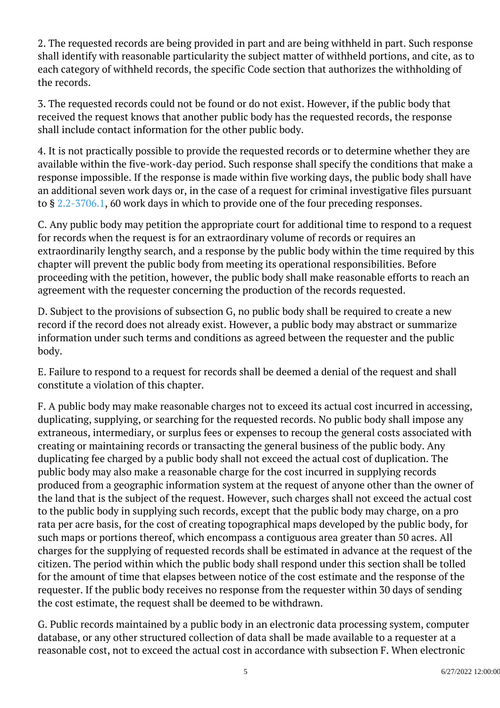2. The requested records are being provided in part and are being withheld in part. Such response shall identify with reasonable particularity the subject matter of withheld portions, and cite, as to each category of withheld records, the specific Code section that authorizes the withholding of the records.

3. The requested records could not be found or do not exist. However, if the public body that received the request knows that another public body has the requested records, the response shall include contact information for the other public body. Ĩ

4. It is not practically possible to provide the requested records or to determine whether they are available within the five-work-day period. Such response shall specify the conditions that make a response impossible. If the response is made within five working days, the public body shall have an additional seven work days or, in the case of a request for criminal investigative files pursuant to § [2.2-3706.1,](/vacode/2.2-3706.1/) 60 work days in which to provide one of the four preceding responses.

C. Any public body may petition the appropriate court for additional time to respond to a request for records when the request is for an extraordinary volume of records or requires an extraordinarily lengthy search, and a response by the public body within the time required by this chapter will prevent the public body from meeting its operational responsibilities. Before proceeding with the petition, however, the public body shall make reasonable efforts to reach an agreement with the requester concerning the production of the records requested.

D. Subject to the provisions of subsection G, no public body shall be required to create a new record if the record does not already exist. However, a public body may abstract or summarize information under such terms and conditions as agreed between the requester and the public body.

E. Failure to respond to a request for records shall be deemed a denial of the request and shall constitute a violation of this chapter.

F. A public body may make reasonable charges not to exceed its actual cost incurred in accessing, duplicating, supplying, or searching for the requested records. No public body shall impose any extraneous, intermediary, or surplus fees or expenses to recoup the general costs associated with creating or maintaining records or transacting the general business of the public body. Any duplicating fee charged by a public body shall not exceed the actual cost of duplication. The public body may also make a reasonable charge for the cost incurred in supplying records produced from a geographic information system at the request of anyone other than the owner of the land that is the subject of the request. However, such charges shall not exceed the actual cost to the public body in supplying such records, except that the public body may charge, on a pro rata per acre basis, for the cost of creating topographical maps developed by the public body, for such maps or portions thereof, which encompass a contiguous area greater than 50 acres. All charges for the supplying of requested records shall be estimated in advance at the request of the citizen. The period within which the public body shall respond under this section shall be tolled for the amount of time that elapses between notice of the cost estimate and the response of the requester. If the public body receives no response from the requester within 30 days of sending the cost estimate, the request shall be deemed to be withdrawn.

G. Public records maintained by a public body in an electronic data processing system, computer database, or any other structured collection of data shall be made available to a requester at a reasonable cost, not to exceed the actual cost in accordance with subsection F. When electronic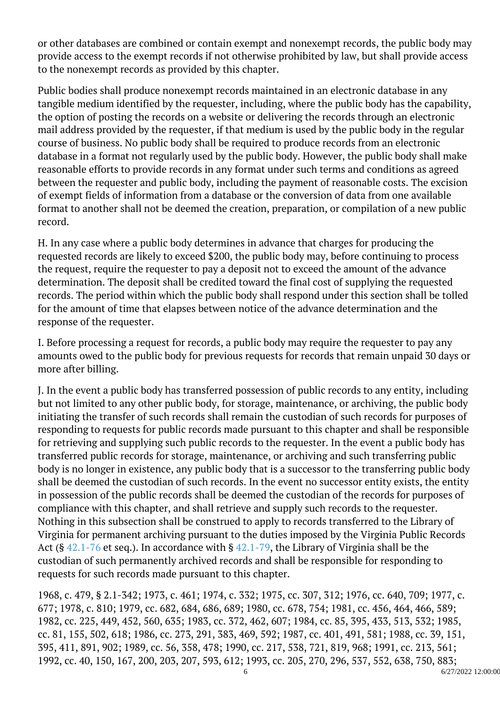or other databases are combined or contain exempt and nonexempt records, the public body may provide access to the exempt records if not otherwise prohibited by law, but shall provide access to the nonexempt records as provided by this chapter.

Public bodies shall produce nonexempt records maintained in an electronic database in any tangible medium identified by the requester, including, where the public body has the capability, the option of posting the records on a website or delivering the records through an electronic mail address provided by the requester, if that medium is used by the public body in the regular course of business. No public body shall be required to produce records from an electronic database in a format not regularly used by the public body. However, the public body shall make reasonable efforts to provide records in any format under such terms and conditions as agreed between the requester and public body, including the payment of reasonable costs. The excision of exempt fields of information from a database or the conversion of data from one available format to another shall not be deemed the creation, preparation, or compilation of a new public record.

H. In any case where a public body determines in advance that charges for producing the requested records are likely to exceed \$200, the public body may, before continuing to process the request, require the requester to pay a deposit not to exceed the amount of the advance determination. The deposit shall be credited toward the final cost of supplying the requested records. The period within which the public body shall respond under this section shall be tolled for the amount of time that elapses between notice of the advance determination and the response of the requester.

I. Before processing a request for records, a public body may require the requester to pay any amounts owed to the public body for previous requests for records that remain unpaid 30 days or more after billing.

J. In the event a public body has transferred possession of public records to any entity, including but not limited to any other public body, for storage, maintenance, or archiving, the public body initiating the transfer of such records shall remain the custodian of such records for purposes of responding to requests for public records made pursuant to this chapter and shall be responsible for retrieving and supplying such public records to the requester. In the event a public body has transferred public records for storage, maintenance, or archiving and such transferring public body is no longer in existence, any public body that is a successor to the transferring public body shall be deemed the custodian of such records. In the event no successor entity exists, the entity in possession of the public records shall be deemed the custodian of the records for purposes of compliance with this chapter, and shall retrieve and supply such records to the requester. Nothing in this subsection shall be construed to apply to records transferred to the Library of Virginia for permanent archiving pursuant to the duties imposed by the Virginia Public Records Act (§  $42.1$ -76 et seq.). In accordance with §  $42.1$ -79, the Library of Virginia shall be the custodian of such permanently archived records and shall be responsible for responding to requests for such records made pursuant to this chapter.

1968, c. 479, § 2.1-342; 1973, c. 461; 1974, c. 332; 1975, cc. 307, 312; 1976, cc. 640, 709; 1977, c. 677; 1978, c. 810; 1979, cc. 682, 684, 686, 689; 1980, cc. 678, 754; 1981, cc. 456, 464, 466, 589; 1982, cc. 225, 449, 452, 560, 635; 1983, cc. 372, 462, 607; 1984, cc. 85, 395, 433, 513, 532; 1985, cc. 81, 155, 502, 618; 1986, cc. 273, 291, 383, 469, 592; 1987, cc. 401, 491, 581; 1988, cc. 39, 151, 395, 411, 891, 902; 1989, cc. 56, 358, 478; 1990, cc. 217, 538, 721, 819, 968; 1991, cc. 213, 561; 1992, cc. 40, 150, 167, 200, 203, 207, 593, 612; 1993, cc. 205, 270, 296, 537, 552, 638, 750, 883;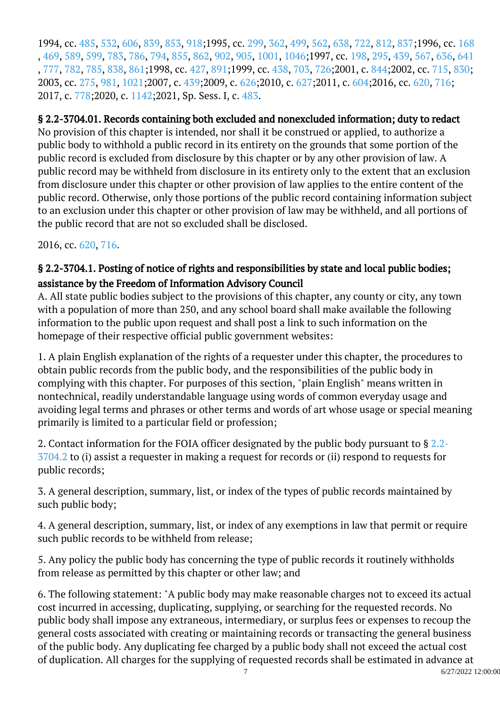1994, cc. [485,](http://lis.virginia.gov/cgi-bin/legp604.exe?941+ful+CHAP0485) [532](http://lis.virginia.gov/cgi-bin/legp604.exe?941+ful+CHAP0532), [606,](http://lis.virginia.gov/cgi-bin/legp604.exe?941+ful+CHAP0606) [839](http://lis.virginia.gov/cgi-bin/legp604.exe?941+ful+CHAP0839), [853,](http://lis.virginia.gov/cgi-bin/legp604.exe?941+ful+CHAP0853) [918;](http://lis.virginia.gov/cgi-bin/legp604.exe?941+ful+CHAP0918)1995, cc. [299,](http://lis.virginia.gov/cgi-bin/legp604.exe?951+ful+CHAP0299) [362](http://lis.virginia.gov/cgi-bin/legp604.exe?951+ful+CHAP0362), [499,](http://lis.virginia.gov/cgi-bin/legp604.exe?951+ful+CHAP0499) [562](http://lis.virginia.gov/cgi-bin/legp604.exe?951+ful+CHAP0562), [638,](http://lis.virginia.gov/cgi-bin/legp604.exe?951+ful+CHAP0638) [722](http://lis.virginia.gov/cgi-bin/legp604.exe?951+ful+CHAP0722), [812,](http://lis.virginia.gov/cgi-bin/legp604.exe?951+ful+CHAP0812) [837;](http://lis.virginia.gov/cgi-bin/legp604.exe?951+ful+CHAP0837)1996, cc. [168](http://lis.virginia.gov/cgi-bin/legp604.exe?961+ful+CHAP0168) , [469](http://lis.virginia.gov/cgi-bin/legp604.exe?961+ful+CHAP0469), [589](http://lis.virginia.gov/cgi-bin/legp604.exe?961+ful+CHAP0589), [599,](http://lis.virginia.gov/cgi-bin/legp604.exe?961+ful+CHAP0599) [783](http://lis.virginia.gov/cgi-bin/legp604.exe?961+ful+CHAP0783), [786](http://lis.virginia.gov/cgi-bin/legp604.exe?961+ful+CHAP0786), [794](http://lis.virginia.gov/cgi-bin/legp604.exe?961+ful+CHAP0794), [855,](http://lis.virginia.gov/cgi-bin/legp604.exe?961+ful+CHAP0855) [862](http://lis.virginia.gov/cgi-bin/legp604.exe?961+ful+CHAP0862), [902](http://lis.virginia.gov/cgi-bin/legp604.exe?961+ful+CHAP0902), [905](http://lis.virginia.gov/cgi-bin/legp604.exe?961+ful+CHAP0905), [1001,](http://lis.virginia.gov/cgi-bin/legp604.exe?961+ful+CHAP1001) [1046;1](http://lis.virginia.gov/cgi-bin/legp604.exe?961+ful+CHAP1046)997, cc. [198](http://lis.virginia.gov/cgi-bin/legp604.exe?971+ful+CHAP0198), [295,](http://lis.virginia.gov/cgi-bin/legp604.exe?971+ful+CHAP0295) [439](http://lis.virginia.gov/cgi-bin/legp604.exe?971+ful+CHAP0439), [567,](http://lis.virginia.gov/cgi-bin/legp604.exe?971+ful+CHAP0567) [636](http://lis.virginia.gov/cgi-bin/legp604.exe?971+ful+CHAP0636), [641](http://lis.virginia.gov/cgi-bin/legp604.exe?971+ful+CHAP0641) , [777](http://lis.virginia.gov/cgi-bin/legp604.exe?971+ful+CHAP0777), [782](http://lis.virginia.gov/cgi-bin/legp604.exe?971+ful+CHAP0782), [785,](http://lis.virginia.gov/cgi-bin/legp604.exe?971+ful+CHAP0785) [838](http://lis.virginia.gov/cgi-bin/legp604.exe?971+ful+CHAP0838), [861;](http://lis.virginia.gov/cgi-bin/legp604.exe?971+ful+CHAP0861)1998, cc. [427](http://lis.virginia.gov/cgi-bin/legp604.exe?981+ful+CHAP0427), [891;](http://lis.virginia.gov/cgi-bin/legp604.exe?981+ful+CHAP0891)1999, cc. [438](http://lis.virginia.gov/cgi-bin/legp604.exe?991+ful+CHAP0438), [703,](http://lis.virginia.gov/cgi-bin/legp604.exe?991+ful+CHAP0703) [726;](http://lis.virginia.gov/cgi-bin/legp604.exe?991+ful+CHAP0726)2001, c. [844;2](http://lis.virginia.gov/cgi-bin/legp604.exe?011+ful+CHAP0844)002, cc. [715](http://lis.virginia.gov/cgi-bin/legp604.exe?021+ful+CHAP0715), [830;](http://lis.virginia.gov/cgi-bin/legp604.exe?021+ful+CHAP0830) 2003, cc. [275,](http://lis.virginia.gov/cgi-bin/legp604.exe?031+ful+CHAP0275) [981](http://lis.virginia.gov/cgi-bin/legp604.exe?031+ful+CHAP0981), [1021;2](http://lis.virginia.gov/cgi-bin/legp604.exe?031+ful+CHAP1021)007, c. [439;2](http://lis.virginia.gov/cgi-bin/legp604.exe?071+ful+CHAP0439)009, c. [626;2](http://lis.virginia.gov/cgi-bin/legp604.exe?091+ful+CHAP0626)010, c. [627;2](http://lis.virginia.gov/cgi-bin/legp604.exe?101+ful+CHAP0627)011, c. [604;2](http://lis.virginia.gov/cgi-bin/legp604.exe?111+ful+CHAP0604)016, cc. [620](http://lis.virginia.gov/cgi-bin/legp604.exe?161+ful+CHAP0620), [716;](http://lis.virginia.gov/cgi-bin/legp604.exe?161+ful+CHAP0716) 2017, c. [778;2](http://lis.virginia.gov/cgi-bin/legp604.exe?171+ful+CHAP0778)020, c. [1142;](http://lis.virginia.gov/cgi-bin/legp604.exe?201+ful+CHAP1142)2021, Sp. Sess. I, c. [483](http://lis.virginia.gov/cgi-bin/legp604.exe?212+ful+CHAP0483).

§ 2.2-3704.01. Records containing both excluded and nonexcluded information; duty to redact No provision of this chapter is intended, nor shall it be construed or applied, to authorize a public body to withhold a public record in its entirety on the grounds that some portion of the public record is excluded from disclosure by this chapter or by any other provision of law. A public record may be withheld from disclosure in its entirety only to the extent that an exclusion from disclosure under this chapter or other provision of law applies to the entire content of the public record. Otherwise, only those portions of the public record containing information subject to an exclusion under this chapter or other provision of law may be withheld, and all portions of the public record that are not so excluded shall be disclosed.

2016, cc. [620,](http://lis.virginia.gov/cgi-bin/legp604.exe?161+ful+CHAP0620) [716](http://lis.virginia.gov/cgi-bin/legp604.exe?161+ful+CHAP0716).

## § 2.2-3704.1. Posting of notice of rights and responsibilities by state and local public bodies; assistance by the Freedom of Information Advisory Council

A. All state public bodies subject to the provisions of this chapter, any county or city, any town with a population of more than 250, and any school board shall make available the following information to the public upon request and shall post a link to such information on the homepage of their respective official public government websites:

1. A plain English explanation of the rights of a requester under this chapter, the procedures to obtain public records from the public body, and the responsibilities of the public body in complying with this chapter. For purposes of this section, "plain English" means written in nontechnical, readily understandable language using words of common everyday usage and avoiding legal terms and phrases or other terms and words of art whose usage or special meaning primarily is limited to a particular field or profession; <sup>"</sup>

2. Contact information for the FOIA officer designated by the public body pursuant to § [2.2-](http://law.lis.virginia.gov/vacode/2.2-3704.2/) [3704.2](http://law.lis.virginia.gov/vacode/2.2-3704.2/) to (i) assist a requester in making a request for records or (ii) respond to requests for public records; <sup>"</sup>

3. A general description, summary, list, or index of the types of public records maintained by such public body; Ĩ

4. A general description, summary, list, or index of any exemptions in law that permit or require such public records to be withheld from release; Ĩ

5. Any policy the public body has concerning the type of public records it routinely withholds from release as permitted by this chapter or other law; and

6. The following statement: "A public body may make reasonable charges not to exceed its actual cost incurred in accessing, duplicating, supplying, or searching for the requested records. No public body shall impose any extraneous, intermediary, or surplus fees or expenses to recoup the general costs associated with creating or maintaining records or transacting the general business of the public body. Any duplicating fee charged by a public body shall not exceed the actual cost of duplication. All charges for the supplying of requested records shall be estimated in advance at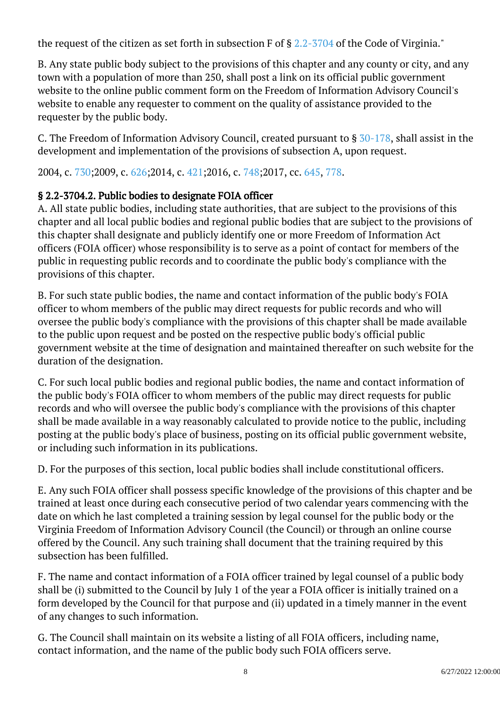the request of the citizen as set forth in subsection F of § [2.2-3704](http://law.lis.virginia.gov/vacode/2.2-3704/) of the Code of Virginia."

B. Any state public body subject to the provisions of this chapter and any county or city, and any town with a population of more than 250, shall post a link on its official public government website to the online public comment form on the Freedom of Information Advisory Council's website to enable any requester to comment on the quality of assistance provided to the requester by the public body.

C. The Freedom of Information Advisory Council, created pursuant to § [30-178,](http://law.lis.virginia.gov/vacode/30-178/) shall assist in the development and implementation of the provisions of subsection A, upon request.

2004, c. [730;2](http://lis.virginia.gov/cgi-bin/legp604.exe?041+ful+CHAP0730)009, c. [626;2](http://lis.virginia.gov/cgi-bin/legp604.exe?091+ful+CHAP0626)014, c. [421;2](http://lis.virginia.gov/cgi-bin/legp604.exe?141+ful+CHAP0421)016, c. [748;2](http://lis.virginia.gov/cgi-bin/legp604.exe?161+ful+CHAP0748)017, cc. [645](http://lis.virginia.gov/cgi-bin/legp604.exe?171+ful+CHAP0645), [778.](http://lis.virginia.gov/cgi-bin/legp604.exe?171+ful+CHAP0778)

## § 2.2-3704.2. Public bodies to designate FOIA officer

A. All state public bodies, including state authorities, that are subject to the provisions of this chapter and all local public bodies and regional public bodies that are subject to the provisions of this chapter shall designate and publicly identify one or more Freedom of Information Act officers (FOIA officer) whose responsibility is to serve as a point of contact for members of the public in requesting public records and to coordinate the public body's compliance with the provisions of this chapter. <sup>"</sup>

B. For such state public bodies, the name and contact information of the public body's FOIA officer to whom members of the public may direct requests for public records and who will oversee the public body's compliance with the provisions of this chapter shall be made available to the public upon request and be posted on the respective public body's official public government website at the time of designation and maintained thereafter on such website for the duration of the designation.

C. For such local public bodies and regional public bodies, the name and contact information of the public body's FOIA officer to whom members of the public may direct requests for public records and who will oversee the public body's compliance with the provisions of this chapter shall be made available in a way reasonably calculated to provide notice to the public, including posting at the public body's place of business, posting on its official public government website, or including such information in its publications.

D. For the purposes of this section, local public bodies shall include constitutional officers.

E. Any such FOIA officer shall possess specific knowledge of the provisions of this chapter and be trained at least once during each consecutive period of two calendar years commencing with the date on which he last completed a training session by legal counsel for the public body or the Virginia Freedom of Information Advisory Council (the Council) or through an online course offered by the Council. Any such training shall document that the training required by this subsection has been fulfilled. Ĩ

F. The name and contact information of a FOIA officer trained by legal counsel of a public body shall be (i) submitted to the Council by July 1 of the year a FOIA officer is initially trained on a form developed by the Council for that purpose and (ii) updated in a timely manner in the event of any changes to such information.

G. The Council shall maintain on its website a listing of all FOIA officers, including name, contact information, and the name of the public body such FOIA officers serve.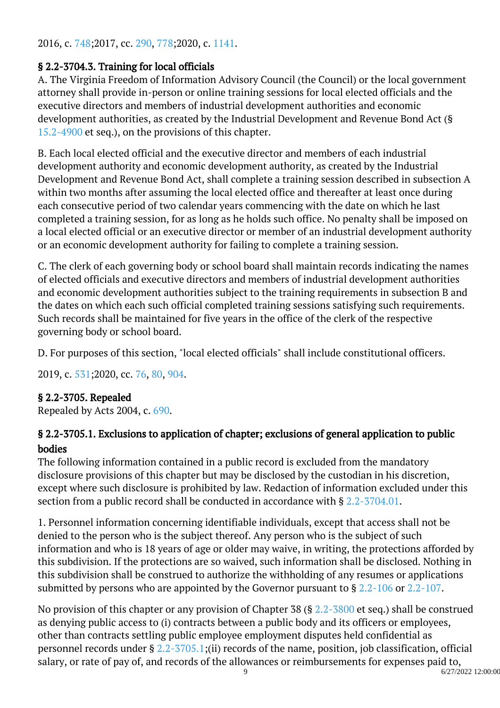2016, c. [748;2](http://lis.virginia.gov/cgi-bin/legp604.exe?161+ful+CHAP0748)017, cc. [290](http://lis.virginia.gov/cgi-bin/legp604.exe?171+ful+CHAP0290), [778;2](http://lis.virginia.gov/cgi-bin/legp604.exe?171+ful+CHAP0778)020, c. [1141](http://lis.virginia.gov/cgi-bin/legp604.exe?201+ful+CHAP1141).

#### § 2.2-3704.3. Training for local officials

A. The Virginia Freedom of Information Advisory Council (the Council) or the local government attorney shall provide in-person or online training sessions for local elected officials and the executive directors and members of industrial development authorities and economic development authorities, as created by the Industrial Development and Revenue Bond Act (§ [15.2-4900](/vacode/15.2-4900/) et seq.), on the provisions of this chapter.

B. Each local elected official and the executive director and members of each industrial development authority and economic development authority, as created by the Industrial Development and Revenue Bond Act, shall complete a training session described in subsection A within two months after assuming the local elected office and thereafter at least once during each consecutive period of two calendar years commencing with the date on which he last completed a training session, for as long as he holds such office. No penalty shall be imposed on a local elected official or an executive director or member of an industrial development authority or an economic development authority for failing to complete a training session.

C. The clerk of each governing body or school board shall maintain records indicating the names of elected officials and executive directors and members of industrial development authorities and economic development authorities subject to the training requirements in subsection B and the dates on which each such official completed training sessions satisfying such requirements. Such records shall be maintained for five years in the office of the clerk of the respective governing body or school board. ĺ

D. For purposes of this section, "local elected officials" shall include constitutional officers.

2019, c. [531;2](http://lis.virginia.gov/cgi-bin/legp604.exe?191+ful+CHAP0531)020, cc. [76](http://lis.virginia.gov/cgi-bin/legp604.exe?201+ful+CHAP0076), [80](http://lis.virginia.gov/cgi-bin/legp604.exe?201+ful+CHAP0080), [904.](http://lis.virginia.gov/cgi-bin/legp604.exe?201+ful+CHAP0904)

## § 2.2-3705. Repealed

Repealed by Acts 2004, c. [690.](http://lis.virginia.gov/cgi-bin/legp604.exe?041+ful+CHAP0690)

# § 2.2-3705.1. Exclusions to application of chapter; exclusions of general application to public bodies

The following information contained in a public record is excluded from the mandatory disclosure provisions of this chapter but may be disclosed by the custodian in his discretion, except where such disclosure is prohibited by law. Redaction of information excluded under this section from a public record shall be conducted in accordance with § [2.2-3704.01](/vacode/2.2-3704.01/). Ĩ

1. Personnel information concerning identifiable individuals, except that access shall not be denied to the person who is the subject thereof. Any person who is the subject of such information and who is 18 years of age or older may waive, in writing, the protections afforded by this subdivision. If the protections are so waived, such information shall be disclosed. Nothing in this subdivision shall be construed to authorize the withholding of any resumes or applications submitted by persons who are appointed by the Governor pursuant to  $\S 2.2$ -106 or [2.2-107](/vacode/2.2-107/).

No provision of this chapter or any provision of Chapter 38 (§ [2.2-3800](/vacode/2.2-3800/) et seq.) shall be construed as denying public access to (i) contracts between a public body and its officers or employees, other than contracts settling public employee employment disputes held confidential as personnel records under § [2.2-3705.1;](/vacode/2.2-3705.1/)(ii) records of the name, position, job classification, official salary, or rate of pay of, and records of the allowances or reimbursements for expenses paid to,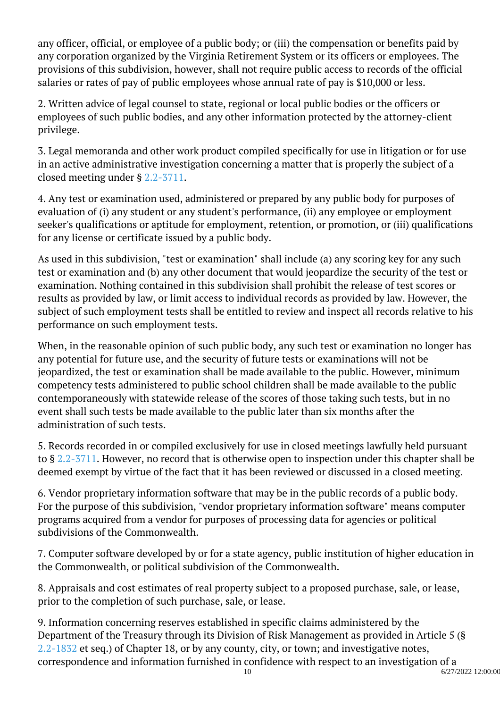any officer, official, or employee of a public body; or (iii) the compensation or benefits paid by any corporation organized by the Virginia Retirement System or its officers or employees. The provisions of this subdivision, however, shall not require public access to records of the official salaries or rates of pay of public employees whose annual rate of pay is \$10,000 or less. Ĩ

2. Written advice of legal counsel to state, regional or local public bodies or the officers or employees of such public bodies, and any other information protected by the attorney-client privilege. <sup>"</sup>

3. Legal memoranda and other work product compiled specifically for use in litigation or for use in an active administrative investigation concerning a matter that is properly the subject of a closed meeting under § [2.2-3711.](/vacode/2.2-3711/)

4. Any test or examination used, administered or prepared by any public body for purposes of evaluation of (i) any student or any student's performance, (ii) any employee or employment seeker's qualifications or aptitude for employment, retention, or promotion, or (iii) qualifications for any license or certificate issued by a public body.

As used in this subdivision, "test or examination" shall include (a) any scoring key for any such test or examination and (b) any other document that would jeopardize the security of the test or examination. Nothing contained in this subdivision shall prohibit the release of test scores or results as provided by law, or limit access to individual records as provided by law. However, the subject of such employment tests shall be entitled to review and inspect all records relative to his performance on such employment tests. <sup>"</sup>

When, in the reasonable opinion of such public body, any such test or examination no longer has any potential for future use, and the security of future tests or examinations will not be jeopardized, the test or examination shall be made available to the public. However, minimum competency tests administered to public school children shall be made available to the public contemporaneously with statewide release of the scores of those taking such tests, but in no event shall such tests be made available to the public later than six months after the administration of such tests. Ĩ

5. Records recorded in or compiled exclusively for use in closed meetings lawfully held pursuant to § [2.2-3711](/vacode/2.2-3711/). However, no record that is otherwise open to inspection under this chapter shall be deemed exempt by virtue of the fact that it has been reviewed or discussed in a closed meeting.

6. Vendor proprietary information software that may be in the public records of a public body. For the purpose of this subdivision, "vendor proprietary information software" means computer programs acquired from a vendor for purposes of processing data for agencies or political subdivisions of the Commonwealth.

7. Computer software developed by or for a state agency, public institution of higher education in the Commonwealth, or political subdivision of the Commonwealth.

8. Appraisals and cost estimates of real property subject to a proposed purchase, sale, or lease, prior to the completion of such purchase, sale, or lease. <sup>"</sup>

9. Information concerning reserves established in specific claims administered by the Department of the Treasury through its Division of Risk Management as provided in Article 5 (§ [2.2-1832](/vacode/2.2-1832/) et seq.) of Chapter 18, or by any county, city, or town; and investigative notes, correspondence and information furnished in confidence with respect to an investigation of a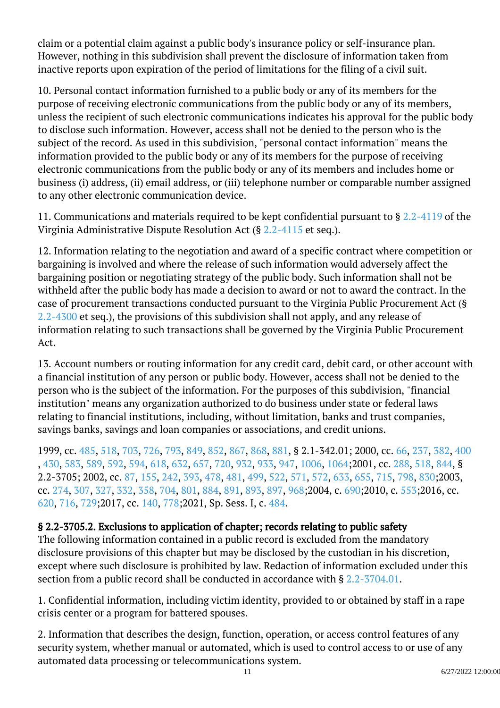claim or a potential claim against a public body's insurance policy or self-insurance plan. However, nothing in this subdivision shall prevent the disclosure of information taken from inactive reports upon expiration of the period of limitations for the filing of a civil suit.

10. Personal contact information furnished to a public body or any of its members for the purpose of receiving electronic communications from the public body or any of its members, unless the recipient of such electronic communications indicates his approval for the public body to disclose such information. However, access shall not be denied to the person who is the subject of the record. As used in this subdivision, "personal contact information" means the information provided to the public body or any of its members for the purpose of receiving electronic communications from the public body or any of its members and includes home or business (i) address, (ii) email address, or (iii) telephone number or comparable number assigned to any other electronic communication device.

11. Communications and materials required to be kept confidential pursuant to § [2.2-4119](/vacode/2.2-4119/) of the Virginia Administrative Dispute Resolution Act (§ [2.2-4115](/vacode/2.2-4115/) et seq.).

12. Information relating to the negotiation and award of a specific contract where competition or bargaining is involved and where the release of such information would adversely affect the bargaining position or negotiating strategy of the public body. Such information shall not be withheld after the public body has made a decision to award or not to award the contract. In the case of procurement transactions conducted pursuant to the Virginia Public Procurement Act (§ [2.2-4300](/vacode/2.2-4300/) et seq.), the provisions of this subdivision shall not apply, and any release of information relating to such transactions shall be governed by the Virginia Public Procurement Act.

13. Account numbers or routing information for any credit card, debit card, or other account with a financial institution of any person or public body. However, access shall not be denied to the person who is the subject of the information. For the purposes of this subdivision, "financial institution" means any organization authorized to do business under state or federal laws relating to financial institutions, including, without limitation, banks and trust companies, savings banks, savings and loan companies or associations, and credit unions. Ĩ

1999, cc. [485,](http://lis.virginia.gov/cgi-bin/legp604.exe?991+ful+CHAP0485) [518](http://lis.virginia.gov/cgi-bin/legp604.exe?991+ful+CHAP0518), [703,](http://lis.virginia.gov/cgi-bin/legp604.exe?991+ful+CHAP0703) [726](http://lis.virginia.gov/cgi-bin/legp604.exe?991+ful+CHAP0726), [793,](http://lis.virginia.gov/cgi-bin/legp604.exe?991+ful+CHAP0793) [849](http://lis.virginia.gov/cgi-bin/legp604.exe?991+ful+CHAP0849), [852,](http://lis.virginia.gov/cgi-bin/legp604.exe?991+ful+CHAP0852) [867](http://lis.virginia.gov/cgi-bin/legp604.exe?991+ful+CHAP0867), [868,](http://lis.virginia.gov/cgi-bin/legp604.exe?991+ful+CHAP0868) [881](http://lis.virginia.gov/cgi-bin/legp604.exe?991+ful+CHAP0881), § 2.1-342.01; 2000, cc. [66](http://lis.virginia.gov/cgi-bin/legp604.exe?001+ful+CHAP0066), [237,](http://lis.virginia.gov/cgi-bin/legp604.exe?001+ful+CHAP0237) [382](http://lis.virginia.gov/cgi-bin/legp604.exe?001+ful+CHAP0382), [400](http://lis.virginia.gov/cgi-bin/legp604.exe?001+ful+CHAP0400) , [430](http://lis.virginia.gov/cgi-bin/legp604.exe?001+ful+CHAP0430), [583](http://lis.virginia.gov/cgi-bin/legp604.exe?001+ful+CHAP0583), [589,](http://lis.virginia.gov/cgi-bin/legp604.exe?001+ful+CHAP0589) [592](http://lis.virginia.gov/cgi-bin/legp604.exe?001+ful+CHAP0592), [594](http://lis.virginia.gov/cgi-bin/legp604.exe?001+ful+CHAP0594), [618](http://lis.virginia.gov/cgi-bin/legp604.exe?001+ful+CHAP0618), [632,](http://lis.virginia.gov/cgi-bin/legp604.exe?001+ful+CHAP0632) [657](http://lis.virginia.gov/cgi-bin/legp604.exe?001+ful+CHAP0657), [720](http://lis.virginia.gov/cgi-bin/legp604.exe?001+ful+CHAP0720), [932](http://lis.virginia.gov/cgi-bin/legp604.exe?001+ful+CHAP0932), [933,](http://lis.virginia.gov/cgi-bin/legp604.exe?001+ful+CHAP0933) [947](http://lis.virginia.gov/cgi-bin/legp604.exe?001+ful+CHAP0947), [1006,](http://lis.virginia.gov/cgi-bin/legp604.exe?001+ful+CHAP1006) [1064;2](http://lis.virginia.gov/cgi-bin/legp604.exe?001+ful+CHAP1064)001, cc. [288](http://lis.virginia.gov/cgi-bin/legp604.exe?011+ful+CHAP0288), [518,](http://lis.virginia.gov/cgi-bin/legp604.exe?011+ful+CHAP0518) [844](http://lis.virginia.gov/cgi-bin/legp604.exe?011+ful+CHAP0844), § 2.2-3705; 2002, cc. [87,](http://lis.virginia.gov/cgi-bin/legp604.exe?021+ful+CHAP0087) [155](http://lis.virginia.gov/cgi-bin/legp604.exe?021+ful+CHAP0155), [242,](http://lis.virginia.gov/cgi-bin/legp604.exe?021+ful+CHAP0242) [393](http://lis.virginia.gov/cgi-bin/legp604.exe?021+ful+CHAP0393), [478,](http://lis.virginia.gov/cgi-bin/legp604.exe?021+ful+CHAP0478) [481](http://lis.virginia.gov/cgi-bin/legp604.exe?021+ful+CHAP0481), [499,](http://lis.virginia.gov/cgi-bin/legp604.exe?021+ful+CHAP0499) [522](http://lis.virginia.gov/cgi-bin/legp604.exe?021+ful+CHAP0522), [571,](http://lis.virginia.gov/cgi-bin/legp604.exe?021+ful+CHAP0571) [572](http://lis.virginia.gov/cgi-bin/legp604.exe?021+ful+CHAP0572), [633,](http://lis.virginia.gov/cgi-bin/legp604.exe?021+ful+CHAP0633) [655](http://lis.virginia.gov/cgi-bin/legp604.exe?021+ful+CHAP0655), [715,](http://lis.virginia.gov/cgi-bin/legp604.exe?021+ful+CHAP0715) [798](http://lis.virginia.gov/cgi-bin/legp604.exe?021+ful+CHAP0798), [830;2](http://lis.virginia.gov/cgi-bin/legp604.exe?021+ful+CHAP0830)003, cc. [274,](http://lis.virginia.gov/cgi-bin/legp604.exe?031+ful+CHAP0274) [307](http://lis.virginia.gov/cgi-bin/legp604.exe?031+ful+CHAP0307), [327,](http://lis.virginia.gov/cgi-bin/legp604.exe?031+ful+CHAP0327) [332](http://lis.virginia.gov/cgi-bin/legp604.exe?031+ful+CHAP0332), [358,](http://lis.virginia.gov/cgi-bin/legp604.exe?031+ful+CHAP0358) [704](http://lis.virginia.gov/cgi-bin/legp604.exe?031+ful+CHAP0704), [801,](http://lis.virginia.gov/cgi-bin/legp604.exe?031+ful+CHAP0801) [884](http://lis.virginia.gov/cgi-bin/legp604.exe?031+ful+CHAP0884), [891,](http://lis.virginia.gov/cgi-bin/legp604.exe?031+ful+CHAP0891) [893](http://lis.virginia.gov/cgi-bin/legp604.exe?031+ful+CHAP0893), [897,](http://lis.virginia.gov/cgi-bin/legp604.exe?031+ful+CHAP0897) [968;](http://lis.virginia.gov/cgi-bin/legp604.exe?031+ful+CHAP0968)2004, c. [690;](http://lis.virginia.gov/cgi-bin/legp604.exe?041+ful+CHAP0690)2010, c. [553;2](http://lis.virginia.gov/cgi-bin/legp604.exe?101+ful+CHAP0553)016, cc. [620](http://lis.virginia.gov/cgi-bin/legp604.exe?161+ful+CHAP0620), [716,](http://lis.virginia.gov/cgi-bin/legp604.exe?161+ful+CHAP0716) [729;](http://lis.virginia.gov/cgi-bin/legp604.exe?161+ful+CHAP0729)2017, cc. [140,](http://lis.virginia.gov/cgi-bin/legp604.exe?171+ful+CHAP0140) [778;](http://lis.virginia.gov/cgi-bin/legp604.exe?171+ful+CHAP0778)2021, Sp. Sess. I, c. [484](http://lis.virginia.gov/cgi-bin/legp604.exe?212+ful+CHAP0484).

## § 2.2-3705.2. Exclusions to application of chapter; records relating to public safety

The following information contained in a public record is excluded from the mandatory disclosure provisions of this chapter but may be disclosed by the custodian in his discretion, except where such disclosure is prohibited by law. Redaction of information excluded under this section from a public record shall be conducted in accordance with §  $2.2$ -3704.01. Ĩ

1. Confidential information, including victim identity, provided to or obtained by staff in a rape crisis center or a program for battered spouses.

2. Information that describes the design, function, operation, or access control features of any security system, whether manual or automated, which is used to control access to or use of any automated data processing or telecommunications system.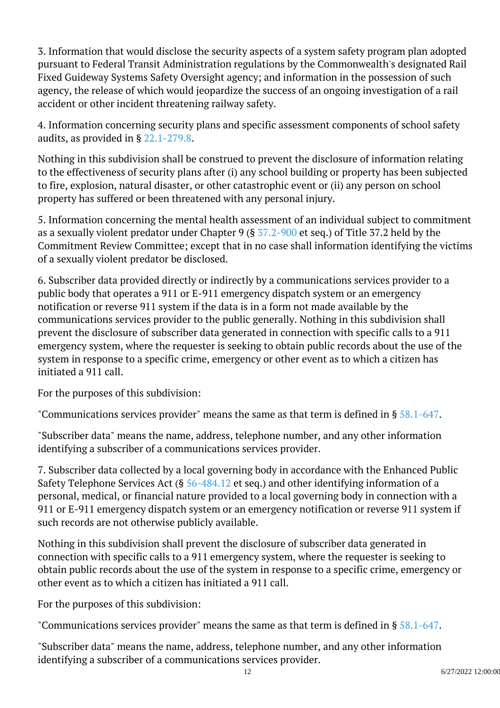3. Information that would disclose the security aspects of a system safety program plan adopted pursuant to Federal Transit Administration regulations by the Commonwealth's designated Rail Fixed Guideway Systems Safety Oversight agency; and information in the possession of such agency, the release of which would jeopardize the success of an ongoing investigation of a rail accident or other incident threatening railway safety. Ĩ

4. Information concerning security plans and specific assessment components of school safety audits, as provided in § [22.1-279.8.](/vacode/22.1-279.8/) Ĩ

Nothing in this subdivision shall be construed to prevent the disclosure of information relating to the effectiveness of security plans after (i) any school building or property has been subjected to fire, explosion, natural disaster, or other catastrophic event or (ii) any person on school property has suffered or been threatened with any personal injury. <sup>"</sup>

5. Information concerning the mental health assessment of an individual subject to commitment as a sexually violent predator under Chapter 9 (§  $37.2$ -900 et seq.) of Title 37.2 held by the Commitment Review Committee; except that in no case shall information identifying the victims of a sexually violent predator be disclosed.

6. Subscriber data provided directly or indirectly by a communications services provider to a public body that operates a 911 or E-911 emergency dispatch system or an emergency notification or reverse 911 system if the data is in a form not made available by the communications services provider to the public generally. Nothing in this subdivision shall prevent the disclosure of subscriber data generated in connection with specific calls to a 911 emergency system, where the requester is seeking to obtain public records about the use of the system in response to a specific crime, emergency or other event as to which a citizen has initiated a 911 call.

For the purposes of this subdivision:

"Communications services provider" means the same as that term is defined in § [58.1-647](/vacode/58.1-647/).

"Subscriber data" means the name, address, telephone number, and any other information identifying a subscriber of a communications services provider.

7. Subscriber data collected by a local governing body in accordance with the Enhanced Public Safety Telephone Services Act  $(§ 56-484.12$  et seq.) and other identifying information of a personal, medical, or financial nature provided to a local governing body in connection with a 911 or E-911 emergency dispatch system or an emergency notification or reverse 911 system if such records are not otherwise publicly available.

Nothing in this subdivision shall prevent the disclosure of subscriber data generated in connection with specific calls to a 911 emergency system, where the requester is seeking to obtain public records about the use of the system in response to a specific crime, emergency or other event as to which a citizen has initiated a 911 call.

For the purposes of this subdivision:

"Communications services provider" means the same as that term is defined in § [58.1-647](/vacode/58.1-647/).

"Subscriber data" means the name, address, telephone number, and any other information identifying a subscriber of a communications services provider.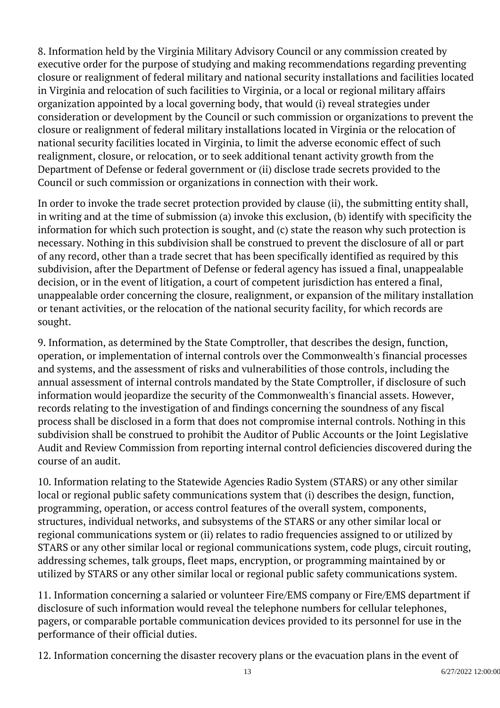8. Information held by the Virginia Military Advisory Council or any commission created by executive order for the purpose of studying and making recommendations regarding preventing closure or realignment of federal military and national security installations and facilities located in Virginia and relocation of such facilities to Virginia, or a local or regional military affairs organization appointed by a local governing body, that would (i) reveal strategies under consideration or development by the Council or such commission or organizations to prevent the closure or realignment of federal military installations located in Virginia or the relocation of national security facilities located in Virginia, to limit the adverse economic effect of such realignment, closure, or relocation, or to seek additional tenant activity growth from the Department of Defense or federal government or (ii) disclose trade secrets provided to the Council or such commission or organizations in connection with their work.

In order to invoke the trade secret protection provided by clause (ii), the submitting entity shall, in writing and at the time of submission (a) invoke this exclusion, (b) identify with specificity the information for which such protection is sought, and (c) state the reason why such protection is necessary. Nothing in this subdivision shall be construed to prevent the disclosure of all or part of any record, other than a trade secret that has been specifically identified as required by this subdivision, after the Department of Defense or federal agency has issued a final, unappealable decision, or in the event of litigation, a court of competent jurisdiction has entered a final, unappealable order concerning the closure, realignment, or expansion of the military installation or tenant activities, or the relocation of the national security facility, for which records are sought. Ĩ

9. Information, as determined by the State Comptroller, that describes the design, function, operation, or implementation of internal controls over the Commonwealth's financial processes and systems, and the assessment of risks and vulnerabilities of those controls, including the annual assessment of internal controls mandated by the State Comptroller, if disclosure of such information would jeopardize the security of the Commonwealth's financial assets. However, records relating to the investigation of and findings concerning the soundness of any fiscal process shall be disclosed in a form that does not compromise internal controls. Nothing in this subdivision shall be construed to prohibit the Auditor of Public Accounts or the Joint Legislative Audit and Review Commission from reporting internal control deficiencies discovered during the course of an audit.

10. Information relating to the Statewide Agencies Radio System (STARS) or any other similar local or regional public safety communications system that (i) describes the design, function, programming, operation, or access control features of the overall system, components, structures, individual networks, and subsystems of the STARS or any other similar local or regional communications system or (ii) relates to radio frequencies assigned to or utilized by STARS or any other similar local or regional communications system, code plugs, circuit routing, addressing schemes, talk groups, fleet maps, encryption, or programming maintained by or utilized by STARS or any other similar local or regional public safety communications system.

11. Information concerning a salaried or volunteer Fire/EMS company or Fire/EMS department if disclosure of such information would reveal the telephone numbers for cellular telephones, pagers, or comparable portable communication devices provided to its personnel for use in the performance of their official duties. <sup>"</sup>

12. Information concerning the disaster recovery plans or the evacuation plans in the event of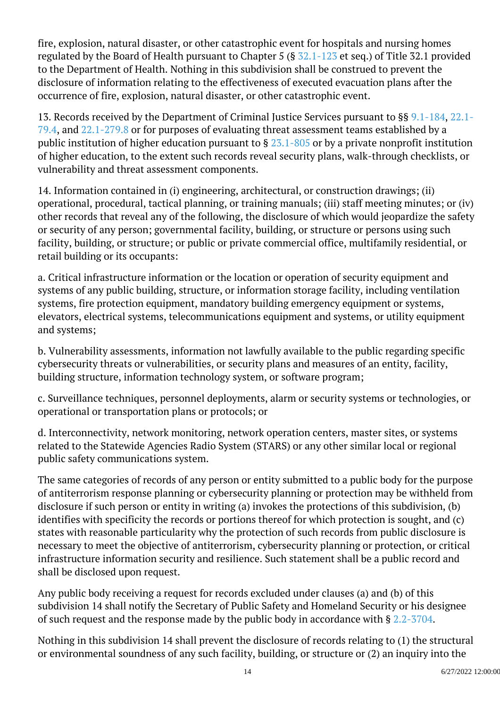fire, explosion, natural disaster, or other catastrophic event for hospitals and nursing homes regulated by the Board of Health pursuant to Chapter 5 (§  $\frac{1}{2}$  [32.1-123](/vacode/32.1-123/) et seq.) of Title 32.1 provided to the Department of Health. Nothing in this subdivision shall be construed to prevent the disclosure of information relating to the effectiveness of executed evacuation plans after the occurrence of fire, explosion, natural disaster, or other catastrophic event.

13. Records received by the Department of Criminal Justice Services pursuant to §§ [9.1-184,](/vacode/9.1-184/) [22.1-](/vacode/22.1-79.4/) [79.4,](/vacode/22.1-79.4/) and [22.1-279.8](/vacode/22.1-279.8/) or for purposes of evaluating threat assessment teams established by a public institution of higher education pursuant to  $\S 23.1-805$  $\S 23.1-805$  or by a private nonprofit institution of higher education, to the extent such records reveal security plans, walk-through checklists, or vulnerability and threat assessment components.

14. Information contained in (i) engineering, architectural, or construction drawings; (ii) operational, procedural, tactical planning, or training manuals; (iii) staff meeting minutes; or (iv) other records that reveal any of the following, the disclosure of which would jeopardize the safety or security of any person; governmental facility, building, or structure or persons using such facility, building, or structure; or public or private commercial office, multifamily residential, or retail building or its occupants:

a. Critical infrastructure information or the location or operation of security equipment and systems of any public building, structure, or information storage facility, including ventilation systems, fire protection equipment, mandatory building emergency equipment or systems, elevators, electrical systems, telecommunications equipment and systems, or utility equipment and systems; Ĩ

b. Vulnerability assessments, information not lawfully available to the public regarding specific cybersecurity threats or vulnerabilities, or security plans and measures of an entity, facility, building structure, information technology system, or software program;

c. Surveillance techniques, personnel deployments, alarm or security systems or technologies, or operational or transportation plans or protocols; or

d. Interconnectivity, network monitoring, network operation centers, master sites, or systems related to the Statewide Agencies Radio System (STARS) or any other similar local or regional public safety communications system. <sup>"</sup>

The same categories of records of any person or entity submitted to a public body for the purpose of antiterrorism response planning or cybersecurity planning or protection may be withheld from disclosure if such person or entity in writing (a) invokes the protections of this subdivision, (b) identifies with specificity the records or portions thereof for which protection is sought, and (c) states with reasonable particularity why the protection of such records from public disclosure is necessary to meet the objective of antiterrorism, cybersecurity planning or protection, or critical infrastructure information security and resilience. Such statement shall be a public record and shall be disclosed upon request. Ĩ

Any public body receiving a request for records excluded under clauses (a) and (b) of this subdivision 14 shall notify the Secretary of Public Safety and Homeland Security or his designee of such request and the response made by the public body in accordance with § [2.2-3704.](/vacode/2.2-3704/)

Nothing in this subdivision 14 shall prevent the disclosure of records relating to (1) the structural or environmental soundness of any such facility, building, or structure or (2) an inquiry into the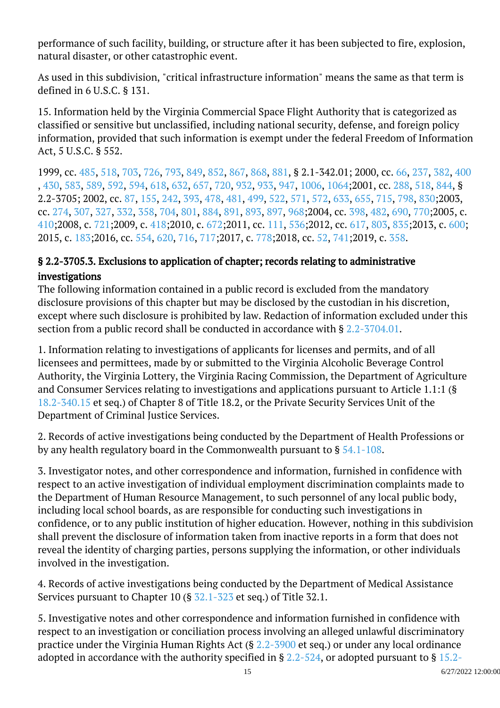performance of such facility, building, or structure after it has been subjected to fire, explosion, natural disaster, or other catastrophic event.

As used in this subdivision, "critical infrastructure information" means the same as that term is defined in 6 U.S.C. § 131.

15. Information held by the Virginia Commercial Space Flight Authority that is categorized as classified or sensitive but unclassified, including national security, defense, and foreign policy information, provided that such information is exempt under the federal Freedom of Information Act, 5 U.S.C. § 552.

1999, cc. [485,](http://lis.virginia.gov/cgi-bin/legp604.exe?991+ful+CHAP0485) [518](http://lis.virginia.gov/cgi-bin/legp604.exe?991+ful+CHAP0518), [703,](http://lis.virginia.gov/cgi-bin/legp604.exe?991+ful+CHAP0703) [726](http://lis.virginia.gov/cgi-bin/legp604.exe?991+ful+CHAP0726), [793,](http://lis.virginia.gov/cgi-bin/legp604.exe?991+ful+CHAP0793) [849](http://lis.virginia.gov/cgi-bin/legp604.exe?991+ful+CHAP0849), [852,](http://lis.virginia.gov/cgi-bin/legp604.exe?991+ful+CHAP0852) [867](http://lis.virginia.gov/cgi-bin/legp604.exe?991+ful+CHAP0867), [868,](http://lis.virginia.gov/cgi-bin/legp604.exe?991+ful+CHAP0868) [881](http://lis.virginia.gov/cgi-bin/legp604.exe?991+ful+CHAP0881), § 2.1-342.01; 2000, cc. [66](http://lis.virginia.gov/cgi-bin/legp604.exe?001+ful+CHAP0066), [237,](http://lis.virginia.gov/cgi-bin/legp604.exe?001+ful+CHAP0237) [382](http://lis.virginia.gov/cgi-bin/legp604.exe?001+ful+CHAP0382), [400](http://lis.virginia.gov/cgi-bin/legp604.exe?001+ful+CHAP0400) , [430](http://lis.virginia.gov/cgi-bin/legp604.exe?001+ful+CHAP0430), [583](http://lis.virginia.gov/cgi-bin/legp604.exe?001+ful+CHAP0583), [589,](http://lis.virginia.gov/cgi-bin/legp604.exe?001+ful+CHAP0589) [592](http://lis.virginia.gov/cgi-bin/legp604.exe?001+ful+CHAP0592), [594](http://lis.virginia.gov/cgi-bin/legp604.exe?001+ful+CHAP0594), [618](http://lis.virginia.gov/cgi-bin/legp604.exe?001+ful+CHAP0618), [632,](http://lis.virginia.gov/cgi-bin/legp604.exe?001+ful+CHAP0632) [657](http://lis.virginia.gov/cgi-bin/legp604.exe?001+ful+CHAP0657), [720](http://lis.virginia.gov/cgi-bin/legp604.exe?001+ful+CHAP0720), [932](http://lis.virginia.gov/cgi-bin/legp604.exe?001+ful+CHAP0932), [933,](http://lis.virginia.gov/cgi-bin/legp604.exe?001+ful+CHAP0933) [947](http://lis.virginia.gov/cgi-bin/legp604.exe?001+ful+CHAP0947), [1006,](http://lis.virginia.gov/cgi-bin/legp604.exe?001+ful+CHAP1006) [1064;2](http://lis.virginia.gov/cgi-bin/legp604.exe?001+ful+CHAP1064)001, cc. [288](http://lis.virginia.gov/cgi-bin/legp604.exe?011+ful+CHAP0288), [518,](http://lis.virginia.gov/cgi-bin/legp604.exe?011+ful+CHAP0518) [844](http://lis.virginia.gov/cgi-bin/legp604.exe?011+ful+CHAP0844), § 2.2-3705; 2002, cc. [87,](http://lis.virginia.gov/cgi-bin/legp604.exe?021+ful+CHAP0087) [155](http://lis.virginia.gov/cgi-bin/legp604.exe?021+ful+CHAP0155), [242,](http://lis.virginia.gov/cgi-bin/legp604.exe?021+ful+CHAP0242) [393](http://lis.virginia.gov/cgi-bin/legp604.exe?021+ful+CHAP0393), [478,](http://lis.virginia.gov/cgi-bin/legp604.exe?021+ful+CHAP0478) [481](http://lis.virginia.gov/cgi-bin/legp604.exe?021+ful+CHAP0481), [499,](http://lis.virginia.gov/cgi-bin/legp604.exe?021+ful+CHAP0499) [522](http://lis.virginia.gov/cgi-bin/legp604.exe?021+ful+CHAP0522), [571,](http://lis.virginia.gov/cgi-bin/legp604.exe?021+ful+CHAP0571) [572](http://lis.virginia.gov/cgi-bin/legp604.exe?021+ful+CHAP0572), [633,](http://lis.virginia.gov/cgi-bin/legp604.exe?021+ful+CHAP0633) [655](http://lis.virginia.gov/cgi-bin/legp604.exe?021+ful+CHAP0655), [715,](http://lis.virginia.gov/cgi-bin/legp604.exe?021+ful+CHAP0715) [798](http://lis.virginia.gov/cgi-bin/legp604.exe?021+ful+CHAP0798), [830;2](http://lis.virginia.gov/cgi-bin/legp604.exe?021+ful+CHAP0830)003, cc. [274,](http://lis.virginia.gov/cgi-bin/legp604.exe?031+ful+CHAP0274) [307](http://lis.virginia.gov/cgi-bin/legp604.exe?031+ful+CHAP0307), [327,](http://lis.virginia.gov/cgi-bin/legp604.exe?031+ful+CHAP0327) [332](http://lis.virginia.gov/cgi-bin/legp604.exe?031+ful+CHAP0332), [358,](http://lis.virginia.gov/cgi-bin/legp604.exe?031+ful+CHAP0358) [704](http://lis.virginia.gov/cgi-bin/legp604.exe?031+ful+CHAP0704), [801,](http://lis.virginia.gov/cgi-bin/legp604.exe?031+ful+CHAP0801) [884](http://lis.virginia.gov/cgi-bin/legp604.exe?031+ful+CHAP0884), [891,](http://lis.virginia.gov/cgi-bin/legp604.exe?031+ful+CHAP0891) [893](http://lis.virginia.gov/cgi-bin/legp604.exe?031+ful+CHAP0893), [897,](http://lis.virginia.gov/cgi-bin/legp604.exe?031+ful+CHAP0897) [968;](http://lis.virginia.gov/cgi-bin/legp604.exe?031+ful+CHAP0968)2004, cc. [398,](http://lis.virginia.gov/cgi-bin/legp604.exe?041+ful+CHAP0398) [482](http://lis.virginia.gov/cgi-bin/legp604.exe?041+ful+CHAP0482), [690,](http://lis.virginia.gov/cgi-bin/legp604.exe?041+ful+CHAP0690) [770;](http://lis.virginia.gov/cgi-bin/legp604.exe?041+ful+CHAP0770)2005, c. [410;](http://lis.virginia.gov/cgi-bin/legp604.exe?051+ful+CHAP0410)2008, c. [721;](http://lis.virginia.gov/cgi-bin/legp604.exe?081+ful+CHAP0721)2009, c. [418;](http://lis.virginia.gov/cgi-bin/legp604.exe?091+ful+CHAP0418)2010, c. [672;2](http://lis.virginia.gov/cgi-bin/legp604.exe?101+ful+CHAP0672)011, cc. [111](http://lis.virginia.gov/cgi-bin/legp604.exe?111+ful+CHAP0111), [536;2](http://lis.virginia.gov/cgi-bin/legp604.exe?111+ful+CHAP0536)012, cc. [617](http://lis.virginia.gov/cgi-bin/legp604.exe?121+ful+CHAP0617), [803,](http://lis.virginia.gov/cgi-bin/legp604.exe?121+ful+CHAP0803) [835;](http://lis.virginia.gov/cgi-bin/legp604.exe?121+ful+CHAP0835)2013, c. [600;](http://lis.virginia.gov/cgi-bin/legp604.exe?131+ful+CHAP0600) 2015, c. [183;2](http://lis.virginia.gov/cgi-bin/legp604.exe?151+ful+CHAP0183)016, cc. [554](http://lis.virginia.gov/cgi-bin/legp604.exe?161+ful+CHAP0554), [620,](http://lis.virginia.gov/cgi-bin/legp604.exe?161+ful+CHAP0620) [716](http://lis.virginia.gov/cgi-bin/legp604.exe?161+ful+CHAP0716), [717;2](http://lis.virginia.gov/cgi-bin/legp604.exe?161+ful+CHAP0717)017, c. [778;2](http://lis.virginia.gov/cgi-bin/legp604.exe?171+ful+CHAP0778)018, cc. [52](http://lis.virginia.gov/cgi-bin/legp604.exe?181+ful+CHAP0052), [741;](http://lis.virginia.gov/cgi-bin/legp604.exe?181+ful+CHAP0741)2019, c. [358](http://lis.virginia.gov/cgi-bin/legp604.exe?191+ful+CHAP0358).

## § 2.2-3705.3. Exclusions to application of chapter; records relating to administrative investigations

The following information contained in a public record is excluded from the mandatory disclosure provisions of this chapter but may be disclosed by the custodian in his discretion, except where such disclosure is prohibited by law. Redaction of information excluded under this section from a public record shall be conducted in accordance with § [2.2-3704.01](/vacode/2.2-3704.01/). Ĩ

1. Information relating to investigations of applicants for licenses and permits, and of all licensees and permittees, made by or submitted to the Virginia Alcoholic Beverage Control Authority, the Virginia Lottery, the Virginia Racing Commission, the Department of Agriculture and Consumer Services relating to investigations and applications pursuant to Article 1.1:1 (§ [18.2-340.15](/vacode/18.2-340.15/) et seq.) of Chapter 8 of Title 18.2, or the Private Security Services Unit of the Department of Criminal Justice Services.

2. Records of active investigations being conducted by the Department of Health Professions or by any health regulatory board in the Commonwealth pursuant to § [54.1-108](/vacode/54.1-108/).

3. Investigator notes, and other correspondence and information, furnished in confidence with respect to an active investigation of individual employment discrimination complaints made to the Department of Human Resource Management, to such personnel of any local public body, including local school boards, as are responsible for conducting such investigations in confidence, or to any public institution of higher education. However, nothing in this subdivision shall prevent the disclosure of information taken from inactive reports in a form that does not reveal the identity of charging parties, persons supplying the information, or other individuals involved in the investigation.

4. Records of active investigations being conducted by the Department of Medical Assistance Services pursuant to Chapter 10 (§  $32.1$ - $323$  et seq.) of Title 32.1. I

5. Investigative notes and other correspondence and information furnished in confidence with respect to an investigation or conciliation process involving an alleged unlawful discriminatory practice under the Virginia Human Rights Act (§ [2.2-3900](/vacode/2.2-3900/) et seq.) or under any local ordinance adopted in accordance with the authority specified in § [2.2-524,](/vacode/2.2-524/) or adopted pursuant to § [15.2-](/vacode/15.2-965/)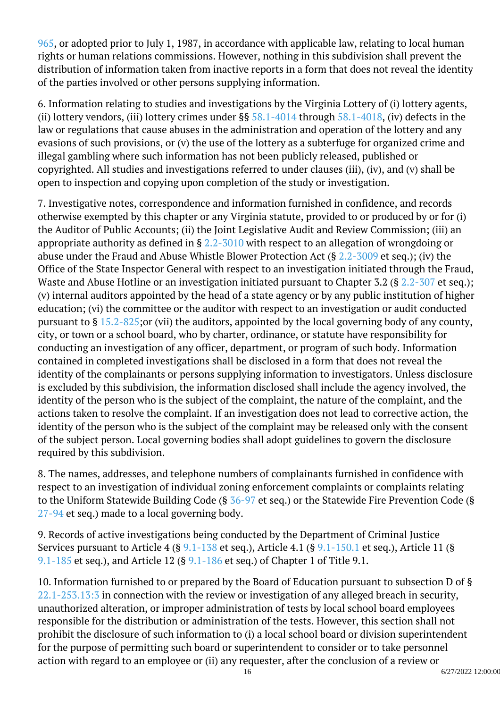[965](/vacode/15.2-965/), or adopted prior to July 1, 1987, in accordance with applicable law, relating to local human rights or human relations commissions. However, nothing in this subdivision shall prevent the distribution of information taken from inactive reports in a form that does not reveal the identity of the parties involved or other persons supplying information.

6. Information relating to studies and investigations by the Virginia Lottery of (i) lottery agents, (ii) lottery vendors, (iii) lottery crimes under  $\S$ § [58.1-4014](/vacode/58.1-4014/) through [58.1-4018,](/vacode/58.1-4018/) (iv) defects in the law or regulations that cause abuses in the administration and operation of the lottery and any evasions of such provisions, or (v) the use of the lottery as a subterfuge for organized crime and illegal gambling where such information has not been publicly released, published or copyrighted. All studies and investigations referred to under clauses (iii), (iv), and (v) shall be open to inspection and copying upon completion of the study or investigation.

7. Investigative notes, correspondence and information furnished in confidence, and records otherwise exempted by this chapter or any Virginia statute, provided to or produced by or for (i) the Auditor of Public Accounts; (ii) the Joint Legislative Audit and Review Commission; (iii) an appropriate authority as defined in § [2.2-3010](/vacode/2.2-3010/) with respect to an allegation of wrongdoing or abuse under the Fraud and Abuse Whistle Blower Protection Act (§  $2.2-3009$  et seq.); (iv) the Office of the State Inspector General with respect to an investigation initiated through the Fraud, Waste and Abuse Hotline or an investigation initiated pursuant to Chapter 3.2 (§ [2.2-307](/vacode/2.2-307/) et seq.); (v) internal auditors appointed by the head of a state agency or by any public institution of higher education; (vi) the committee or the auditor with respect to an investigation or audit conducted pursuant to § [15.2-825;o](/vacode/15.2-825/)r (vii) the auditors, appointed by the local governing body of any county, city, or town or a school board, who by charter, ordinance, or statute have responsibility for conducting an investigation of any officer, department, or program of such body. Information contained in completed investigations shall be disclosed in a form that does not reveal the identity of the complainants or persons supplying information to investigators. Unless disclosure is excluded by this subdivision, the information disclosed shall include the agency involved, the identity of the person who is the subject of the complaint, the nature of the complaint, and the actions taken to resolve the complaint. If an investigation does not lead to corrective action, the identity of the person who is the subject of the complaint may be released only with the consent of the subject person. Local governing bodies shall adopt guidelines to govern the disclosure required by this subdivision.

8. The names, addresses, and telephone numbers of complainants furnished in confidence with respect to an investigation of individual zoning enforcement complaints or complaints relating to the Uniform Statewide Building Code (§ [36-97](/vacode/36-97/) et seq.) or the Statewide Fire Prevention Code (§ [27-94](/vacode/27-94/) et seq.) made to a local governing body.

9. Records of active investigations being conducted by the Department of Criminal Justice Services pursuant to Article 4 (§ [9.1-138](/vacode/9.1-138/) et seq.), Article 4.1 (§ [9.1-150.1](/vacode/9.1-150.1/) et seq.), Article 11 (§ [9.1-185](/vacode/9.1-185/) et seq.), and Article 12 (§ [9.1-186](/vacode/9.1-186/) et seq.) of Chapter 1 of Title 9.1.

10. Information furnished to or prepared by the Board of Education pursuant to subsection D of § [22.1-253.13:3](/vacode/22.1-253.13:3/) in connection with the review or investigation of any alleged breach in security, unauthorized alteration, or improper administration of tests by local school board employees responsible for the distribution or administration of the tests. However, this section shall not prohibit the disclosure of such information to (i) a local school board or division superintendent for the purpose of permitting such board or superintendent to consider or to take personnel action with regard to an employee or (ii) any requester, after the conclusion of a review or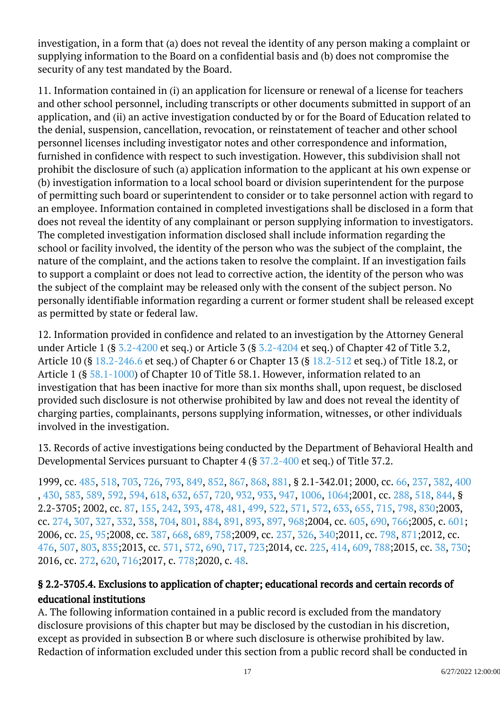investigation, in a form that (a) does not reveal the identity of any person making a complaint or supplying information to the Board on a confidential basis and (b) does not compromise the security of any test mandated by the Board. Ĩ

11. Information contained in (i) an application for licensure or renewal of a license for teachers and other school personnel, including transcripts or other documents submitted in support of an application, and (ii) an active investigation conducted by or for the Board of Education related to the denial, suspension, cancellation, revocation, or reinstatement of teacher and other school personnel licenses including investigator notes and other correspondence and information, furnished in confidence with respect to such investigation. However, this subdivision shall not prohibit the disclosure of such (a) application information to the applicant at his own expense or (b) investigation information to a local school board or division superintendent for the purpose of permitting such board or superintendent to consider or to take personnel action with regard to an employee. Information contained in completed investigations shall be disclosed in a form that does not reveal the identity of any complainant or person supplying information to investigators. The completed investigation information disclosed shall include information regarding the school or facility involved, the identity of the person who was the subject of the complaint, the nature of the complaint, and the actions taken to resolve the complaint. If an investigation fails to support a complaint or does not lead to corrective action, the identity of the person who was the subject of the complaint may be released only with the consent of the subject person. No personally identifiable information regarding a current or former student shall be released except as permitted by state or federal law. Ĩ

12. Information provided in confidence and related to an investigation by the Attorney General under Article 1 (§ [3.2-4200](/vacode/3.2-4200/) et seq.) or Article 3 (§ [3.2-4204](/vacode/3.2-4204/) et seq.) of Chapter 42 of Title 3.2, Article 10 (§ [18.2-246.6](/vacode/18.2-246.6/) et seq.) of Chapter 6 or Chapter 13 (§ [18.2-512](/vacode/18.2-512/) et seq.) of Title 18.2, or Article 1 (§ [58.1-1000\)](/vacode/58.1-1000/) of Chapter 10 of Title 58.1. However, information related to an investigation that has been inactive for more than six months shall, upon request, be disclosed provided such disclosure is not otherwise prohibited by law and does not reveal the identity of charging parties, complainants, persons supplying information, witnesses, or other individuals involved in the investigation.

13. Records of active investigations being conducted by the Department of Behavioral Health and Developmental Services pursuant to Chapter 4 (§ [37.2-400](/vacode/37.2-400/) et seq.) of Title 37.2.

1999, cc. [485,](http://lis.virginia.gov/cgi-bin/legp604.exe?991+ful+CHAP0485) [518](http://lis.virginia.gov/cgi-bin/legp604.exe?991+ful+CHAP0518), [703,](http://lis.virginia.gov/cgi-bin/legp604.exe?991+ful+CHAP0703) [726](http://lis.virginia.gov/cgi-bin/legp604.exe?991+ful+CHAP0726), [793,](http://lis.virginia.gov/cgi-bin/legp604.exe?991+ful+CHAP0793) [849](http://lis.virginia.gov/cgi-bin/legp604.exe?991+ful+CHAP0849), [852,](http://lis.virginia.gov/cgi-bin/legp604.exe?991+ful+CHAP0852) [867](http://lis.virginia.gov/cgi-bin/legp604.exe?991+ful+CHAP0867), [868,](http://lis.virginia.gov/cgi-bin/legp604.exe?991+ful+CHAP0868) [881](http://lis.virginia.gov/cgi-bin/legp604.exe?991+ful+CHAP0881), § 2.1-342.01; 2000, cc. [66](http://lis.virginia.gov/cgi-bin/legp604.exe?001+ful+CHAP0066), [237,](http://lis.virginia.gov/cgi-bin/legp604.exe?001+ful+CHAP0237) [382](http://lis.virginia.gov/cgi-bin/legp604.exe?001+ful+CHAP0382), [400](http://lis.virginia.gov/cgi-bin/legp604.exe?001+ful+CHAP0400) , [430](http://lis.virginia.gov/cgi-bin/legp604.exe?001+ful+CHAP0430), [583](http://lis.virginia.gov/cgi-bin/legp604.exe?001+ful+CHAP0583), [589,](http://lis.virginia.gov/cgi-bin/legp604.exe?001+ful+CHAP0589) [592](http://lis.virginia.gov/cgi-bin/legp604.exe?001+ful+CHAP0592), [594](http://lis.virginia.gov/cgi-bin/legp604.exe?001+ful+CHAP0594), [618](http://lis.virginia.gov/cgi-bin/legp604.exe?001+ful+CHAP0618), [632,](http://lis.virginia.gov/cgi-bin/legp604.exe?001+ful+CHAP0632) [657](http://lis.virginia.gov/cgi-bin/legp604.exe?001+ful+CHAP0657), [720](http://lis.virginia.gov/cgi-bin/legp604.exe?001+ful+CHAP0720), [932](http://lis.virginia.gov/cgi-bin/legp604.exe?001+ful+CHAP0932), [933,](http://lis.virginia.gov/cgi-bin/legp604.exe?001+ful+CHAP0933) [947](http://lis.virginia.gov/cgi-bin/legp604.exe?001+ful+CHAP0947), [1006,](http://lis.virginia.gov/cgi-bin/legp604.exe?001+ful+CHAP1006) [1064;2](http://lis.virginia.gov/cgi-bin/legp604.exe?001+ful+CHAP1064)001, cc. [288](http://lis.virginia.gov/cgi-bin/legp604.exe?011+ful+CHAP0288), [518,](http://lis.virginia.gov/cgi-bin/legp604.exe?011+ful+CHAP0518) [844](http://lis.virginia.gov/cgi-bin/legp604.exe?011+ful+CHAP0844), § 2.2-3705; 2002, cc. [87,](http://lis.virginia.gov/cgi-bin/legp604.exe?021+ful+CHAP0087) [155](http://lis.virginia.gov/cgi-bin/legp604.exe?021+ful+CHAP0155), [242,](http://lis.virginia.gov/cgi-bin/legp604.exe?021+ful+CHAP0242) [393](http://lis.virginia.gov/cgi-bin/legp604.exe?021+ful+CHAP0393), [478,](http://lis.virginia.gov/cgi-bin/legp604.exe?021+ful+CHAP0478) [481](http://lis.virginia.gov/cgi-bin/legp604.exe?021+ful+CHAP0481), [499,](http://lis.virginia.gov/cgi-bin/legp604.exe?021+ful+CHAP0499) [522](http://lis.virginia.gov/cgi-bin/legp604.exe?021+ful+CHAP0522), [571,](http://lis.virginia.gov/cgi-bin/legp604.exe?021+ful+CHAP0571) [572](http://lis.virginia.gov/cgi-bin/legp604.exe?021+ful+CHAP0572), [633,](http://lis.virginia.gov/cgi-bin/legp604.exe?021+ful+CHAP0633) [655](http://lis.virginia.gov/cgi-bin/legp604.exe?021+ful+CHAP0655), [715,](http://lis.virginia.gov/cgi-bin/legp604.exe?021+ful+CHAP0715) [798](http://lis.virginia.gov/cgi-bin/legp604.exe?021+ful+CHAP0798), [830;2](http://lis.virginia.gov/cgi-bin/legp604.exe?021+ful+CHAP0830)003, cc. [274,](http://lis.virginia.gov/cgi-bin/legp604.exe?031+ful+CHAP0274) [307](http://lis.virginia.gov/cgi-bin/legp604.exe?031+ful+CHAP0307), [327,](http://lis.virginia.gov/cgi-bin/legp604.exe?031+ful+CHAP0327) [332](http://lis.virginia.gov/cgi-bin/legp604.exe?031+ful+CHAP0332), [358,](http://lis.virginia.gov/cgi-bin/legp604.exe?031+ful+CHAP0358) [704](http://lis.virginia.gov/cgi-bin/legp604.exe?031+ful+CHAP0704), [801,](http://lis.virginia.gov/cgi-bin/legp604.exe?031+ful+CHAP0801) [884](http://lis.virginia.gov/cgi-bin/legp604.exe?031+ful+CHAP0884), [891,](http://lis.virginia.gov/cgi-bin/legp604.exe?031+ful+CHAP0891) [893](http://lis.virginia.gov/cgi-bin/legp604.exe?031+ful+CHAP0893), [897,](http://lis.virginia.gov/cgi-bin/legp604.exe?031+ful+CHAP0897) [968;](http://lis.virginia.gov/cgi-bin/legp604.exe?031+ful+CHAP0968)2004, cc. [605,](http://lis.virginia.gov/cgi-bin/legp604.exe?041+ful+CHAP0605) [690](http://lis.virginia.gov/cgi-bin/legp604.exe?041+ful+CHAP0690), [766;2](http://lis.virginia.gov/cgi-bin/legp604.exe?041+ful+CHAP0766)005, c. [601;](http://lis.virginia.gov/cgi-bin/legp604.exe?051+ful+CHAP0601) 2006, cc. [25](http://lis.virginia.gov/cgi-bin/legp604.exe?061+ful+CHAP0025), [95;](http://lis.virginia.gov/cgi-bin/legp604.exe?061+ful+CHAP0095)2008, cc. [387,](http://lis.virginia.gov/cgi-bin/legp604.exe?081+ful+CHAP0387) [668](http://lis.virginia.gov/cgi-bin/legp604.exe?081+ful+CHAP0668), [689,](http://lis.virginia.gov/cgi-bin/legp604.exe?081+ful+CHAP0689) [758;](http://lis.virginia.gov/cgi-bin/legp604.exe?081+ful+CHAP0758)2009, cc. [237,](http://lis.virginia.gov/cgi-bin/legp604.exe?091+ful+CHAP0237) [326](http://lis.virginia.gov/cgi-bin/legp604.exe?091+ful+CHAP0326), [340;2](http://lis.virginia.gov/cgi-bin/legp604.exe?091+ful+CHAP0340)011, cc. [798](http://lis.virginia.gov/cgi-bin/legp604.exe?111+ful+CHAP0798), [871;2](http://lis.virginia.gov/cgi-bin/legp604.exe?111+ful+CHAP0871)012, cc. [476](http://lis.virginia.gov/cgi-bin/legp604.exe?121+ful+CHAP0476), [507,](http://lis.virginia.gov/cgi-bin/legp604.exe?121+ful+CHAP0507) [803](http://lis.virginia.gov/cgi-bin/legp604.exe?121+ful+CHAP0803), [835;2](http://lis.virginia.gov/cgi-bin/legp604.exe?121+ful+CHAP0835)013, cc. [571](http://lis.virginia.gov/cgi-bin/legp604.exe?131+ful+CHAP0571), [572,](http://lis.virginia.gov/cgi-bin/legp604.exe?131+ful+CHAP0572) [690](http://lis.virginia.gov/cgi-bin/legp604.exe?131+ful+CHAP0690), [717,](http://lis.virginia.gov/cgi-bin/legp604.exe?131+ful+CHAP0717) [723;](http://lis.virginia.gov/cgi-bin/legp604.exe?131+ful+CHAP0723)2014, cc. [225,](http://lis.virginia.gov/cgi-bin/legp604.exe?141+ful+CHAP0225) [414](http://lis.virginia.gov/cgi-bin/legp604.exe?141+ful+CHAP0414), [609,](http://lis.virginia.gov/cgi-bin/legp604.exe?141+ful+CHAP0609) [788;](http://lis.virginia.gov/cgi-bin/legp604.exe?141+ful+CHAP0788)2015, cc. [38](http://lis.virginia.gov/cgi-bin/legp604.exe?151+ful+CHAP0038), [730;](http://lis.virginia.gov/cgi-bin/legp604.exe?151+ful+CHAP0730) 2016, cc. [272,](http://lis.virginia.gov/cgi-bin/legp604.exe?161+ful+CHAP0272) [620](http://lis.virginia.gov/cgi-bin/legp604.exe?161+ful+CHAP0620), [716;2](http://lis.virginia.gov/cgi-bin/legp604.exe?161+ful+CHAP0716)017, c. [778;](http://lis.virginia.gov/cgi-bin/legp604.exe?171+ful+CHAP0778)2020, c. [48.](http://lis.virginia.gov/cgi-bin/legp604.exe?201+ful+CHAP0048)

# § 2.2-3705.4. Exclusions to application of chapter; educational records and certain records of educational institutions

A. The following information contained in a public record is excluded from the mandatory disclosure provisions of this chapter but may be disclosed by the custodian in his discretion, except as provided in subsection B or where such disclosure is otherwise prohibited by law. Redaction of information excluded under this section from a public record shall be conducted in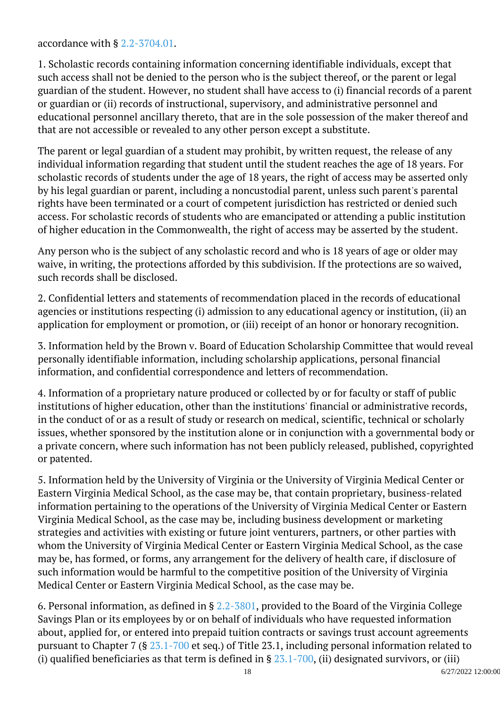accordance with § [2.2-3704.01.](/vacode/2.2-3704.01/) Ĩ

1. Scholastic records containing information concerning identifiable individuals, except that such access shall not be denied to the person who is the subject thereof, or the parent or legal guardian of the student. However, no student shall have access to (i) financial records of a parent or guardian or (ii) records of instructional, supervisory, and administrative personnel and educational personnel ancillary thereto, that are in the sole possession of the maker thereof and that are not accessible or revealed to any other person except a substitute.

The parent or legal guardian of a student may prohibit, by written request, the release of any individual information regarding that student until the student reaches the age of 18 years. For scholastic records of students under the age of 18 years, the right of access may be asserted only by his legal guardian or parent, including a noncustodial parent, unless such parent's parental rights have been terminated or a court of competent jurisdiction has restricted or denied such access. For scholastic records of students who are emancipated or attending a public institution of higher education in the Commonwealth, the right of access may be asserted by the student.

Any person who is the subject of any scholastic record and who is 18 years of age or older may waive, in writing, the protections afforded by this subdivision. If the protections are so waived, such records shall be disclosed.

2. Confidential letters and statements of recommendation placed in the records of educational agencies or institutions respecting (i) admission to any educational agency or institution, (ii) an application for employment or promotion, or (iii) receipt of an honor or honorary recognition. Ĩ

3. Information held by the Brown v. Board of Education Scholarship Committee that would reveal personally identifiable information, including scholarship applications, personal financial information, and confidential correspondence and letters of recommendation.

4. Information of a proprietary nature produced or collected by or for faculty or staff of public institutions of higher education, other than the institutions' financial or administrative records, in the conduct of or as a result of study or research on medical, scientific, technical or scholarly issues, whether sponsored by the institution alone or in conjunction with a governmental body or a private concern, where such information has not been publicly released, published, copyrighted or patented.

5. Information held by the University of Virginia or the University of Virginia Medical Center or Eastern Virginia Medical School, as the case may be, that contain proprietary, business-related information pertaining to the operations of the University of Virginia Medical Center or Eastern Virginia Medical School, as the case may be, including business development or marketing strategies and activities with existing or future joint venturers, partners, or other parties with whom the University of Virginia Medical Center or Eastern Virginia Medical School, as the case may be, has formed, or forms, any arrangement for the delivery of health care, if disclosure of such information would be harmful to the competitive position of the University of Virginia Medical Center or Eastern Virginia Medical School, as the case may be.

6. Personal information, as defined in  $\S 2.2 - 3801$ , provided to the Board of the Virginia College Savings Plan or its employees by or on behalf of individuals who have requested information about, applied for, or entered into prepaid tuition contracts or savings trust account agreements pursuant to Chapter 7 (§ [23.1-700](/vacode/23.1-700/) et seq.) of Title 23.1, including personal information related to (i) qualified beneficiaries as that term is defined in §  $23.1-700$ , (ii) designated survivors, or (iii)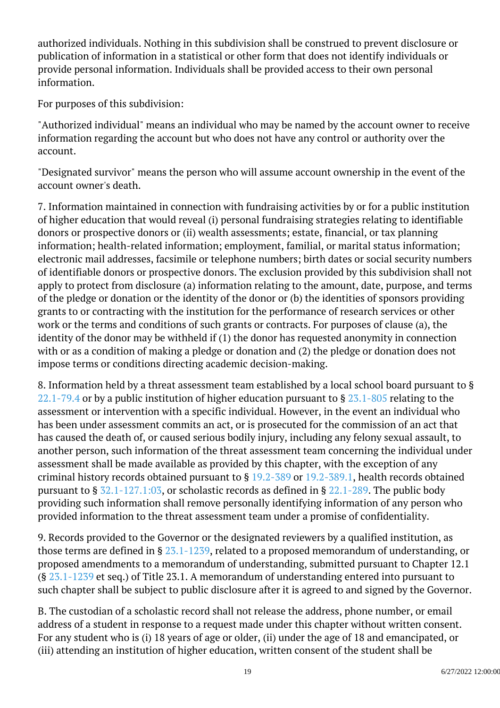authorized individuals. Nothing in this subdivision shall be construed to prevent disclosure or publication of information in a statistical or other form that does not identify individuals or provide personal information. Individuals shall be provided access to their own personal information.

For purposes of this subdivision:

"Authorized individual" means an individual who may be named by the account owner to receive information regarding the account but who does not have any control or authority over the account.

"Designated survivor" means the person who will assume account ownership in the event of the account owner's death. Ĩ

7. Information maintained in connection with fundraising activities by or for a public institution of higher education that would reveal (i) personal fundraising strategies relating to identifiable donors or prospective donors or (ii) wealth assessments; estate, financial, or tax planning information; health-related information; employment, familial, or marital status information; electronic mail addresses, facsimile or telephone numbers; birth dates or social security numbers of identifiable donors or prospective donors. The exclusion provided by this subdivision shall not apply to protect from disclosure (a) information relating to the amount, date, purpose, and terms of the pledge or donation or the identity of the donor or (b) the identities of sponsors providing grants to or contracting with the institution for the performance of research services or other work or the terms and conditions of such grants or contracts. For purposes of clause (a), the identity of the donor may be withheld if (1) the donor has requested anonymity in connection with or as a condition of making a pledge or donation and (2) the pledge or donation does not impose terms or conditions directing academic decision-making.

8. Information held by a threat assessment team established by a local school board pursuant to § [22.1-79.4](/vacode/22.1-79.4/) or by a public institution of higher education pursuant to § [23.1-805](/vacode/23.1-805/) relating to the assessment or intervention with a specific individual. However, in the event an individual who has been under assessment commits an act, or is prosecuted for the commission of an act that has caused the death of, or caused serious bodily injury, including any felony sexual assault, to another person, such information of the threat assessment team concerning the individual under assessment shall be made available as provided by this chapter, with the exception of any criminal history records obtained pursuant to § [19.2-389](/vacode/19.2-389/) or [19.2-389.1,](/vacode/19.2-389.1/) health records obtained pursuant to §  $32.1-127.1:03$ , or scholastic records as defined in § [22.1-289](/vacode/22.1-289/). The public body providing such information shall remove personally identifying information of any person who provided information to the threat assessment team under a promise of confidentiality. <sup>"</sup>

9. Records provided to the Governor or the designated reviewers by a qualified institution, as those terms are defined in §  $23.1 - 1239$ , related to a proposed memorandum of understanding, or proposed amendments to a memorandum of understanding, submitted pursuant to Chapter 12.1 (§  $23.1-1239$  et seq.) of Title 23.1. A memorandum of understanding entered into pursuant to such chapter shall be subject to public disclosure after it is agreed to and signed by the Governor. Ĩ

B. The custodian of a scholastic record shall not release the address, phone number, or email address of a student in response to a request made under this chapter without written consent. For any student who is (i) 18 years of age or older, (ii) under the age of 18 and emancipated, or (iii) attending an institution of higher education, written consent of the student shall be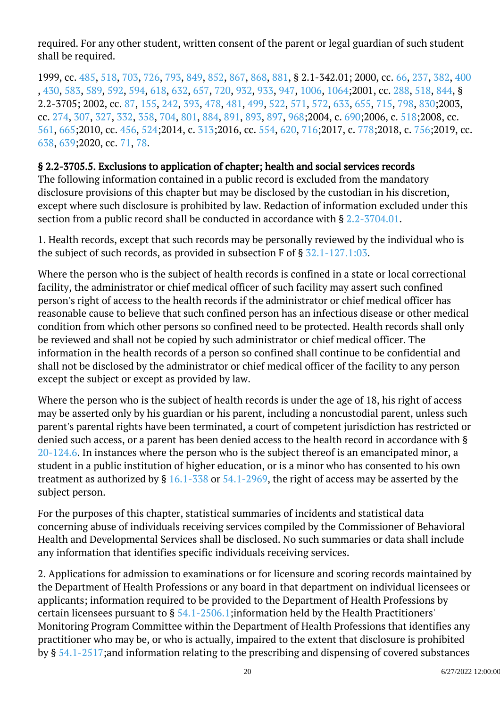required. For any other student, written consent of the parent or legal guardian of such student shall be required. Ĩ

1999, cc. [485,](http://lis.virginia.gov/cgi-bin/legp604.exe?991+ful+CHAP0485) [518](http://lis.virginia.gov/cgi-bin/legp604.exe?991+ful+CHAP0518), [703,](http://lis.virginia.gov/cgi-bin/legp604.exe?991+ful+CHAP0703) [726](http://lis.virginia.gov/cgi-bin/legp604.exe?991+ful+CHAP0726), [793,](http://lis.virginia.gov/cgi-bin/legp604.exe?991+ful+CHAP0793) [849](http://lis.virginia.gov/cgi-bin/legp604.exe?991+ful+CHAP0849), [852,](http://lis.virginia.gov/cgi-bin/legp604.exe?991+ful+CHAP0852) [867](http://lis.virginia.gov/cgi-bin/legp604.exe?991+ful+CHAP0867), [868,](http://lis.virginia.gov/cgi-bin/legp604.exe?991+ful+CHAP0868) [881](http://lis.virginia.gov/cgi-bin/legp604.exe?991+ful+CHAP0881), § 2.1-342.01; 2000, cc. [66](http://lis.virginia.gov/cgi-bin/legp604.exe?001+ful+CHAP0066), [237,](http://lis.virginia.gov/cgi-bin/legp604.exe?001+ful+CHAP0237) [382](http://lis.virginia.gov/cgi-bin/legp604.exe?001+ful+CHAP0382), [400](http://lis.virginia.gov/cgi-bin/legp604.exe?001+ful+CHAP0400) , [430](http://lis.virginia.gov/cgi-bin/legp604.exe?001+ful+CHAP0430), [583](http://lis.virginia.gov/cgi-bin/legp604.exe?001+ful+CHAP0583), [589,](http://lis.virginia.gov/cgi-bin/legp604.exe?001+ful+CHAP0589) [592](http://lis.virginia.gov/cgi-bin/legp604.exe?001+ful+CHAP0592), [594](http://lis.virginia.gov/cgi-bin/legp604.exe?001+ful+CHAP0594), [618](http://lis.virginia.gov/cgi-bin/legp604.exe?001+ful+CHAP0618), [632,](http://lis.virginia.gov/cgi-bin/legp604.exe?001+ful+CHAP0632) [657](http://lis.virginia.gov/cgi-bin/legp604.exe?001+ful+CHAP0657), [720](http://lis.virginia.gov/cgi-bin/legp604.exe?001+ful+CHAP0720), [932](http://lis.virginia.gov/cgi-bin/legp604.exe?001+ful+CHAP0932), [933,](http://lis.virginia.gov/cgi-bin/legp604.exe?001+ful+CHAP0933) [947](http://lis.virginia.gov/cgi-bin/legp604.exe?001+ful+CHAP0947), [1006,](http://lis.virginia.gov/cgi-bin/legp604.exe?001+ful+CHAP1006) [1064;2](http://lis.virginia.gov/cgi-bin/legp604.exe?001+ful+CHAP1064)001, cc. [288](http://lis.virginia.gov/cgi-bin/legp604.exe?011+ful+CHAP0288), [518,](http://lis.virginia.gov/cgi-bin/legp604.exe?011+ful+CHAP0518) [844](http://lis.virginia.gov/cgi-bin/legp604.exe?011+ful+CHAP0844), § 2.2-3705; 2002, cc. [87,](http://lis.virginia.gov/cgi-bin/legp604.exe?021+ful+CHAP0087) [155](http://lis.virginia.gov/cgi-bin/legp604.exe?021+ful+CHAP0155), [242,](http://lis.virginia.gov/cgi-bin/legp604.exe?021+ful+CHAP0242) [393](http://lis.virginia.gov/cgi-bin/legp604.exe?021+ful+CHAP0393), [478,](http://lis.virginia.gov/cgi-bin/legp604.exe?021+ful+CHAP0478) [481](http://lis.virginia.gov/cgi-bin/legp604.exe?021+ful+CHAP0481), [499,](http://lis.virginia.gov/cgi-bin/legp604.exe?021+ful+CHAP0499) [522](http://lis.virginia.gov/cgi-bin/legp604.exe?021+ful+CHAP0522), [571,](http://lis.virginia.gov/cgi-bin/legp604.exe?021+ful+CHAP0571) [572](http://lis.virginia.gov/cgi-bin/legp604.exe?021+ful+CHAP0572), [633,](http://lis.virginia.gov/cgi-bin/legp604.exe?021+ful+CHAP0633) [655](http://lis.virginia.gov/cgi-bin/legp604.exe?021+ful+CHAP0655), [715,](http://lis.virginia.gov/cgi-bin/legp604.exe?021+ful+CHAP0715) [798](http://lis.virginia.gov/cgi-bin/legp604.exe?021+ful+CHAP0798), [830;2](http://lis.virginia.gov/cgi-bin/legp604.exe?021+ful+CHAP0830)003, cc. [274,](http://lis.virginia.gov/cgi-bin/legp604.exe?031+ful+CHAP0274) [307](http://lis.virginia.gov/cgi-bin/legp604.exe?031+ful+CHAP0307), [327,](http://lis.virginia.gov/cgi-bin/legp604.exe?031+ful+CHAP0327) [332](http://lis.virginia.gov/cgi-bin/legp604.exe?031+ful+CHAP0332), [358,](http://lis.virginia.gov/cgi-bin/legp604.exe?031+ful+CHAP0358) [704](http://lis.virginia.gov/cgi-bin/legp604.exe?031+ful+CHAP0704), [801,](http://lis.virginia.gov/cgi-bin/legp604.exe?031+ful+CHAP0801) [884](http://lis.virginia.gov/cgi-bin/legp604.exe?031+ful+CHAP0884), [891,](http://lis.virginia.gov/cgi-bin/legp604.exe?031+ful+CHAP0891) [893](http://lis.virginia.gov/cgi-bin/legp604.exe?031+ful+CHAP0893), [897,](http://lis.virginia.gov/cgi-bin/legp604.exe?031+ful+CHAP0897) [968;](http://lis.virginia.gov/cgi-bin/legp604.exe?031+ful+CHAP0968)2004, c. [690;](http://lis.virginia.gov/cgi-bin/legp604.exe?041+ful+CHAP0690)2006, c. [518;2](http://lis.virginia.gov/cgi-bin/legp604.exe?061+ful+CHAP0518)008, cc. [561](http://lis.virginia.gov/cgi-bin/legp604.exe?081+ful+CHAP0561), [665;2](http://lis.virginia.gov/cgi-bin/legp604.exe?081+ful+CHAP0665)010, cc. [456](http://lis.virginia.gov/cgi-bin/legp604.exe?101+ful+CHAP0456), [524;2](http://lis.virginia.gov/cgi-bin/legp604.exe?101+ful+CHAP0524)014, c. [313;2](http://lis.virginia.gov/cgi-bin/legp604.exe?141+ful+CHAP0313)016, cc. [554](http://lis.virginia.gov/cgi-bin/legp604.exe?161+ful+CHAP0554), [620,](http://lis.virginia.gov/cgi-bin/legp604.exe?161+ful+CHAP0620) [716;](http://lis.virginia.gov/cgi-bin/legp604.exe?161+ful+CHAP0716)2017, c. [778;](http://lis.virginia.gov/cgi-bin/legp604.exe?171+ful+CHAP0778)2018, c. [756;2](http://lis.virginia.gov/cgi-bin/legp604.exe?181+ful+CHAP0756)019, cc. [638](http://lis.virginia.gov/cgi-bin/legp604.exe?191+ful+CHAP0638), [639;2](http://lis.virginia.gov/cgi-bin/legp604.exe?191+ful+CHAP0639)020, cc. [71,](http://lis.virginia.gov/cgi-bin/legp604.exe?201+ful+CHAP0071) [78.](http://lis.virginia.gov/cgi-bin/legp604.exe?201+ful+CHAP0078)

#### § 2.2-3705.5. Exclusions to application of chapter; health and social services records

The following information contained in a public record is excluded from the mandatory disclosure provisions of this chapter but may be disclosed by the custodian in his discretion, except where such disclosure is prohibited by law. Redaction of information excluded under this section from a public record shall be conducted in accordance with § [2.2-3704.01](/vacode/2.2-3704.01/). Ĩ

1. Health records, except that such records may be personally reviewed by the individual who is the subject of such records, as provided in subsection F of  $\S 32.1 - 127.1:03$ .

Where the person who is the subject of health records is confined in a state or local correctional facility, the administrator or chief medical officer of such facility may assert such confined person's right of access to the health records if the administrator or chief medical officer has reasonable cause to believe that such confined person has an infectious disease or other medical condition from which other persons so confined need to be protected. Health records shall only be reviewed and shall not be copied by such administrator or chief medical officer. The information in the health records of a person so confined shall continue to be confidential and shall not be disclosed by the administrator or chief medical officer of the facility to any person except the subject or except as provided by law.

Where the person who is the subject of health records is under the age of 18, his right of access may be asserted only by his guardian or his parent, including a noncustodial parent, unless such parent's parental rights have been terminated, a court of competent jurisdiction has restricted or denied such access, or a parent has been denied access to the health record in accordance with § [20-124.6.](/vacode/20-124.6/) In instances where the person who is the subject thereof is an emancipated minor, a student in a public institution of higher education, or is a minor who has consented to his own treatment as authorized by §  $16.1-338$  or  $54.1-2969$ , the right of access may be asserted by the subject person.

For the purposes of this chapter, statistical summaries of incidents and statistical data concerning abuse of individuals receiving services compiled by the Commissioner of Behavioral Health and Developmental Services shall be disclosed. No such summaries or data shall include any information that identifies specific individuals receiving services.

2. Applications for admission to examinations or for licensure and scoring records maintained by the Department of Health Professions or any board in that department on individual licensees or applicants; information required to be provided to the Department of Health Professions by certain licensees pursuant to § [54.1-2506.1;i](/vacode/54.1-2506.1/)nformation held by the Health Practitioners' Monitoring Program Committee within the Department of Health Professions that identifies any practitioner who may be, or who is actually, impaired to the extent that disclosure is prohibited by § [54.1-2517;a](/vacode/54.1-2517/)nd information relating to the prescribing and dispensing of covered substances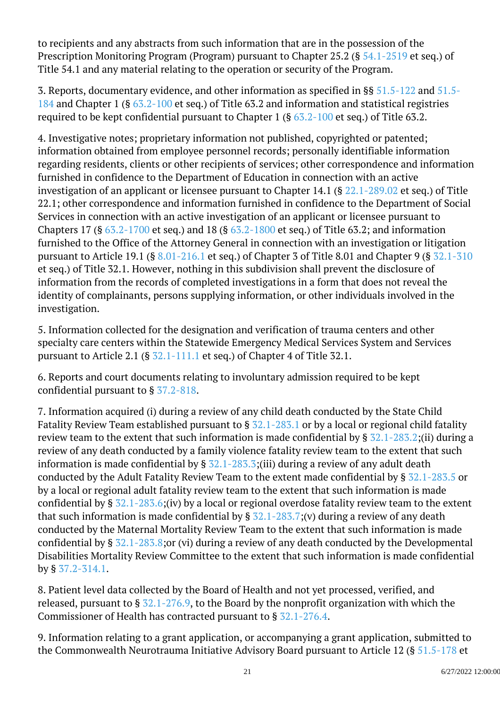to recipients and any abstracts from such information that are in the possession of the Prescription Monitoring Program (Program) pursuant to Chapter 25.2 (§ [54.1-2519](/vacode/54.1-2519/) et seq.) of Title 54.1 and any material relating to the operation or security of the Program.

3. Reports, documentary evidence, and other information as specified in §§ [51.5-122](/vacode/51.5-122/) and [51.5-](/vacode/51.5-184/) [184](/vacode/51.5-184/) and Chapter 1 (§ [63.2-100](/vacode/63.2-100/) et seq.) of Title 63.2 and information and statistical registries required to be kept confidential pursuant to Chapter 1 ( $\S$   $63.2$ -100 et seq.) of Title 63.2.

4. Investigative notes; proprietary information not published, copyrighted or patented; information obtained from employee personnel records; personally identifiable information regarding residents, clients or other recipients of services; other correspondence and information furnished in confidence to the Department of Education in connection with an active investigation of an applicant or licensee pursuant to Chapter 14.1 (§ [22.1-289.02](/vacode/22.1-289.02/) et seq.) of Title 22.1; other correspondence and information furnished in confidence to the Department of Social Services in connection with an active investigation of an applicant or licensee pursuant to Chapters 17 (§  $63.2-1700$  et seq.) and 18 (§  $63.2-1800$  et seq.) of Title 63.2; and information furnished to the Office of the Attorney General in connection with an investigation or litigation pursuant to Article 19.1 (§ [8.01-216.1](/vacode/8.01-216.1/) et seq.) of Chapter 3 of Title 8.01 and Chapter 9 (§ [32.1-310](/vacode/32.1-310/) et seq.) of Title 32.1. However, nothing in this subdivision shall prevent the disclosure of information from the records of completed investigations in a form that does not reveal the identity of complainants, persons supplying information, or other individuals involved in the investigation.

5. Information collected for the designation and verification of trauma centers and other specialty care centers within the Statewide Emergency Medical Services System and Services pursuant to Article 2.1 (§  $\frac{52.1 - 111.1}{2}$  et seq.) of Chapter 4 of Title 32.1. <sup>"</sup>

6. Reports and court documents relating to involuntary admission required to be kept confidential pursuant to  $\S 37.2 - 818$ .

7. Information acquired (i) during a review of any child death conducted by the State Child Fatality Review Team established pursuant to  $\S$  [32.1-283.1](/vacode/32.1-283.1/) or by a local or regional child fatality review team to the extent that such information is made confidential by  $\S 32.1-283.2$ ;(ii) during a review of any death conducted by a family violence fatality review team to the extent that such information is made confidential by  $\S$  [32.1-283.3;\(](/vacode/32.1-283.3/)iii) during a review of any adult death conducted by the Adult Fatality Review Team to the extent made confidential by § [32.1-283.5](/vacode/32.1-283.5/) or by a local or regional adult fatality review team to the extent that such information is made confidential by §  $\frac{1}{2}$  52.1-283.6;(iv) by a local or regional overdose fatality review team to the extent that such information is made confidential by §  $32.1-283.7$ ;(v) during a review of any death conducted by the Maternal Mortality Review Team to the extent that such information is made confidential by §  $\frac{1}{2}$  52.1-283.8; or (vi) during a review of any death conducted by the Developmental Disabilities Mortality Review Committee to the extent that such information is made confidential by § [37.2-314.1](/vacode/37.2-314.1/).

8. Patient level data collected by the Board of Health and not yet processed, verified, and released, pursuant to § [32.1-276.9](/vacode/32.1-276.9/), to the Board by the nonprofit organization with which the Commissioner of Health has contracted pursuant to § [32.1-276.4.](/vacode/32.1-276.4/)

9. Information relating to a grant application, or accompanying a grant application, submitted to the Commonwealth Neurotrauma Initiative Advisory Board pursuant to Article 12 (§ [51.5-178](/vacode/51.5-178/) et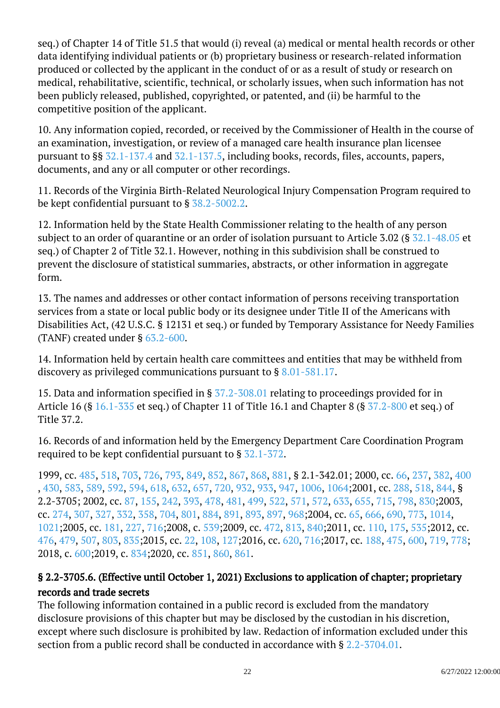seq.) of Chapter 14 of Title 51.5 that would (i) reveal (a) medical or mental health records or other data identifying individual patients or (b) proprietary business or research-related information produced or collected by the applicant in the conduct of or as a result of study or research on medical, rehabilitative, scientific, technical, or scholarly issues, when such information has not been publicly released, published, copyrighted, or patented, and (ii) be harmful to the competitive position of the applicant.

10. Any information copied, recorded, or received by the Commissioner of Health in the course of an examination, investigation, or review of a managed care health insurance plan licensee pursuant to §§ [32.1-137.4](/vacode/32.1-137.4/) and [32.1-137.5](/vacode/32.1-137.5/), including books, records, files, accounts, papers, documents, and any or all computer or other recordings.

11. Records of the Virginia Birth-Related Neurological Injury Compensation Program required to be kept confidential pursuant to § [38.2-5002.2.](/vacode/38.2-5002.2/)

12. Information held by the State Health Commissioner relating to the health of any person subject to an order of quarantine or an order of isolation pursuant to Article 3.02 (§  $32.1-48.05$  et seq.) of Chapter 2 of Title 32.1. However, nothing in this subdivision shall be construed to prevent the disclosure of statistical summaries, abstracts, or other information in aggregate form.

13. The names and addresses or other contact information of persons receiving transportation services from a state or local public body or its designee under Title II of the Americans with Disabilities Act, (42 U.S.C. § 12131 et seq.) or funded by Temporary Assistance for Needy Families (TANF) created under § [63.2-600.](/vacode/63.2-600/) Ì

14. Information held by certain health care committees and entities that may be withheld from discovery as privileged communications pursuant to § [8.01-581.17](/vacode/8.01-581.17/).

15. Data and information specified in § [37.2-308.01](/vacode/37.2-308.01/) relating to proceedings provided for in Article 16 (§ [16.1-335](/vacode/16.1-335/) et seq.) of Chapter 11 of Title 16.1 and Chapter 8 (§ [37.2-800](/vacode/37.2-800/) et seq.) of Title 37.2.

16. Records of and information held by the Emergency Department Care Coordination Program required to be kept confidential pursuant to §  $32.1$ -372.

1999, cc. [485,](http://lis.virginia.gov/cgi-bin/legp604.exe?991+ful+CHAP0485) [518](http://lis.virginia.gov/cgi-bin/legp604.exe?991+ful+CHAP0518), [703,](http://lis.virginia.gov/cgi-bin/legp604.exe?991+ful+CHAP0703) [726](http://lis.virginia.gov/cgi-bin/legp604.exe?991+ful+CHAP0726), [793,](http://lis.virginia.gov/cgi-bin/legp604.exe?991+ful+CHAP0793) [849](http://lis.virginia.gov/cgi-bin/legp604.exe?991+ful+CHAP0849), [852,](http://lis.virginia.gov/cgi-bin/legp604.exe?991+ful+CHAP0852) [867](http://lis.virginia.gov/cgi-bin/legp604.exe?991+ful+CHAP0867), [868,](http://lis.virginia.gov/cgi-bin/legp604.exe?991+ful+CHAP0868) [881](http://lis.virginia.gov/cgi-bin/legp604.exe?991+ful+CHAP0881), § 2.1-342.01; 2000, cc. [66](http://lis.virginia.gov/cgi-bin/legp604.exe?001+ful+CHAP0066), [237,](http://lis.virginia.gov/cgi-bin/legp604.exe?001+ful+CHAP0237) [382](http://lis.virginia.gov/cgi-bin/legp604.exe?001+ful+CHAP0382), [400](http://lis.virginia.gov/cgi-bin/legp604.exe?001+ful+CHAP0400) , [430](http://lis.virginia.gov/cgi-bin/legp604.exe?001+ful+CHAP0430), [583](http://lis.virginia.gov/cgi-bin/legp604.exe?001+ful+CHAP0583), [589,](http://lis.virginia.gov/cgi-bin/legp604.exe?001+ful+CHAP0589) [592](http://lis.virginia.gov/cgi-bin/legp604.exe?001+ful+CHAP0592), [594](http://lis.virginia.gov/cgi-bin/legp604.exe?001+ful+CHAP0594), [618](http://lis.virginia.gov/cgi-bin/legp604.exe?001+ful+CHAP0618), [632,](http://lis.virginia.gov/cgi-bin/legp604.exe?001+ful+CHAP0632) [657](http://lis.virginia.gov/cgi-bin/legp604.exe?001+ful+CHAP0657), [720](http://lis.virginia.gov/cgi-bin/legp604.exe?001+ful+CHAP0720), [932](http://lis.virginia.gov/cgi-bin/legp604.exe?001+ful+CHAP0932), [933,](http://lis.virginia.gov/cgi-bin/legp604.exe?001+ful+CHAP0933) [947](http://lis.virginia.gov/cgi-bin/legp604.exe?001+ful+CHAP0947), [1006,](http://lis.virginia.gov/cgi-bin/legp604.exe?001+ful+CHAP1006) [1064;2](http://lis.virginia.gov/cgi-bin/legp604.exe?001+ful+CHAP1064)001, cc. [288](http://lis.virginia.gov/cgi-bin/legp604.exe?011+ful+CHAP0288), [518,](http://lis.virginia.gov/cgi-bin/legp604.exe?011+ful+CHAP0518) [844](http://lis.virginia.gov/cgi-bin/legp604.exe?011+ful+CHAP0844), § 2.2-3705; 2002, cc. [87,](http://lis.virginia.gov/cgi-bin/legp604.exe?021+ful+CHAP0087) [155](http://lis.virginia.gov/cgi-bin/legp604.exe?021+ful+CHAP0155), [242,](http://lis.virginia.gov/cgi-bin/legp604.exe?021+ful+CHAP0242) [393](http://lis.virginia.gov/cgi-bin/legp604.exe?021+ful+CHAP0393), [478,](http://lis.virginia.gov/cgi-bin/legp604.exe?021+ful+CHAP0478) [481](http://lis.virginia.gov/cgi-bin/legp604.exe?021+ful+CHAP0481), [499,](http://lis.virginia.gov/cgi-bin/legp604.exe?021+ful+CHAP0499) [522](http://lis.virginia.gov/cgi-bin/legp604.exe?021+ful+CHAP0522), [571,](http://lis.virginia.gov/cgi-bin/legp604.exe?021+ful+CHAP0571) [572](http://lis.virginia.gov/cgi-bin/legp604.exe?021+ful+CHAP0572), [633,](http://lis.virginia.gov/cgi-bin/legp604.exe?021+ful+CHAP0633) [655](http://lis.virginia.gov/cgi-bin/legp604.exe?021+ful+CHAP0655), [715,](http://lis.virginia.gov/cgi-bin/legp604.exe?021+ful+CHAP0715) [798](http://lis.virginia.gov/cgi-bin/legp604.exe?021+ful+CHAP0798), [830;2](http://lis.virginia.gov/cgi-bin/legp604.exe?021+ful+CHAP0830)003, cc. [274,](http://lis.virginia.gov/cgi-bin/legp604.exe?031+ful+CHAP0274) [307](http://lis.virginia.gov/cgi-bin/legp604.exe?031+ful+CHAP0307), [327,](http://lis.virginia.gov/cgi-bin/legp604.exe?031+ful+CHAP0327) [332](http://lis.virginia.gov/cgi-bin/legp604.exe?031+ful+CHAP0332), [358,](http://lis.virginia.gov/cgi-bin/legp604.exe?031+ful+CHAP0358) [704](http://lis.virginia.gov/cgi-bin/legp604.exe?031+ful+CHAP0704), [801,](http://lis.virginia.gov/cgi-bin/legp604.exe?031+ful+CHAP0801) [884](http://lis.virginia.gov/cgi-bin/legp604.exe?031+ful+CHAP0884), [891,](http://lis.virginia.gov/cgi-bin/legp604.exe?031+ful+CHAP0891) [893](http://lis.virginia.gov/cgi-bin/legp604.exe?031+ful+CHAP0893), [897,](http://lis.virginia.gov/cgi-bin/legp604.exe?031+ful+CHAP0897) [968;](http://lis.virginia.gov/cgi-bin/legp604.exe?031+ful+CHAP0968)2004, cc. [65](http://lis.virginia.gov/cgi-bin/legp604.exe?041+ful+CHAP0065), [666,](http://lis.virginia.gov/cgi-bin/legp604.exe?041+ful+CHAP0666) [690](http://lis.virginia.gov/cgi-bin/legp604.exe?041+ful+CHAP0690), [773,](http://lis.virginia.gov/cgi-bin/legp604.exe?041+ful+CHAP0773) [1014,](http://lis.virginia.gov/cgi-bin/legp604.exe?041+ful+CHAP1014) [1021;2](http://lis.virginia.gov/cgi-bin/legp604.exe?041+ful+CHAP1021)005, cc. [181](http://lis.virginia.gov/cgi-bin/legp604.exe?051+ful+CHAP0181), [227,](http://lis.virginia.gov/cgi-bin/legp604.exe?051+ful+CHAP0227) [716;](http://lis.virginia.gov/cgi-bin/legp604.exe?051+ful+CHAP0716)2008, c. [539;](http://lis.virginia.gov/cgi-bin/legp604.exe?081+ful+CHAP0539)2009, cc. [472,](http://lis.virginia.gov/cgi-bin/legp604.exe?091+ful+CHAP0472) [813](http://lis.virginia.gov/cgi-bin/legp604.exe?091+ful+CHAP0813), [840;2](http://lis.virginia.gov/cgi-bin/legp604.exe?091+ful+CHAP0840)011, cc. [110](http://lis.virginia.gov/cgi-bin/legp604.exe?111+ful+CHAP0110), [175,](http://lis.virginia.gov/cgi-bin/legp604.exe?111+ful+CHAP0175) [535;](http://lis.virginia.gov/cgi-bin/legp604.exe?111+ful+CHAP0535)2012, cc. [476](http://lis.virginia.gov/cgi-bin/legp604.exe?121+ful+CHAP0476), [479,](http://lis.virginia.gov/cgi-bin/legp604.exe?121+ful+CHAP0479) [507](http://lis.virginia.gov/cgi-bin/legp604.exe?121+ful+CHAP0507), [803,](http://lis.virginia.gov/cgi-bin/legp604.exe?121+ful+CHAP0803) [835;](http://lis.virginia.gov/cgi-bin/legp604.exe?121+ful+CHAP0835)2015, cc. [22](http://lis.virginia.gov/cgi-bin/legp604.exe?151+ful+CHAP0022), [108,](http://lis.virginia.gov/cgi-bin/legp604.exe?151+ful+CHAP0108) [127;](http://lis.virginia.gov/cgi-bin/legp604.exe?151+ful+CHAP0127)2016, cc. [620,](http://lis.virginia.gov/cgi-bin/legp604.exe?161+ful+CHAP0620) [716;](http://lis.virginia.gov/cgi-bin/legp604.exe?161+ful+CHAP0716)2017, cc. [188,](http://lis.virginia.gov/cgi-bin/legp604.exe?171+ful+CHAP0188) [475](http://lis.virginia.gov/cgi-bin/legp604.exe?171+ful+CHAP0475), [600,](http://lis.virginia.gov/cgi-bin/legp604.exe?171+ful+CHAP0600) [719](http://lis.virginia.gov/cgi-bin/legp604.exe?171+ful+CHAP0719), [778;](http://lis.virginia.gov/cgi-bin/legp604.exe?171+ful+CHAP0778) 2018, c. [600;2](http://lis.virginia.gov/cgi-bin/legp604.exe?181+ful+CHAP0600)019, c. [834;2](http://lis.virginia.gov/cgi-bin/legp604.exe?191+ful+CHAP0834)020, cc. [851](http://lis.virginia.gov/cgi-bin/legp604.exe?201+ful+CHAP0851), [860,](http://lis.virginia.gov/cgi-bin/legp604.exe?201+ful+CHAP0860) [861](http://lis.virginia.gov/cgi-bin/legp604.exe?201+ful+CHAP0861).

# § 2.2-3705.6. (Effective until October 1, 2021) Exclusions to application of chapter; proprietary records and trade secrets

The following information contained in a public record is excluded from the mandatory disclosure provisions of this chapter but may be disclosed by the custodian in his discretion, except where such disclosure is prohibited by law. Redaction of information excluded under this section from a public record shall be conducted in accordance with §  $2.2$ -3704.01. Ĩ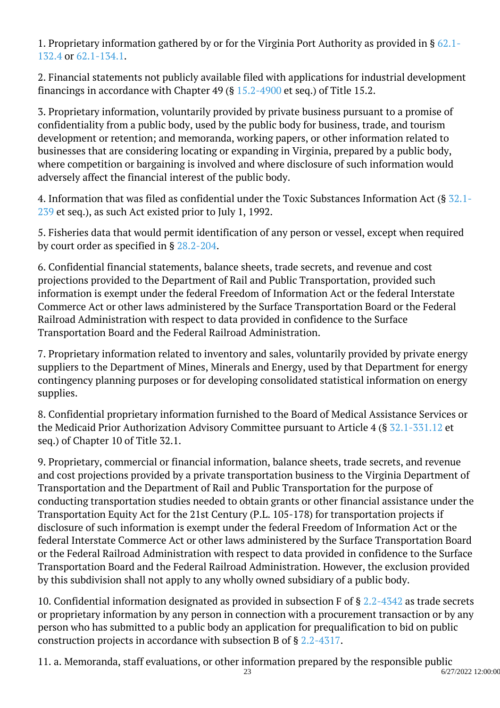1. Proprietary information gathered by or for the Virginia Port Authority as provided in § [62.1-](/vacode/62.1-132.4/) [132.4](/vacode/62.1-132.4/) or [62.1-134.1.](/vacode/62.1-134.1/)

2. Financial statements not publicly available filed with applications for industrial development financings in accordance with Chapter 49 (§ [15.2-4900](/vacode/15.2-4900/) et seq.) of Title 15.2.

3. Proprietary information, voluntarily provided by private business pursuant to a promise of confidentiality from a public body, used by the public body for business, trade, and tourism development or retention; and memoranda, working papers, or other information related to businesses that are considering locating or expanding in Virginia, prepared by a public body, where competition or bargaining is involved and where disclosure of such information would adversely affect the financial interest of the public body. Ĩ

4. Information that was filed as confidential under the Toxic Substances Information Act (§ [32.1-](/vacode/32.1-239/) [239](/vacode/32.1-239/) et seq.), as such Act existed prior to July 1, 1992.

5. Fisheries data that would permit identification of any person or vessel, except when required by court order as specified in § [28.2-204.](/vacode/28.2-204/)

6. Confidential financial statements, balance sheets, trade secrets, and revenue and cost projections provided to the Department of Rail and Public Transportation, provided such information is exempt under the federal Freedom of Information Act or the federal Interstate Commerce Act or other laws administered by the Surface Transportation Board or the Federal Railroad Administration with respect to data provided in confidence to the Surface Transportation Board and the Federal Railroad Administration.

7. Proprietary information related to inventory and sales, voluntarily provided by private energy suppliers to the Department of Mines, Minerals and Energy, used by that Department for energy contingency planning purposes or for developing consolidated statistical information on energy supplies. Ĩ

8. Confidential proprietary information furnished to the Board of Medical Assistance Services or the Medicaid Prior Authorization Advisory Committee pursuant to Article 4 (§ [32.1-331.12](/vacode/32.1-331.12/) et seq.) of Chapter 10 of Title 32.1. I

9. Proprietary, commercial or financial information, balance sheets, trade secrets, and revenue and cost projections provided by a private transportation business to the Virginia Department of Transportation and the Department of Rail and Public Transportation for the purpose of conducting transportation studies needed to obtain grants or other financial assistance under the Transportation Equity Act for the 21st Century (P.L. 105-178) for transportation projects if disclosure of such information is exempt under the federal Freedom of Information Act or the federal Interstate Commerce Act or other laws administered by the Surface Transportation Board or the Federal Railroad Administration with respect to data provided in confidence to the Surface Transportation Board and the Federal Railroad Administration. However, the exclusion provided by this subdivision shall not apply to any wholly owned subsidiary of a public body.

10. Confidential information designated as provided in subsection F of § [2.2-4342](/vacode/2.2-4342/) as trade secrets or proprietary information by any person in connection with a procurement transaction or by any person who has submitted to a public body an application for prequalification to bid on public construction projects in accordance with subsection B of § [2.2-4317](/vacode/2.2-4317/).

11. a. Memoranda, staff evaluations, or other information prepared by the responsible public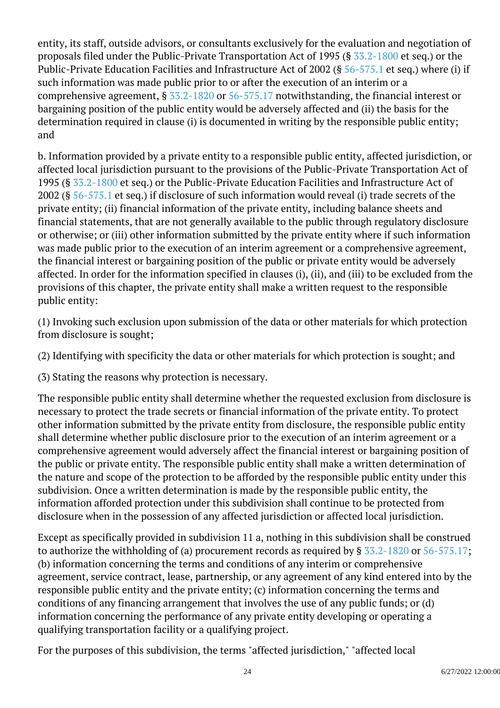entity, its staff, outside advisors, or consultants exclusively for the evaluation and negotiation of proposals filed under the Public-Private Transportation Act of 1995 (§ [33.2-1800](/vacode/33.2-1800/) et seq.) or the Public-Private Education Facilities and Infrastructure Act of 2002 (§ [56-575.1](/vacode/56-575.1/) et seq.) where (i) if such information was made public prior to or after the execution of an interim or a comprehensive agreement, § [33.2-1820](/vacode/33.2-1820/) or [56-575.17](/vacode/56-575.17/) notwithstanding, the financial interest or bargaining position of the public entity would be adversely affected and (ii) the basis for the determination required in clause (i) is documented in writing by the responsible public entity; and Ĩ

b. Information provided by a private entity to a responsible public entity, affected jurisdiction, or affected local jurisdiction pursuant to the provisions of the Public-Private Transportation Act of 1995 (§ [33.2-1800](/vacode/33.2-1800/) et seq.) or the Public-Private Education Facilities and Infrastructure Act of 2002 (§ [56-575.1](/vacode/56-575.1/) et seq.) if disclosure of such information would reveal (i) trade secrets of the private entity; (ii) financial information of the private entity, including balance sheets and financial statements, that are not generally available to the public through regulatory disclosure or otherwise; or (iii) other information submitted by the private entity where if such information was made public prior to the execution of an interim agreement or a comprehensive agreement, the financial interest or bargaining position of the public or private entity would be adversely affected. In order for the information specified in clauses (i), (ii), and (iii) to be excluded from the provisions of this chapter, the private entity shall make a written request to the responsible public entity: <sup>"</sup>

(1) Invoking such exclusion upon submission of the data or other materials for which protection from disclosure is sought;

(2) Identifying with specificity the data or other materials for which protection is sought; and Ì

(3) Stating the reasons why protection is necessary. Ì

The responsible public entity shall determine whether the requested exclusion from disclosure is necessary to protect the trade secrets or financial information of the private entity. To protect other information submitted by the private entity from disclosure, the responsible public entity shall determine whether public disclosure prior to the execution of an interim agreement or a comprehensive agreement would adversely affect the financial interest or bargaining position of the public or private entity. The responsible public entity shall make a written determination of the nature and scope of the protection to be afforded by the responsible public entity under this subdivision. Once a written determination is made by the responsible public entity, the information afforded protection under this subdivision shall continue to be protected from disclosure when in the possession of any affected jurisdiction or affected local jurisdiction.

Except as specifically provided in subdivision 11 a, nothing in this subdivision shall be construed to authorize the withholding of (a) procurement records as required by  $\S 33.2-1820$  or  $56-575.17$ ; (b) information concerning the terms and conditions of any interim or comprehensive agreement, service contract, lease, partnership, or any agreement of any kind entered into by the responsible public entity and the private entity; (c) information concerning the terms and conditions of any financing arrangement that involves the use of any public funds; or (d) information concerning the performance of any private entity developing or operating a qualifying transportation facility or a qualifying project.

For the purposes of this subdivision, the terms "affected jurisdiction," "affected local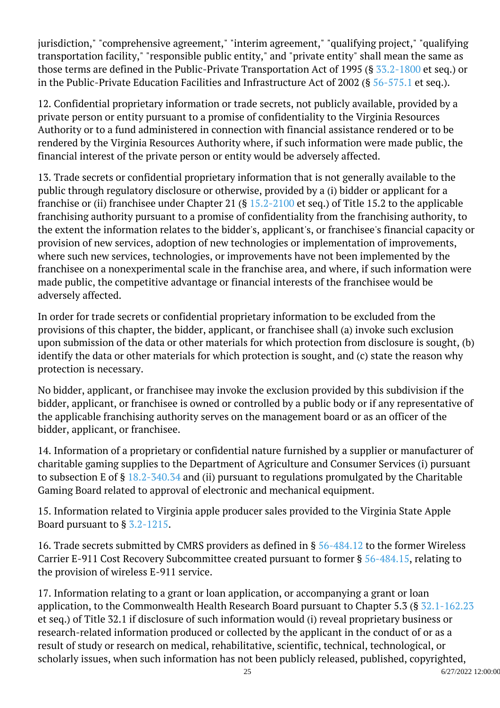jurisdiction," "comprehensive agreement," "interim agreement," "qualifying project," "qualifying transportation facility," "responsible public entity," and "private entity" shall mean the same as those terms are defined in the Public-Private Transportation Act of 1995 (§ [33.2-1800](/vacode/33.2-1800/) et seq.) or in the Public-Private Education Facilities and Infrastructure Act of 2002 (§ [56-575.1](/vacode/56-575.1/) et seq.).

12. Confidential proprietary information or trade secrets, not publicly available, provided by a private person or entity pursuant to a promise of confidentiality to the Virginia Resources Authority or to a fund administered in connection with financial assistance rendered or to be rendered by the Virginia Resources Authority where, if such information were made public, the financial interest of the private person or entity would be adversely affected.

13. Trade secrets or confidential proprietary information that is not generally available to the public through regulatory disclosure or otherwise, provided by a (i) bidder or applicant for a franchise or (ii) franchisee under Chapter 21 (§ [15.2-2100](/vacode/15.2-2100/) et seq.) of Title 15.2 to the applicable franchising authority pursuant to a promise of confidentiality from the franchising authority, to the extent the information relates to the bidder's, applicant's, or franchisee's financial capacity or provision of new services, adoption of new technologies or implementation of improvements, where such new services, technologies, or improvements have not been implemented by the franchisee on a nonexperimental scale in the franchise area, and where, if such information were made public, the competitive advantage or financial interests of the franchisee would be adversely affected.

In order for trade secrets or confidential proprietary information to be excluded from the provisions of this chapter, the bidder, applicant, or franchisee shall (a) invoke such exclusion upon submission of the data or other materials for which protection from disclosure is sought, (b) identify the data or other materials for which protection is sought, and (c) state the reason why protection is necessary. <sup>"</sup>

No bidder, applicant, or franchisee may invoke the exclusion provided by this subdivision if the bidder, applicant, or franchisee is owned or controlled by a public body or if any representative of the applicable franchising authority serves on the management board or as an officer of the bidder, applicant, or franchisee.

14. Information of a proprietary or confidential nature furnished by a supplier or manufacturer of charitable gaming supplies to the Department of Agriculture and Consumer Services (i) pursuant to subsection E of § [18.2-340.34](/vacode/18.2-340.34/) and (ii) pursuant to regulations promulgated by the Charitable Gaming Board related to approval of electronic and mechanical equipment.

15. Information related to Virginia apple producer sales provided to the Virginia State Apple Board pursuant to  $\S 3.2$ -1215.

16. Trade secrets submitted by CMRS providers as defined in § [56-484.12](/vacode/56-484.12/) to the former Wireless Carrier E-911 Cost Recovery Subcommittee created pursuant to former § [56-484.15](/vacode/56-484.15/), relating to the provision of wireless E-911 service.

17. Information relating to a grant or loan application, or accompanying a grant or loan application, to the Commonwealth Health Research Board pursuant to Chapter 5.3 (§ [32.1-162.23](/vacode/32.1-162.23/) et seq.) of Title 32.1 if disclosure of such information would (i) reveal proprietary business or research-related information produced or collected by the applicant in the conduct of or as a result of study or research on medical, rehabilitative, scientific, technical, technological, or scholarly issues, when such information has not been publicly released, published, copyrighted,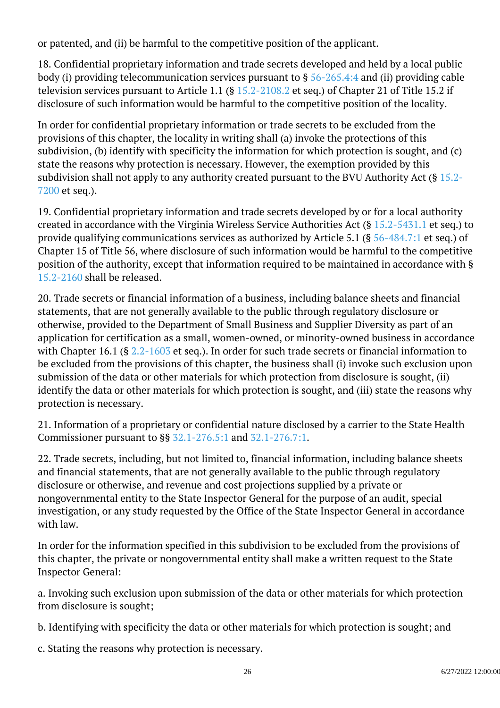or patented, and (ii) be harmful to the competitive position of the applicant.

18. Confidential proprietary information and trade secrets developed and held by a local public body (i) providing telecommunication services pursuant to  $\S$  [56-265.4:4](/vacode/56-265.4:4/) and (ii) providing cable television services pursuant to Article 1.1 (§ [15.2-2108.2](/vacode/15.2-2108.2/) et seq.) of Chapter 21 of Title 15.2 if disclosure of such information would be harmful to the competitive position of the locality.

In order for confidential proprietary information or trade secrets to be excluded from the provisions of this chapter, the locality in writing shall (a) invoke the protections of this subdivision, (b) identify with specificity the information for which protection is sought, and (c) state the reasons why protection is necessary. However, the exemption provided by this subdivision shall not apply to any authority created pursuant to the BVU Authority Act ( $\S 15.2$ -[7200](/vacode/15.2-7200/) et seq.).

19. Confidential proprietary information and trade secrets developed by or for a local authority created in accordance with the Virginia Wireless Service Authorities Act (§ [15.2-5431.1](/vacode/15.2-5431.1/) et seq.) to provide qualifying communications services as authorized by Article 5.1 (§ [56-484.7:1](/vacode/56-484.7:1/) et seq.) of Chapter 15 of Title 56, where disclosure of such information would be harmful to the competitive position of the authority, except that information required to be maintained in accordance with § [15.2-2160](/vacode/15.2-2160/) shall be released.

20. Trade secrets or financial information of a business, including balance sheets and financial statements, that are not generally available to the public through regulatory disclosure or otherwise, provided to the Department of Small Business and Supplier Diversity as part of an application for certification as a small, women-owned, or minority-owned business in accordance with Chapter 16.1 (§  $2.2$ -1603 et seq.). In order for such trade secrets or financial information to be excluded from the provisions of this chapter, the business shall (i) invoke such exclusion upon submission of the data or other materials for which protection from disclosure is sought, (ii) identify the data or other materials for which protection is sought, and (iii) state the reasons why protection is necessary. <sup>"</sup>

21. Information of a proprietary or confidential nature disclosed by a carrier to the State Health Commissioner pursuant to §§ [32.1-276.5:1](/vacode/32.1-276.5:1/) and [32.1-276.7:1.](/vacode/32.1-276.7:1/)

22. Trade secrets, including, but not limited to, financial information, including balance sheets and financial statements, that are not generally available to the public through regulatory disclosure or otherwise, and revenue and cost projections supplied by a private or nongovernmental entity to the State Inspector General for the purpose of an audit, special investigation, or any study requested by the Office of the State Inspector General in accordance with law.

In order for the information specified in this subdivision to be excluded from the provisions of this chapter, the private or nongovernmental entity shall make a written request to the State Inspector General:

a. Invoking such exclusion upon submission of the data or other materials for which protection from disclosure is sought;

b. Identifying with specificity the data or other materials for which protection is sought; and

c. Stating the reasons why protection is necessary.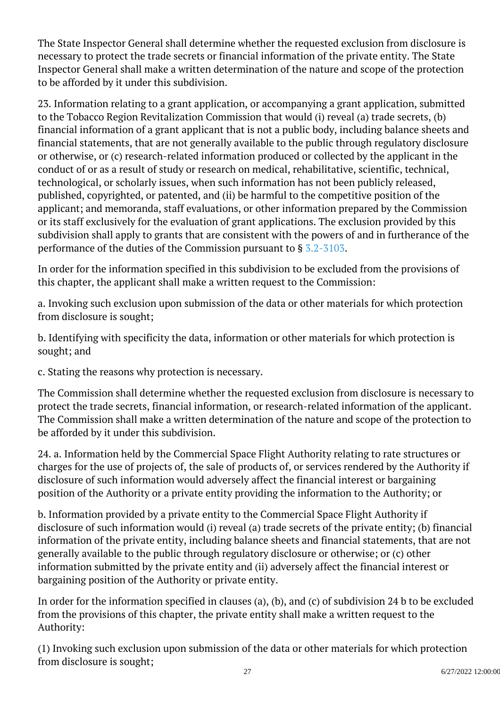The State Inspector General shall determine whether the requested exclusion from disclosure is necessary to protect the trade secrets or financial information of the private entity. The State Inspector General shall make a written determination of the nature and scope of the protection to be afforded by it under this subdivision.

23. Information relating to a grant application, or accompanying a grant application, submitted to the Tobacco Region Revitalization Commission that would (i) reveal (a) trade secrets, (b) financial information of a grant applicant that is not a public body, including balance sheets and financial statements, that are not generally available to the public through regulatory disclosure or otherwise, or (c) research-related information produced or collected by the applicant in the conduct of or as a result of study or research on medical, rehabilitative, scientific, technical, technological, or scholarly issues, when such information has not been publicly released, published, copyrighted, or patented, and (ii) be harmful to the competitive position of the applicant; and memoranda, staff evaluations, or other information prepared by the Commission or its staff exclusively for the evaluation of grant applications. The exclusion provided by this subdivision shall apply to grants that are consistent with the powers of and in furtherance of the performance of the duties of the Commission pursuant to §  $3.2$ - $3103$ . <sup>"</sup>

In order for the information specified in this subdivision to be excluded from the provisions of this chapter, the applicant shall make a written request to the Commission:

a. Invoking such exclusion upon submission of the data or other materials for which protection from disclosure is sought;

b. Identifying with specificity the data, information or other materials for which protection is sought; and

c. Stating the reasons why protection is necessary.

The Commission shall determine whether the requested exclusion from disclosure is necessary to protect the trade secrets, financial information, or research-related information of the applicant. The Commission shall make a written determination of the nature and scope of the protection to be afforded by it under this subdivision.

24. a. Information held by the Commercial Space Flight Authority relating to rate structures or charges for the use of projects of, the sale of products of, or services rendered by the Authority if disclosure of such information would adversely affect the financial interest or bargaining position of the Authority or a private entity providing the information to the Authority; or <sup>"</sup>

b. Information provided by a private entity to the Commercial Space Flight Authority if disclosure of such information would (i) reveal (a) trade secrets of the private entity; (b) financial information of the private entity, including balance sheets and financial statements, that are not generally available to the public through regulatory disclosure or otherwise; or (c) other information submitted by the private entity and (ii) adversely affect the financial interest or bargaining position of the Authority or private entity.

In order for the information specified in clauses (a), (b), and (c) of subdivision 24 b to be excluded from the provisions of this chapter, the private entity shall make a written request to the Authority:

(1) Invoking such exclusion upon submission of the data or other materials for which protection from disclosure is sought;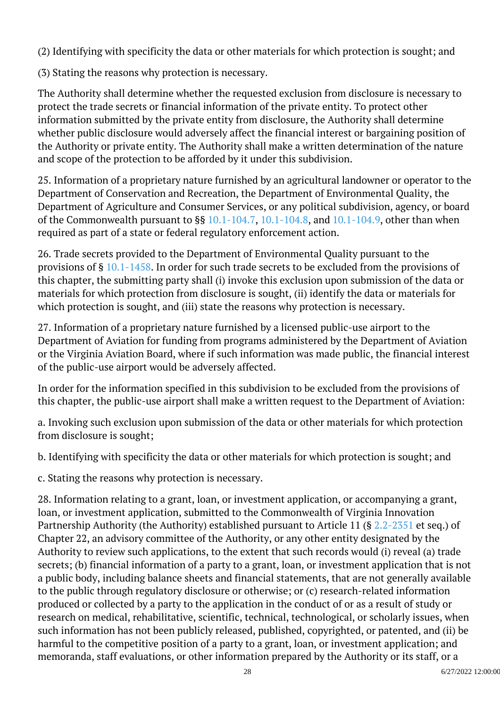(2) Identifying with specificity the data or other materials for which protection is sought; and Ì

(3) Stating the reasons why protection is necessary. Ì

The Authority shall determine whether the requested exclusion from disclosure is necessary to protect the trade secrets or financial information of the private entity. To protect other information submitted by the private entity from disclosure, the Authority shall determine whether public disclosure would adversely affect the financial interest or bargaining position of the Authority or private entity. The Authority shall make a written determination of the nature and scope of the protection to be afforded by it under this subdivision. Ĩ

25. Information of a proprietary nature furnished by an agricultural landowner or operator to the Department of Conservation and Recreation, the Department of Environmental Quality, the Department of Agriculture and Consumer Services, or any political subdivision, agency, or board of the Commonwealth pursuant to §§ [10.1-104.7,](/vacode/10.1-104.7/) [10.1-104.8,](/vacode/10.1-104.8/) and [10.1-104.9](/vacode/10.1-104.9/), other than when required as part of a state or federal regulatory enforcement action.

26. Trade secrets provided to the Department of Environmental Quality pursuant to the provisions of § [10.1-1458.](/vacode/10.1-1458/) In order for such trade secrets to be excluded from the provisions of this chapter, the submitting party shall (i) invoke this exclusion upon submission of the data or materials for which protection from disclosure is sought, (ii) identify the data or materials for which protection is sought, and (iii) state the reasons why protection is necessary.

27. Information of a proprietary nature furnished by a licensed public-use airport to the Department of Aviation for funding from programs administered by the Department of Aviation or the Virginia Aviation Board, where if such information was made public, the financial interest of the public-use airport would be adversely affected.

In order for the information specified in this subdivision to be excluded from the provisions of this chapter, the public-use airport shall make a written request to the Department of Aviation:

a. Invoking such exclusion upon submission of the data or other materials for which protection from disclosure is sought;

b. Identifying with specificity the data or other materials for which protection is sought; and

c. Stating the reasons why protection is necessary.

28. Information relating to a grant, loan, or investment application, or accompanying a grant, loan, or investment application, submitted to the Commonwealth of Virginia Innovation Partnership Authority (the Authority) established pursuant to Article 11 (§ [2.2-2351](/vacode/2.2-2351/) et seq.) of Chapter 22, an advisory committee of the Authority, or any other entity designated by the Authority to review such applications, to the extent that such records would (i) reveal (a) trade secrets; (b) financial information of a party to a grant, loan, or investment application that is not a public body, including balance sheets and financial statements, that are not generally available to the public through regulatory disclosure or otherwise; or (c) research-related information produced or collected by a party to the application in the conduct of or as a result of study or research on medical, rehabilitative, scientific, technical, technological, or scholarly issues, when such information has not been publicly released, published, copyrighted, or patented, and (ii) be harmful to the competitive position of a party to a grant, loan, or investment application; and memoranda, staff evaluations, or other information prepared by the Authority or its staff, or a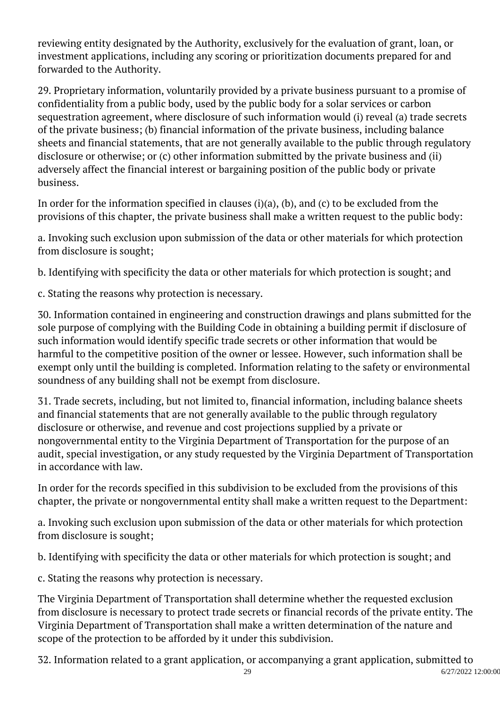reviewing entity designated by the Authority, exclusively for the evaluation of grant, loan, or investment applications, including any scoring or prioritization documents prepared for and forwarded to the Authority.

29. Proprietary information, voluntarily provided by a private business pursuant to a promise of confidentiality from a public body, used by the public body for a solar services or carbon sequestration agreement, where disclosure of such information would (i) reveal (a) trade secrets of the private business; (b) financial information of the private business, including balance sheets and financial statements, that are not generally available to the public through regulatory disclosure or otherwise; or (c) other information submitted by the private business and (ii) adversely affect the financial interest or bargaining position of the public body or private business.

In order for the information specified in clauses  $(i)(a)$ ,  $(b)$ , and  $(c)$  to be excluded from the provisions of this chapter, the private business shall make a written request to the public body: <sup>"</sup>

a. Invoking such exclusion upon submission of the data or other materials for which protection from disclosure is sought;

b. Identifying with specificity the data or other materials for which protection is sought; and

c. Stating the reasons why protection is necessary.

30. Information contained in engineering and construction drawings and plans submitted for the sole purpose of complying with the Building Code in obtaining a building permit if disclosure of such information would identify specific trade secrets or other information that would be harmful to the competitive position of the owner or lessee. However, such information shall be exempt only until the building is completed. Information relating to the safety or environmental soundness of any building shall not be exempt from disclosure. Ĩ

31. Trade secrets, including, but not limited to, financial information, including balance sheets and financial statements that are not generally available to the public through regulatory disclosure or otherwise, and revenue and cost projections supplied by a private or nongovernmental entity to the Virginia Department of Transportation for the purpose of an audit, special investigation, or any study requested by the Virginia Department of Transportation in accordance with law.

In order for the records specified in this subdivision to be excluded from the provisions of this chapter, the private or nongovernmental entity shall make a written request to the Department:

a. Invoking such exclusion upon submission of the data or other materials for which protection from disclosure is sought;

b. Identifying with specificity the data or other materials for which protection is sought; and

c. Stating the reasons why protection is necessary.

The Virginia Department of Transportation shall determine whether the requested exclusion from disclosure is necessary to protect trade secrets or financial records of the private entity. The Virginia Department of Transportation shall make a written determination of the nature and scope of the protection to be afforded by it under this subdivision.

32. Information related to a grant application, or accompanying a grant application, submitted to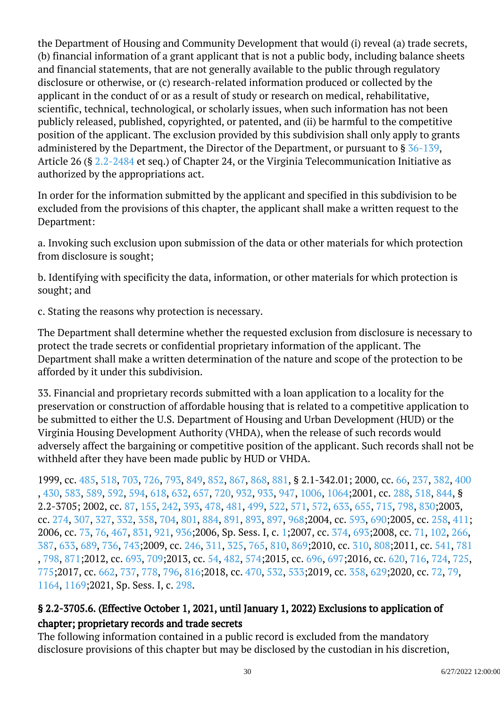the Department of Housing and Community Development that would (i) reveal (a) trade secrets, (b) financial information of a grant applicant that is not a public body, including balance sheets and financial statements, that are not generally available to the public through regulatory disclosure or otherwise, or (c) research-related information produced or collected by the applicant in the conduct of or as a result of study or research on medical, rehabilitative, scientific, technical, technological, or scholarly issues, when such information has not been publicly released, published, copyrighted, or patented, and (ii) be harmful to the competitive position of the applicant. The exclusion provided by this subdivision shall only apply to grants administered by the Department, the Director of the Department, or pursuant to  $\S 36-139$ , Article 26 (§ [2.2-2484](/vacode/2.2-2484/) et seq.) of Chapter 24, or the Virginia Telecommunication Initiative as authorized by the appropriations act. Ĩ

In order for the information submitted by the applicant and specified in this subdivision to be excluded from the provisions of this chapter, the applicant shall make a written request to the Department:

a. Invoking such exclusion upon submission of the data or other materials for which protection from disclosure is sought;

b. Identifying with specificity the data, information, or other materials for which protection is sought; and

c. Stating the reasons why protection is necessary.

The Department shall determine whether the requested exclusion from disclosure is necessary to protect the trade secrets or confidential proprietary information of the applicant. The Department shall make a written determination of the nature and scope of the protection to be afforded by it under this subdivision. Ĩ

33. Financial and proprietary records submitted with a loan application to a locality for the preservation or construction of affordable housing that is related to a competitive application to be submitted to either the U.S. Department of Housing and Urban Development (HUD) or the Virginia Housing Development Authority (VHDA), when the release of such records would adversely affect the bargaining or competitive position of the applicant. Such records shall not be withheld after they have been made public by HUD or VHDA.

1999, cc. [485,](http://lis.virginia.gov/cgi-bin/legp604.exe?991+ful+CHAP0485) [518](http://lis.virginia.gov/cgi-bin/legp604.exe?991+ful+CHAP0518), [703,](http://lis.virginia.gov/cgi-bin/legp604.exe?991+ful+CHAP0703) [726](http://lis.virginia.gov/cgi-bin/legp604.exe?991+ful+CHAP0726), [793,](http://lis.virginia.gov/cgi-bin/legp604.exe?991+ful+CHAP0793) [849](http://lis.virginia.gov/cgi-bin/legp604.exe?991+ful+CHAP0849), [852,](http://lis.virginia.gov/cgi-bin/legp604.exe?991+ful+CHAP0852) [867](http://lis.virginia.gov/cgi-bin/legp604.exe?991+ful+CHAP0867), [868,](http://lis.virginia.gov/cgi-bin/legp604.exe?991+ful+CHAP0868) [881](http://lis.virginia.gov/cgi-bin/legp604.exe?991+ful+CHAP0881), § 2.1-342.01; 2000, cc. [66](http://lis.virginia.gov/cgi-bin/legp604.exe?001+ful+CHAP0066), [237,](http://lis.virginia.gov/cgi-bin/legp604.exe?001+ful+CHAP0237) [382](http://lis.virginia.gov/cgi-bin/legp604.exe?001+ful+CHAP0382), [400](http://lis.virginia.gov/cgi-bin/legp604.exe?001+ful+CHAP0400) , [430](http://lis.virginia.gov/cgi-bin/legp604.exe?001+ful+CHAP0430), [583](http://lis.virginia.gov/cgi-bin/legp604.exe?001+ful+CHAP0583), [589,](http://lis.virginia.gov/cgi-bin/legp604.exe?001+ful+CHAP0589) [592](http://lis.virginia.gov/cgi-bin/legp604.exe?001+ful+CHAP0592), [594](http://lis.virginia.gov/cgi-bin/legp604.exe?001+ful+CHAP0594), [618](http://lis.virginia.gov/cgi-bin/legp604.exe?001+ful+CHAP0618), [632,](http://lis.virginia.gov/cgi-bin/legp604.exe?001+ful+CHAP0632) [657](http://lis.virginia.gov/cgi-bin/legp604.exe?001+ful+CHAP0657), [720](http://lis.virginia.gov/cgi-bin/legp604.exe?001+ful+CHAP0720), [932](http://lis.virginia.gov/cgi-bin/legp604.exe?001+ful+CHAP0932), [933,](http://lis.virginia.gov/cgi-bin/legp604.exe?001+ful+CHAP0933) [947](http://lis.virginia.gov/cgi-bin/legp604.exe?001+ful+CHAP0947), [1006,](http://lis.virginia.gov/cgi-bin/legp604.exe?001+ful+CHAP1006) [1064;2](http://lis.virginia.gov/cgi-bin/legp604.exe?001+ful+CHAP1064)001, cc. [288](http://lis.virginia.gov/cgi-bin/legp604.exe?011+ful+CHAP0288), [518,](http://lis.virginia.gov/cgi-bin/legp604.exe?011+ful+CHAP0518) [844](http://lis.virginia.gov/cgi-bin/legp604.exe?011+ful+CHAP0844), § 2.2-3705; 2002, cc. [87,](http://lis.virginia.gov/cgi-bin/legp604.exe?021+ful+CHAP0087) [155](http://lis.virginia.gov/cgi-bin/legp604.exe?021+ful+CHAP0155), [242,](http://lis.virginia.gov/cgi-bin/legp604.exe?021+ful+CHAP0242) [393](http://lis.virginia.gov/cgi-bin/legp604.exe?021+ful+CHAP0393), [478,](http://lis.virginia.gov/cgi-bin/legp604.exe?021+ful+CHAP0478) [481](http://lis.virginia.gov/cgi-bin/legp604.exe?021+ful+CHAP0481), [499,](http://lis.virginia.gov/cgi-bin/legp604.exe?021+ful+CHAP0499) [522](http://lis.virginia.gov/cgi-bin/legp604.exe?021+ful+CHAP0522), [571,](http://lis.virginia.gov/cgi-bin/legp604.exe?021+ful+CHAP0571) [572](http://lis.virginia.gov/cgi-bin/legp604.exe?021+ful+CHAP0572), [633,](http://lis.virginia.gov/cgi-bin/legp604.exe?021+ful+CHAP0633) [655](http://lis.virginia.gov/cgi-bin/legp604.exe?021+ful+CHAP0655), [715,](http://lis.virginia.gov/cgi-bin/legp604.exe?021+ful+CHAP0715) [798](http://lis.virginia.gov/cgi-bin/legp604.exe?021+ful+CHAP0798), [830;2](http://lis.virginia.gov/cgi-bin/legp604.exe?021+ful+CHAP0830)003, cc. [274,](http://lis.virginia.gov/cgi-bin/legp604.exe?031+ful+CHAP0274) [307](http://lis.virginia.gov/cgi-bin/legp604.exe?031+ful+CHAP0307), [327,](http://lis.virginia.gov/cgi-bin/legp604.exe?031+ful+CHAP0327) [332](http://lis.virginia.gov/cgi-bin/legp604.exe?031+ful+CHAP0332), [358,](http://lis.virginia.gov/cgi-bin/legp604.exe?031+ful+CHAP0358) [704](http://lis.virginia.gov/cgi-bin/legp604.exe?031+ful+CHAP0704), [801,](http://lis.virginia.gov/cgi-bin/legp604.exe?031+ful+CHAP0801) [884](http://lis.virginia.gov/cgi-bin/legp604.exe?031+ful+CHAP0884), [891,](http://lis.virginia.gov/cgi-bin/legp604.exe?031+ful+CHAP0891) [893](http://lis.virginia.gov/cgi-bin/legp604.exe?031+ful+CHAP0893), [897,](http://lis.virginia.gov/cgi-bin/legp604.exe?031+ful+CHAP0897) [968;](http://lis.virginia.gov/cgi-bin/legp604.exe?031+ful+CHAP0968)2004, cc. [593,](http://lis.virginia.gov/cgi-bin/legp604.exe?041+ful+CHAP0593) [690;](http://lis.virginia.gov/cgi-bin/legp604.exe?041+ful+CHAP0690)2005, cc. [258,](http://lis.virginia.gov/cgi-bin/legp604.exe?051+ful+CHAP0258) [411;](http://lis.virginia.gov/cgi-bin/legp604.exe?051+ful+CHAP0411) 2006, cc. [73](http://lis.virginia.gov/cgi-bin/legp604.exe?061+ful+CHAP0073), [76](http://lis.virginia.gov/cgi-bin/legp604.exe?061+ful+CHAP0076), [467,](http://lis.virginia.gov/cgi-bin/legp604.exe?061+ful+CHAP0467) [831](http://lis.virginia.gov/cgi-bin/legp604.exe?061+ful+CHAP0831), [921,](http://lis.virginia.gov/cgi-bin/legp604.exe?061+ful+CHAP0921) [936;](http://lis.virginia.gov/cgi-bin/legp604.exe?061+ful+CHAP0936)2006, Sp. Sess. I, c. [1;2](http://lis.virginia.gov/cgi-bin/legp604.exe?061+ful+CHAP0001)007, cc. [374](http://lis.virginia.gov/cgi-bin/legp604.exe?071+ful+CHAP0374), [693;2](http://lis.virginia.gov/cgi-bin/legp604.exe?071+ful+CHAP0693)008, cc. [71,](http://lis.virginia.gov/cgi-bin/legp604.exe?081+ful+CHAP0071) [102](http://lis.virginia.gov/cgi-bin/legp604.exe?081+ful+CHAP0102), [266,](http://lis.virginia.gov/cgi-bin/legp604.exe?081+ful+CHAP0266) [387](http://lis.virginia.gov/cgi-bin/legp604.exe?081+ful+CHAP0387), [633,](http://lis.virginia.gov/cgi-bin/legp604.exe?081+ful+CHAP0633) [689](http://lis.virginia.gov/cgi-bin/legp604.exe?081+ful+CHAP0689), [736,](http://lis.virginia.gov/cgi-bin/legp604.exe?081+ful+CHAP0736) [743;](http://lis.virginia.gov/cgi-bin/legp604.exe?081+ful+CHAP0743)2009, cc. [246,](http://lis.virginia.gov/cgi-bin/legp604.exe?091+ful+CHAP0246) [311](http://lis.virginia.gov/cgi-bin/legp604.exe?091+ful+CHAP0311), [325,](http://lis.virginia.gov/cgi-bin/legp604.exe?091+ful+CHAP0325) [765](http://lis.virginia.gov/cgi-bin/legp604.exe?091+ful+CHAP0765), [810,](http://lis.virginia.gov/cgi-bin/legp604.exe?091+ful+CHAP0810) [869;](http://lis.virginia.gov/cgi-bin/legp604.exe?091+ful+CHAP0869)2010, cc. [310,](http://lis.virginia.gov/cgi-bin/legp604.exe?101+ful+CHAP0310) [808;](http://lis.virginia.gov/cgi-bin/legp604.exe?101+ful+CHAP0808)2011, cc. [541,](http://lis.virginia.gov/cgi-bin/legp604.exe?111+ful+CHAP0541) [781](http://lis.virginia.gov/cgi-bin/legp604.exe?111+ful+CHAP0781) , [798](http://lis.virginia.gov/cgi-bin/legp604.exe?111+ful+CHAP0798), [871;2](http://lis.virginia.gov/cgi-bin/legp604.exe?111+ful+CHAP0871)012, cc. [693,](http://lis.virginia.gov/cgi-bin/legp604.exe?121+ful+CHAP0693) [709;](http://lis.virginia.gov/cgi-bin/legp604.exe?121+ful+CHAP0709)2013, cc. [54](http://lis.virginia.gov/cgi-bin/legp604.exe?131+ful+CHAP0054), [482,](http://lis.virginia.gov/cgi-bin/legp604.exe?131+ful+CHAP0482) [574;](http://lis.virginia.gov/cgi-bin/legp604.exe?131+ful+CHAP0574)2015, cc. [696,](http://lis.virginia.gov/cgi-bin/legp604.exe?151+ful+CHAP0696) [697;](http://lis.virginia.gov/cgi-bin/legp604.exe?151+ful+CHAP0697)2016, cc. [620,](http://lis.virginia.gov/cgi-bin/legp604.exe?161+ful+CHAP0620) [716](http://lis.virginia.gov/cgi-bin/legp604.exe?161+ful+CHAP0716), [724,](http://lis.virginia.gov/cgi-bin/legp604.exe?161+ful+CHAP0724) [725](http://lis.virginia.gov/cgi-bin/legp604.exe?161+ful+CHAP0725), [775;](http://lis.virginia.gov/cgi-bin/legp604.exe?161+ful+CHAP0775)2017, cc. [662,](http://lis.virginia.gov/cgi-bin/legp604.exe?171+ful+CHAP0662) [737](http://lis.virginia.gov/cgi-bin/legp604.exe?171+ful+CHAP0737), [778,](http://lis.virginia.gov/cgi-bin/legp604.exe?171+ful+CHAP0778) [796](http://lis.virginia.gov/cgi-bin/legp604.exe?171+ful+CHAP0796), [816;2](http://lis.virginia.gov/cgi-bin/legp604.exe?171+ful+CHAP0816)018, cc. [470](http://lis.virginia.gov/cgi-bin/legp604.exe?181+ful+CHAP0470), [532,](http://lis.virginia.gov/cgi-bin/legp604.exe?181+ful+CHAP0532) [533;](http://lis.virginia.gov/cgi-bin/legp604.exe?181+ful+CHAP0533)2019, cc. [358,](http://lis.virginia.gov/cgi-bin/legp604.exe?191+ful+CHAP0358) [629;](http://lis.virginia.gov/cgi-bin/legp604.exe?191+ful+CHAP0629)2020, cc. [72](http://lis.virginia.gov/cgi-bin/legp604.exe?201+ful+CHAP0072), [79](http://lis.virginia.gov/cgi-bin/legp604.exe?201+ful+CHAP0079), [1164,](http://lis.virginia.gov/cgi-bin/legp604.exe?201+ful+CHAP1164) [1169;](http://lis.virginia.gov/cgi-bin/legp604.exe?201+ful+CHAP1169)2021, Sp. Sess. I, c. [298.](http://lis.virginia.gov/cgi-bin/legp604.exe?212+ful+CHAP0298)

# § 2.2-3705.6. (Effective October 1, 2021, until January 1, 2022) Exclusions to application of chapter; proprietary records and trade secrets

The following information contained in a public record is excluded from the mandatory disclosure provisions of this chapter but may be disclosed by the custodian in his discretion,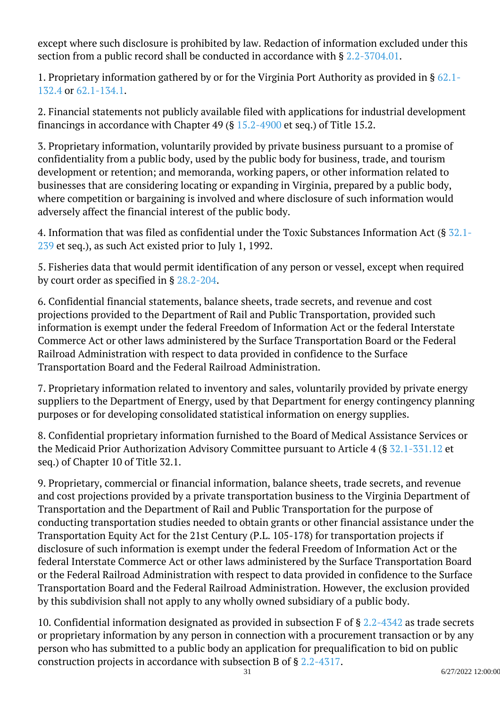except where such disclosure is prohibited by law. Redaction of information excluded under this section from a public record shall be conducted in accordance with § [2.2-3704.01](/vacode/2.2-3704.01/). Ĩ

1. Proprietary information gathered by or for the Virginia Port Authority as provided in § [62.1-](/vacode/62.1-132.4/) [132.4](/vacode/62.1-132.4/) or [62.1-134.1.](/vacode/62.1-134.1/)

2. Financial statements not publicly available filed with applications for industrial development financings in accordance with Chapter 49 (§ [15.2-4900](/vacode/15.2-4900/) et seq.) of Title 15.2.

3. Proprietary information, voluntarily provided by private business pursuant to a promise of confidentiality from a public body, used by the public body for business, trade, and tourism development or retention; and memoranda, working papers, or other information related to businesses that are considering locating or expanding in Virginia, prepared by a public body, where competition or bargaining is involved and where disclosure of such information would adversely affect the financial interest of the public body.

4. Information that was filed as confidential under the Toxic Substances Information Act (§ [32.1-](/vacode/32.1-239/)  $239$  et seq.), as such Act existed prior to July 1, 1992.

5. Fisheries data that would permit identification of any person or vessel, except when required by court order as specified in § [28.2-204.](/vacode/28.2-204/)

6. Confidential financial statements, balance sheets, trade secrets, and revenue and cost projections provided to the Department of Rail and Public Transportation, provided such information is exempt under the federal Freedom of Information Act or the federal Interstate Commerce Act or other laws administered by the Surface Transportation Board or the Federal Railroad Administration with respect to data provided in confidence to the Surface Transportation Board and the Federal Railroad Administration.

7. Proprietary information related to inventory and sales, voluntarily provided by private energy suppliers to the Department of Energy, used by that Department for energy contingency planning purposes or for developing consolidated statistical information on energy supplies. <sup>"</sup>

8. Confidential proprietary information furnished to the Board of Medical Assistance Services or the Medicaid Prior Authorization Advisory Committee pursuant to Article 4 (§ [32.1-331.12](/vacode/32.1-331.12/) et seq.) of Chapter 10 of Title 32.1.

9. Proprietary, commercial or financial information, balance sheets, trade secrets, and revenue and cost projections provided by a private transportation business to the Virginia Department of Transportation and the Department of Rail and Public Transportation for the purpose of conducting transportation studies needed to obtain grants or other financial assistance under the Transportation Equity Act for the 21st Century (P.L. 105-178) for transportation projects if disclosure of such information is exempt under the federal Freedom of Information Act or the federal Interstate Commerce Act or other laws administered by the Surface Transportation Board or the Federal Railroad Administration with respect to data provided in confidence to the Surface Transportation Board and the Federal Railroad Administration. However, the exclusion provided by this subdivision shall not apply to any wholly owned subsidiary of a public body.

10. Confidential information designated as provided in subsection F of § [2.2-4342](/vacode/2.2-4342/) as trade secrets or proprietary information by any person in connection with a procurement transaction or by any person who has submitted to a public body an application for prequalification to bid on public construction projects in accordance with subsection B of § [2.2-4317](/vacode/2.2-4317/).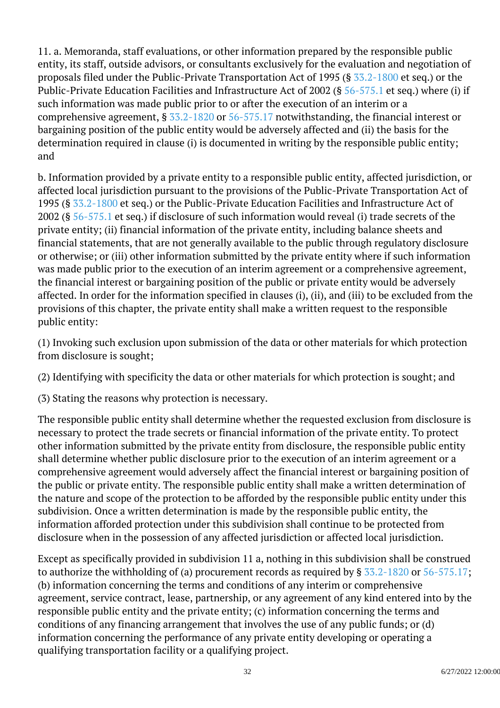11. a. Memoranda, staff evaluations, or other information prepared by the responsible public entity, its staff, outside advisors, or consultants exclusively for the evaluation and negotiation of proposals filed under the Public-Private Transportation Act of 1995 (§ [33.2-1800](/vacode/33.2-1800/) et seq.) or the Public-Private Education Facilities and Infrastructure Act of 2002 (§ [56-575.1](/vacode/56-575.1/) et seq.) where (i) if such information was made public prior to or after the execution of an interim or a comprehensive agreement, § [33.2-1820](/vacode/33.2-1820/) or [56-575.17](/vacode/56-575.17/) notwithstanding, the financial interest or bargaining position of the public entity would be adversely affected and (ii) the basis for the determination required in clause (i) is documented in writing by the responsible public entity; and

b. Information provided by a private entity to a responsible public entity, affected jurisdiction, or affected local jurisdiction pursuant to the provisions of the Public-Private Transportation Act of 1995 (§ [33.2-1800](/vacode/33.2-1800/) et seq.) or the Public-Private Education Facilities and Infrastructure Act of 2002 (§ [56-575.1](/vacode/56-575.1/) et seq.) if disclosure of such information would reveal (i) trade secrets of the private entity; (ii) financial information of the private entity, including balance sheets and financial statements, that are not generally available to the public through regulatory disclosure or otherwise; or (iii) other information submitted by the private entity where if such information was made public prior to the execution of an interim agreement or a comprehensive agreement, the financial interest or bargaining position of the public or private entity would be adversely affected. In order for the information specified in clauses (i), (ii), and (iii) to be excluded from the provisions of this chapter, the private entity shall make a written request to the responsible public entity: <sup>"</sup>

(1) Invoking such exclusion upon submission of the data or other materials for which protection from disclosure is sought;

(2) Identifying with specificity the data or other materials for which protection is sought; and Ì

(3) Stating the reasons why protection is necessary. Ì

The responsible public entity shall determine whether the requested exclusion from disclosure is necessary to protect the trade secrets or financial information of the private entity. To protect other information submitted by the private entity from disclosure, the responsible public entity shall determine whether public disclosure prior to the execution of an interim agreement or a comprehensive agreement would adversely affect the financial interest or bargaining position of the public or private entity. The responsible public entity shall make a written determination of the nature and scope of the protection to be afforded by the responsible public entity under this subdivision. Once a written determination is made by the responsible public entity, the information afforded protection under this subdivision shall continue to be protected from disclosure when in the possession of any affected jurisdiction or affected local jurisdiction.

Except as specifically provided in subdivision 11 a, nothing in this subdivision shall be construed to authorize the withholding of (a) procurement records as required by  $\S 33.2-1820$  or  $56-575.17$ ; (b) information concerning the terms and conditions of any interim or comprehensive agreement, service contract, lease, partnership, or any agreement of any kind entered into by the responsible public entity and the private entity; (c) information concerning the terms and conditions of any financing arrangement that involves the use of any public funds; or (d) information concerning the performance of any private entity developing or operating a qualifying transportation facility or a qualifying project.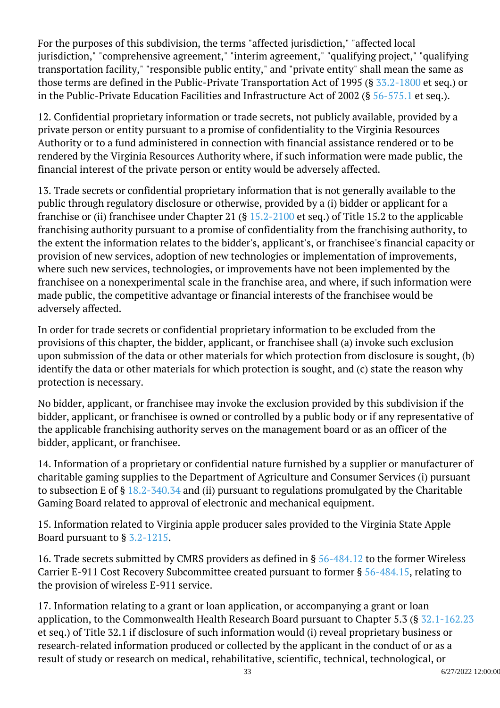For the purposes of this subdivision, the terms "affected jurisdiction," "affected local jurisdiction," "comprehensive agreement," "interim agreement," "qualifying project," "qualifying transportation facility," "responsible public entity," and "private entity" shall mean the same as those terms are defined in the Public-Private Transportation Act of 1995 (§ [33.2-1800](/vacode/33.2-1800/) et seq.) or in the Public-Private Education Facilities and Infrastructure Act of 2002 (§ [56-575.1](/vacode/56-575.1/) et seq.).

12. Confidential proprietary information or trade secrets, not publicly available, provided by a private person or entity pursuant to a promise of confidentiality to the Virginia Resources Authority or to a fund administered in connection with financial assistance rendered or to be rendered by the Virginia Resources Authority where, if such information were made public, the financial interest of the private person or entity would be adversely affected.

13. Trade secrets or confidential proprietary information that is not generally available to the public through regulatory disclosure or otherwise, provided by a (i) bidder or applicant for a franchise or (ii) franchisee under Chapter 21 (§ [15.2-2100](/vacode/15.2-2100/) et seq.) of Title 15.2 to the applicable franchising authority pursuant to a promise of confidentiality from the franchising authority, to the extent the information relates to the bidder's, applicant's, or franchisee's financial capacity or provision of new services, adoption of new technologies or implementation of improvements, where such new services, technologies, or improvements have not been implemented by the franchisee on a nonexperimental scale in the franchise area, and where, if such information were made public, the competitive advantage or financial interests of the franchisee would be adversely affected. Ĩ

In order for trade secrets or confidential proprietary information to be excluded from the provisions of this chapter, the bidder, applicant, or franchisee shall (a) invoke such exclusion upon submission of the data or other materials for which protection from disclosure is sought, (b) identify the data or other materials for which protection is sought, and (c) state the reason why protection is necessary. <sup>"</sup>

No bidder, applicant, or franchisee may invoke the exclusion provided by this subdivision if the bidder, applicant, or franchisee is owned or controlled by a public body or if any representative of the applicable franchising authority serves on the management board or as an officer of the bidder, applicant, or franchisee.

14. Information of a proprietary or confidential nature furnished by a supplier or manufacturer of charitable gaming supplies to the Department of Agriculture and Consumer Services (i) pursuant to subsection E of §  $18.2 - 340.34$  and (ii) pursuant to regulations promulgated by the Charitable Gaming Board related to approval of electronic and mechanical equipment.

15. Information related to Virginia apple producer sales provided to the Virginia State Apple Board pursuant to § [3.2-1215](/vacode/3.2-1215/).

16. Trade secrets submitted by CMRS providers as defined in § [56-484.12](/vacode/56-484.12/) to the former Wireless Carrier E-911 Cost Recovery Subcommittee created pursuant to former § [56-484.15](/vacode/56-484.15/), relating to the provision of wireless E-911 service.

17. Information relating to a grant or loan application, or accompanying a grant or loan application, to the Commonwealth Health Research Board pursuant to Chapter 5.3 (§ [32.1-162.23](/vacode/32.1-162.23/) et seq.) of Title 32.1 if disclosure of such information would (i) reveal proprietary business or research-related information produced or collected by the applicant in the conduct of or as a result of study or research on medical, rehabilitative, scientific, technical, technological, or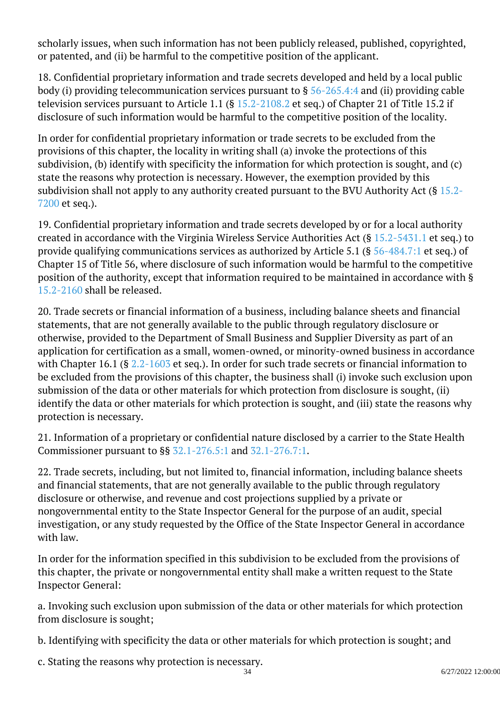scholarly issues, when such information has not been publicly released, published, copyrighted, or patented, and (ii) be harmful to the competitive position of the applicant.

18. Confidential proprietary information and trade secrets developed and held by a local public body (i) providing telecommunication services pursuant to  $\S$  [56-265.4:4](/vacode/56-265.4:4/) and (ii) providing cable television services pursuant to Article 1.1 (§ [15.2-2108.2](/vacode/15.2-2108.2/) et seq.) of Chapter 21 of Title 15.2 if disclosure of such information would be harmful to the competitive position of the locality.

In order for confidential proprietary information or trade secrets to be excluded from the provisions of this chapter, the locality in writing shall (a) invoke the protections of this subdivision, (b) identify with specificity the information for which protection is sought, and (c) state the reasons why protection is necessary. However, the exemption provided by this subdivision shall not apply to any authority created pursuant to the BVU Authority Act ( $\S 15.2$ -[7200](/vacode/15.2-7200/) et seq.).

19. Confidential proprietary information and trade secrets developed by or for a local authority created in accordance with the Virginia Wireless Service Authorities Act (§ [15.2-5431.1](/vacode/15.2-5431.1/) et seq.) to provide qualifying communications services as authorized by Article 5.1 (§ [56-484.7:1](/vacode/56-484.7:1/) et seq.) of Chapter 15 of Title 56, where disclosure of such information would be harmful to the competitive position of the authority, except that information required to be maintained in accordance with § [15.2-2160](/vacode/15.2-2160/) shall be released.

20. Trade secrets or financial information of a business, including balance sheets and financial statements, that are not generally available to the public through regulatory disclosure or otherwise, provided to the Department of Small Business and Supplier Diversity as part of an application for certification as a small, women-owned, or minority-owned business in accordance with Chapter 16.1 (§  $2.2-1603$  et seq.). In order for such trade secrets or financial information to be excluded from the provisions of this chapter, the business shall (i) invoke such exclusion upon submission of the data or other materials for which protection from disclosure is sought, (ii) identify the data or other materials for which protection is sought, and (iii) state the reasons why protection is necessary. <sup>"</sup>

21. Information of a proprietary or confidential nature disclosed by a carrier to the State Health Commissioner pursuant to §§ [32.1-276.5:1](/vacode/32.1-276.5:1/) and [32.1-276.7:1.](/vacode/32.1-276.7:1/)

22. Trade secrets, including, but not limited to, financial information, including balance sheets and financial statements, that are not generally available to the public through regulatory disclosure or otherwise, and revenue and cost projections supplied by a private or nongovernmental entity to the State Inspector General for the purpose of an audit, special investigation, or any study requested by the Office of the State Inspector General in accordance with law.

In order for the information specified in this subdivision to be excluded from the provisions of this chapter, the private or nongovernmental entity shall make a written request to the State Inspector General:

a. Invoking such exclusion upon submission of the data or other materials for which protection from disclosure is sought;

b. Identifying with specificity the data or other materials for which protection is sought; and

c. Stating the reasons why protection is necessary.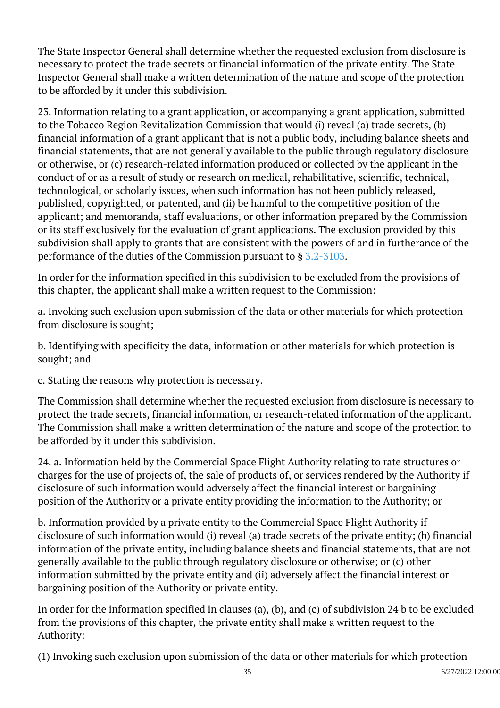The State Inspector General shall determine whether the requested exclusion from disclosure is necessary to protect the trade secrets or financial information of the private entity. The State Inspector General shall make a written determination of the nature and scope of the protection to be afforded by it under this subdivision.

23. Information relating to a grant application, or accompanying a grant application, submitted to the Tobacco Region Revitalization Commission that would (i) reveal (a) trade secrets, (b) financial information of a grant applicant that is not a public body, including balance sheets and financial statements, that are not generally available to the public through regulatory disclosure or otherwise, or (c) research-related information produced or collected by the applicant in the conduct of or as a result of study or research on medical, rehabilitative, scientific, technical, technological, or scholarly issues, when such information has not been publicly released, published, copyrighted, or patented, and (ii) be harmful to the competitive position of the applicant; and memoranda, staff evaluations, or other information prepared by the Commission or its staff exclusively for the evaluation of grant applications. The exclusion provided by this subdivision shall apply to grants that are consistent with the powers of and in furtherance of the performance of the duties of the Commission pursuant to § [3.2-3103](/vacode/3.2-3103/). <sup>"</sup>

In order for the information specified in this subdivision to be excluded from the provisions of this chapter, the applicant shall make a written request to the Commission:

a. Invoking such exclusion upon submission of the data or other materials for which protection from disclosure is sought;

b. Identifying with specificity the data, information or other materials for which protection is sought; and Ĩ

c. Stating the reasons why protection is necessary.

The Commission shall determine whether the requested exclusion from disclosure is necessary to protect the trade secrets, financial information, or research-related information of the applicant. The Commission shall make a written determination of the nature and scope of the protection to be afforded by it under this subdivision.

24. a. Information held by the Commercial Space Flight Authority relating to rate structures or charges for the use of projects of, the sale of products of, or services rendered by the Authority if disclosure of such information would adversely affect the financial interest or bargaining position of the Authority or a private entity providing the information to the Authority; or <sup>"</sup>

b. Information provided by a private entity to the Commercial Space Flight Authority if disclosure of such information would (i) reveal (a) trade secrets of the private entity; (b) financial information of the private entity, including balance sheets and financial statements, that are not generally available to the public through regulatory disclosure or otherwise; or (c) other information submitted by the private entity and (ii) adversely affect the financial interest or bargaining position of the Authority or private entity.

In order for the information specified in clauses (a), (b), and (c) of subdivision 24 b to be excluded from the provisions of this chapter, the private entity shall make a written request to the Authority:

(1) Invoking such exclusion upon submission of the data or other materials for which protection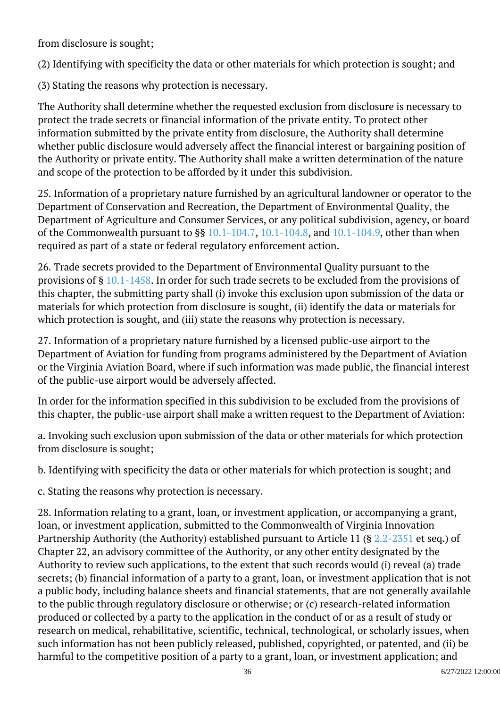from disclosure is sought;

(2) Identifying with specificity the data or other materials for which protection is sought; and Ì

(3) Stating the reasons why protection is necessary. Ì

The Authority shall determine whether the requested exclusion from disclosure is necessary to protect the trade secrets or financial information of the private entity. To protect other information submitted by the private entity from disclosure, the Authority shall determine whether public disclosure would adversely affect the financial interest or bargaining position of the Authority or private entity. The Authority shall make a written determination of the nature and scope of the protection to be afforded by it under this subdivision. Ĩ

25. Information of a proprietary nature furnished by an agricultural landowner or operator to the Department of Conservation and Recreation, the Department of Environmental Quality, the Department of Agriculture and Consumer Services, or any political subdivision, agency, or board of the Commonwealth pursuant to §§ [10.1-104.7,](/vacode/10.1-104.7/) [10.1-104.8,](/vacode/10.1-104.8/) and [10.1-104.9](/vacode/10.1-104.9/), other than when required as part of a state or federal regulatory enforcement action.

26. Trade secrets provided to the Department of Environmental Quality pursuant to the provisions of § [10.1-1458.](/vacode/10.1-1458/) In order for such trade secrets to be excluded from the provisions of this chapter, the submitting party shall (i) invoke this exclusion upon submission of the data or materials for which protection from disclosure is sought, (ii) identify the data or materials for which protection is sought, and (iii) state the reasons why protection is necessary.

27. Information of a proprietary nature furnished by a licensed public-use airport to the Department of Aviation for funding from programs administered by the Department of Aviation or the Virginia Aviation Board, where if such information was made public, the financial interest of the public-use airport would be adversely affected.

In order for the information specified in this subdivision to be excluded from the provisions of this chapter, the public-use airport shall make a written request to the Department of Aviation:

a. Invoking such exclusion upon submission of the data or other materials for which protection from disclosure is sought;

b. Identifying with specificity the data or other materials for which protection is sought; and

c. Stating the reasons why protection is necessary.

28. Information relating to a grant, loan, or investment application, or accompanying a grant, loan, or investment application, submitted to the Commonwealth of Virginia Innovation Partnership Authority (the Authority) established pursuant to Article 11 (§ [2.2-2351](/vacode/2.2-2351/) et seq.) of Chapter 22, an advisory committee of the Authority, or any other entity designated by the Authority to review such applications, to the extent that such records would (i) reveal (a) trade secrets; (b) financial information of a party to a grant, loan, or investment application that is not a public body, including balance sheets and financial statements, that are not generally available to the public through regulatory disclosure or otherwise; or (c) research-related information produced or collected by a party to the application in the conduct of or as a result of study or research on medical, rehabilitative, scientific, technical, technological, or scholarly issues, when such information has not been publicly released, published, copyrighted, or patented, and (ii) be harmful to the competitive position of a party to a grant, loan, or investment application; and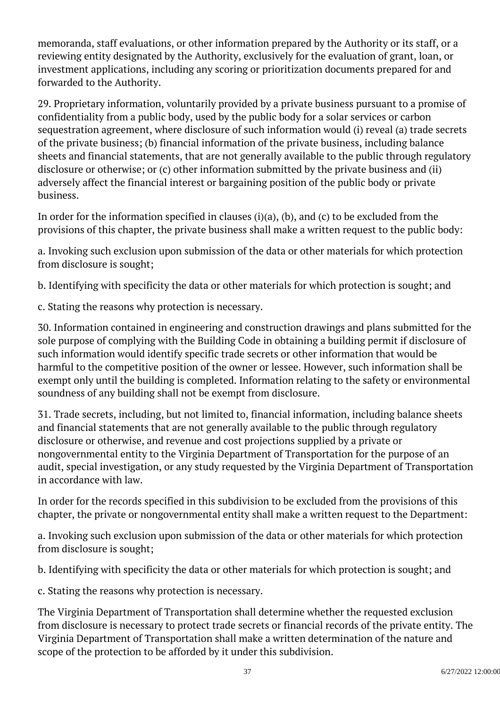memoranda, staff evaluations, or other information prepared by the Authority or its staff, or a reviewing entity designated by the Authority, exclusively for the evaluation of grant, loan, or investment applications, including any scoring or prioritization documents prepared for and forwarded to the Authority.

29. Proprietary information, voluntarily provided by a private business pursuant to a promise of confidentiality from a public body, used by the public body for a solar services or carbon sequestration agreement, where disclosure of such information would (i) reveal (a) trade secrets of the private business; (b) financial information of the private business, including balance sheets and financial statements, that are not generally available to the public through regulatory disclosure or otherwise; or (c) other information submitted by the private business and (ii) adversely affect the financial interest or bargaining position of the public body or private business.

In order for the information specified in clauses (i)(a), (b), and (c) to be excluded from the provisions of this chapter, the private business shall make a written request to the public body: <u>i</u>

a. Invoking such exclusion upon submission of the data or other materials for which protection from disclosure is sought;

b. Identifying with specificity the data or other materials for which protection is sought; and

c. Stating the reasons why protection is necessary.

30. Information contained in engineering and construction drawings and plans submitted for the sole purpose of complying with the Building Code in obtaining a building permit if disclosure of such information would identify specific trade secrets or other information that would be harmful to the competitive position of the owner or lessee. However, such information shall be exempt only until the building is completed. Information relating to the safety or environmental soundness of any building shall not be exempt from disclosure. Ĩ

31. Trade secrets, including, but not limited to, financial information, including balance sheets and financial statements that are not generally available to the public through regulatory disclosure or otherwise, and revenue and cost projections supplied by a private or nongovernmental entity to the Virginia Department of Transportation for the purpose of an audit, special investigation, or any study requested by the Virginia Department of Transportation in accordance with law.

In order for the records specified in this subdivision to be excluded from the provisions of this chapter, the private or nongovernmental entity shall make a written request to the Department:

a. Invoking such exclusion upon submission of the data or other materials for which protection from disclosure is sought;

b. Identifying with specificity the data or other materials for which protection is sought; and

c. Stating the reasons why protection is necessary.

The Virginia Department of Transportation shall determine whether the requested exclusion from disclosure is necessary to protect trade secrets or financial records of the private entity. The Virginia Department of Transportation shall make a written determination of the nature and scope of the protection to be afforded by it under this subdivision. Ĩ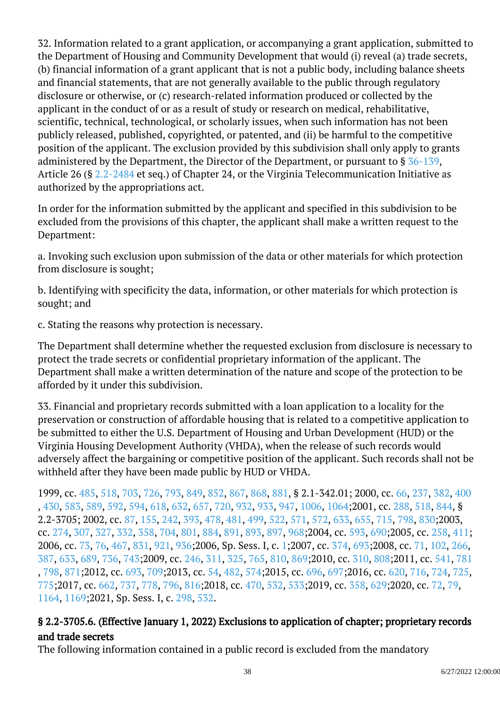32. Information related to a grant application, or accompanying a grant application, submitted to the Department of Housing and Community Development that would (i) reveal (a) trade secrets, (b) financial information of a grant applicant that is not a public body, including balance sheets and financial statements, that are not generally available to the public through regulatory disclosure or otherwise, or (c) research-related information produced or collected by the applicant in the conduct of or as a result of study or research on medical, rehabilitative, scientific, technical, technological, or scholarly issues, when such information has not been publicly released, published, copyrighted, or patented, and (ii) be harmful to the competitive position of the applicant. The exclusion provided by this subdivision shall only apply to grants administered by the Department, the Director of the Department, or pursuant to  $\S 36-139$ , Article 26 (§ [2.2-2484](/vacode/2.2-2484/) et seq.) of Chapter 24, or the Virginia Telecommunication Initiative as authorized by the appropriations act. Ĩ

In order for the information submitted by the applicant and specified in this subdivision to be excluded from the provisions of this chapter, the applicant shall make a written request to the Department:

a. Invoking such exclusion upon submission of the data or other materials for which protection from disclosure is sought;

b. Identifying with specificity the data, information, or other materials for which protection is sought; and Ĩ

c. Stating the reasons why protection is necessary.

The Department shall determine whether the requested exclusion from disclosure is necessary to protect the trade secrets or confidential proprietary information of the applicant. The Department shall make a written determination of the nature and scope of the protection to be afforded by it under this subdivision. Ĩ

33. Financial and proprietary records submitted with a loan application to a locality for the preservation or construction of affordable housing that is related to a competitive application to be submitted to either the U.S. Department of Housing and Urban Development (HUD) or the Virginia Housing Development Authority (VHDA), when the release of such records would adversely affect the bargaining or competitive position of the applicant. Such records shall not be withheld after they have been made public by HUD or VHDA.

1999, cc. [485,](http://lis.virginia.gov/cgi-bin/legp604.exe?991+ful+CHAP0485) [518](http://lis.virginia.gov/cgi-bin/legp604.exe?991+ful+CHAP0518), [703,](http://lis.virginia.gov/cgi-bin/legp604.exe?991+ful+CHAP0703) [726](http://lis.virginia.gov/cgi-bin/legp604.exe?991+ful+CHAP0726), [793,](http://lis.virginia.gov/cgi-bin/legp604.exe?991+ful+CHAP0793) [849](http://lis.virginia.gov/cgi-bin/legp604.exe?991+ful+CHAP0849), [852,](http://lis.virginia.gov/cgi-bin/legp604.exe?991+ful+CHAP0852) [867](http://lis.virginia.gov/cgi-bin/legp604.exe?991+ful+CHAP0867), [868,](http://lis.virginia.gov/cgi-bin/legp604.exe?991+ful+CHAP0868) [881](http://lis.virginia.gov/cgi-bin/legp604.exe?991+ful+CHAP0881), § 2.1-342.01; 2000, cc. [66](http://lis.virginia.gov/cgi-bin/legp604.exe?001+ful+CHAP0066), [237,](http://lis.virginia.gov/cgi-bin/legp604.exe?001+ful+CHAP0237) [382](http://lis.virginia.gov/cgi-bin/legp604.exe?001+ful+CHAP0382), [400](http://lis.virginia.gov/cgi-bin/legp604.exe?001+ful+CHAP0400) , [430](http://lis.virginia.gov/cgi-bin/legp604.exe?001+ful+CHAP0430), [583](http://lis.virginia.gov/cgi-bin/legp604.exe?001+ful+CHAP0583), [589,](http://lis.virginia.gov/cgi-bin/legp604.exe?001+ful+CHAP0589) [592](http://lis.virginia.gov/cgi-bin/legp604.exe?001+ful+CHAP0592), [594](http://lis.virginia.gov/cgi-bin/legp604.exe?001+ful+CHAP0594), [618](http://lis.virginia.gov/cgi-bin/legp604.exe?001+ful+CHAP0618), [632,](http://lis.virginia.gov/cgi-bin/legp604.exe?001+ful+CHAP0632) [657](http://lis.virginia.gov/cgi-bin/legp604.exe?001+ful+CHAP0657), [720](http://lis.virginia.gov/cgi-bin/legp604.exe?001+ful+CHAP0720), [932](http://lis.virginia.gov/cgi-bin/legp604.exe?001+ful+CHAP0932), [933,](http://lis.virginia.gov/cgi-bin/legp604.exe?001+ful+CHAP0933) [947](http://lis.virginia.gov/cgi-bin/legp604.exe?001+ful+CHAP0947), [1006,](http://lis.virginia.gov/cgi-bin/legp604.exe?001+ful+CHAP1006) [1064;2](http://lis.virginia.gov/cgi-bin/legp604.exe?001+ful+CHAP1064)001, cc. [288](http://lis.virginia.gov/cgi-bin/legp604.exe?011+ful+CHAP0288), [518,](http://lis.virginia.gov/cgi-bin/legp604.exe?011+ful+CHAP0518) [844](http://lis.virginia.gov/cgi-bin/legp604.exe?011+ful+CHAP0844), § 2.2-3705; 2002, cc. [87,](http://lis.virginia.gov/cgi-bin/legp604.exe?021+ful+CHAP0087) [155](http://lis.virginia.gov/cgi-bin/legp604.exe?021+ful+CHAP0155), [242,](http://lis.virginia.gov/cgi-bin/legp604.exe?021+ful+CHAP0242) [393](http://lis.virginia.gov/cgi-bin/legp604.exe?021+ful+CHAP0393), [478,](http://lis.virginia.gov/cgi-bin/legp604.exe?021+ful+CHAP0478) [481](http://lis.virginia.gov/cgi-bin/legp604.exe?021+ful+CHAP0481), [499,](http://lis.virginia.gov/cgi-bin/legp604.exe?021+ful+CHAP0499) [522](http://lis.virginia.gov/cgi-bin/legp604.exe?021+ful+CHAP0522), [571,](http://lis.virginia.gov/cgi-bin/legp604.exe?021+ful+CHAP0571) [572](http://lis.virginia.gov/cgi-bin/legp604.exe?021+ful+CHAP0572), [633,](http://lis.virginia.gov/cgi-bin/legp604.exe?021+ful+CHAP0633) [655](http://lis.virginia.gov/cgi-bin/legp604.exe?021+ful+CHAP0655), [715,](http://lis.virginia.gov/cgi-bin/legp604.exe?021+ful+CHAP0715) [798](http://lis.virginia.gov/cgi-bin/legp604.exe?021+ful+CHAP0798), [830;2](http://lis.virginia.gov/cgi-bin/legp604.exe?021+ful+CHAP0830)003, cc. [274,](http://lis.virginia.gov/cgi-bin/legp604.exe?031+ful+CHAP0274) [307](http://lis.virginia.gov/cgi-bin/legp604.exe?031+ful+CHAP0307), [327,](http://lis.virginia.gov/cgi-bin/legp604.exe?031+ful+CHAP0327) [332](http://lis.virginia.gov/cgi-bin/legp604.exe?031+ful+CHAP0332), [358,](http://lis.virginia.gov/cgi-bin/legp604.exe?031+ful+CHAP0358) [704](http://lis.virginia.gov/cgi-bin/legp604.exe?031+ful+CHAP0704), [801,](http://lis.virginia.gov/cgi-bin/legp604.exe?031+ful+CHAP0801) [884](http://lis.virginia.gov/cgi-bin/legp604.exe?031+ful+CHAP0884), [891,](http://lis.virginia.gov/cgi-bin/legp604.exe?031+ful+CHAP0891) [893](http://lis.virginia.gov/cgi-bin/legp604.exe?031+ful+CHAP0893), [897,](http://lis.virginia.gov/cgi-bin/legp604.exe?031+ful+CHAP0897) [968;](http://lis.virginia.gov/cgi-bin/legp604.exe?031+ful+CHAP0968)2004, cc. [593,](http://lis.virginia.gov/cgi-bin/legp604.exe?041+ful+CHAP0593) [690;](http://lis.virginia.gov/cgi-bin/legp604.exe?041+ful+CHAP0690)2005, cc. [258,](http://lis.virginia.gov/cgi-bin/legp604.exe?051+ful+CHAP0258) [411;](http://lis.virginia.gov/cgi-bin/legp604.exe?051+ful+CHAP0411) 2006, cc. [73](http://lis.virginia.gov/cgi-bin/legp604.exe?061+ful+CHAP0073), [76](http://lis.virginia.gov/cgi-bin/legp604.exe?061+ful+CHAP0076), [467,](http://lis.virginia.gov/cgi-bin/legp604.exe?061+ful+CHAP0467) [831](http://lis.virginia.gov/cgi-bin/legp604.exe?061+ful+CHAP0831), [921,](http://lis.virginia.gov/cgi-bin/legp604.exe?061+ful+CHAP0921) [936;](http://lis.virginia.gov/cgi-bin/legp604.exe?061+ful+CHAP0936)2006, Sp. Sess. I, c. [1;2](http://lis.virginia.gov/cgi-bin/legp604.exe?061+ful+CHAP0001)007, cc. [374](http://lis.virginia.gov/cgi-bin/legp604.exe?071+ful+CHAP0374), [693;2](http://lis.virginia.gov/cgi-bin/legp604.exe?071+ful+CHAP0693)008, cc. [71,](http://lis.virginia.gov/cgi-bin/legp604.exe?081+ful+CHAP0071) [102](http://lis.virginia.gov/cgi-bin/legp604.exe?081+ful+CHAP0102), [266,](http://lis.virginia.gov/cgi-bin/legp604.exe?081+ful+CHAP0266) [387](http://lis.virginia.gov/cgi-bin/legp604.exe?081+ful+CHAP0387), [633,](http://lis.virginia.gov/cgi-bin/legp604.exe?081+ful+CHAP0633) [689](http://lis.virginia.gov/cgi-bin/legp604.exe?081+ful+CHAP0689), [736,](http://lis.virginia.gov/cgi-bin/legp604.exe?081+ful+CHAP0736) [743;](http://lis.virginia.gov/cgi-bin/legp604.exe?081+ful+CHAP0743)2009, cc. [246,](http://lis.virginia.gov/cgi-bin/legp604.exe?091+ful+CHAP0246) [311](http://lis.virginia.gov/cgi-bin/legp604.exe?091+ful+CHAP0311), [325,](http://lis.virginia.gov/cgi-bin/legp604.exe?091+ful+CHAP0325) [765](http://lis.virginia.gov/cgi-bin/legp604.exe?091+ful+CHAP0765), [810,](http://lis.virginia.gov/cgi-bin/legp604.exe?091+ful+CHAP0810) [869;](http://lis.virginia.gov/cgi-bin/legp604.exe?091+ful+CHAP0869)2010, cc. [310,](http://lis.virginia.gov/cgi-bin/legp604.exe?101+ful+CHAP0310) [808;](http://lis.virginia.gov/cgi-bin/legp604.exe?101+ful+CHAP0808)2011, cc. [541,](http://lis.virginia.gov/cgi-bin/legp604.exe?111+ful+CHAP0541) [781](http://lis.virginia.gov/cgi-bin/legp604.exe?111+ful+CHAP0781) , [798](http://lis.virginia.gov/cgi-bin/legp604.exe?111+ful+CHAP0798), [871;2](http://lis.virginia.gov/cgi-bin/legp604.exe?111+ful+CHAP0871)012, cc. [693,](http://lis.virginia.gov/cgi-bin/legp604.exe?121+ful+CHAP0693) [709;](http://lis.virginia.gov/cgi-bin/legp604.exe?121+ful+CHAP0709)2013, cc. [54](http://lis.virginia.gov/cgi-bin/legp604.exe?131+ful+CHAP0054), [482,](http://lis.virginia.gov/cgi-bin/legp604.exe?131+ful+CHAP0482) [574;](http://lis.virginia.gov/cgi-bin/legp604.exe?131+ful+CHAP0574)2015, cc. [696,](http://lis.virginia.gov/cgi-bin/legp604.exe?151+ful+CHAP0696) [697;](http://lis.virginia.gov/cgi-bin/legp604.exe?151+ful+CHAP0697)2016, cc. [620,](http://lis.virginia.gov/cgi-bin/legp604.exe?161+ful+CHAP0620) [716](http://lis.virginia.gov/cgi-bin/legp604.exe?161+ful+CHAP0716), [724,](http://lis.virginia.gov/cgi-bin/legp604.exe?161+ful+CHAP0724) [725](http://lis.virginia.gov/cgi-bin/legp604.exe?161+ful+CHAP0725), [775;](http://lis.virginia.gov/cgi-bin/legp604.exe?161+ful+CHAP0775)2017, cc. [662,](http://lis.virginia.gov/cgi-bin/legp604.exe?171+ful+CHAP0662) [737](http://lis.virginia.gov/cgi-bin/legp604.exe?171+ful+CHAP0737), [778,](http://lis.virginia.gov/cgi-bin/legp604.exe?171+ful+CHAP0778) [796](http://lis.virginia.gov/cgi-bin/legp604.exe?171+ful+CHAP0796), [816;2](http://lis.virginia.gov/cgi-bin/legp604.exe?171+ful+CHAP0816)018, cc. [470](http://lis.virginia.gov/cgi-bin/legp604.exe?181+ful+CHAP0470), [532,](http://lis.virginia.gov/cgi-bin/legp604.exe?181+ful+CHAP0532) [533;](http://lis.virginia.gov/cgi-bin/legp604.exe?181+ful+CHAP0533)2019, cc. [358,](http://lis.virginia.gov/cgi-bin/legp604.exe?191+ful+CHAP0358) [629;](http://lis.virginia.gov/cgi-bin/legp604.exe?191+ful+CHAP0629)2020, cc. [72](http://lis.virginia.gov/cgi-bin/legp604.exe?201+ful+CHAP0072), [79](http://lis.virginia.gov/cgi-bin/legp604.exe?201+ful+CHAP0079), [1164,](http://lis.virginia.gov/cgi-bin/legp604.exe?201+ful+CHAP1164) [1169;](http://lis.virginia.gov/cgi-bin/legp604.exe?201+ful+CHAP1169)2021, Sp. Sess. I, c. [298,](http://lis.virginia.gov/cgi-bin/legp604.exe?212+ful+CHAP0298) [532](http://lis.virginia.gov/cgi-bin/legp604.exe?212+ful+CHAP0532).

# § 2.2-3705.6. (Effective January 1, 2022) Exclusions to application of chapter; proprietary records and trade secrets

The following information contained in a public record is excluded from the mandatory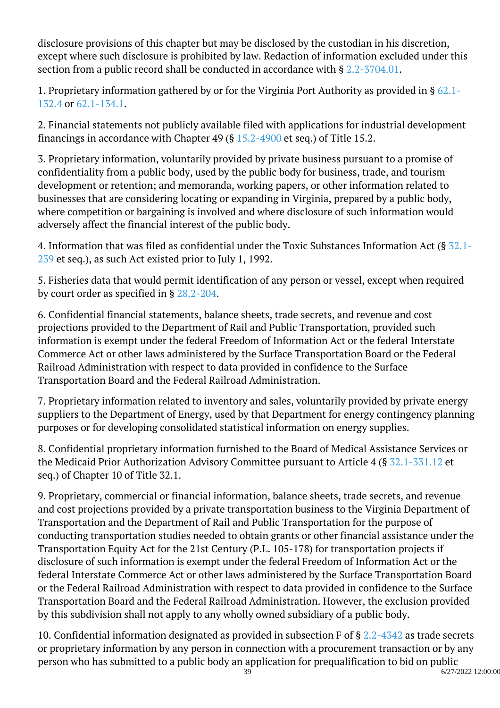disclosure provisions of this chapter but may be disclosed by the custodian in his discretion, except where such disclosure is prohibited by law. Redaction of information excluded under this section from a public record shall be conducted in accordance with § [2.2-3704.01](/vacode/2.2-3704.01/). Ĩ

1. Proprietary information gathered by or for the Virginia Port Authority as provided in § [62.1-](/vacode/62.1-132.4/) [132.4](/vacode/62.1-132.4/) or [62.1-134.1.](/vacode/62.1-134.1/)

2. Financial statements not publicly available filed with applications for industrial development financings in accordance with Chapter 49 (§  $15.2$ -4900 et seq.) of Title 15.2.

3. Proprietary information, voluntarily provided by private business pursuant to a promise of confidentiality from a public body, used by the public body for business, trade, and tourism development or retention; and memoranda, working papers, or other information related to businesses that are considering locating or expanding in Virginia, prepared by a public body, where competition or bargaining is involved and where disclosure of such information would adversely affect the financial interest of the public body. Ĩ

4. Information that was filed as confidential under the Toxic Substances Information Act (§ [32.1-](/vacode/32.1-239/)  $239$  et seq.), as such Act existed prior to July 1, 1992.

5. Fisheries data that would permit identification of any person or vessel, except when required by court order as specified in § [28.2-204.](/vacode/28.2-204/)

6. Confidential financial statements, balance sheets, trade secrets, and revenue and cost projections provided to the Department of Rail and Public Transportation, provided such information is exempt under the federal Freedom of Information Act or the federal Interstate Commerce Act or other laws administered by the Surface Transportation Board or the Federal Railroad Administration with respect to data provided in confidence to the Surface Transportation Board and the Federal Railroad Administration.

7. Proprietary information related to inventory and sales, voluntarily provided by private energy suppliers to the Department of Energy, used by that Department for energy contingency planning purposes or for developing consolidated statistical information on energy supplies. <sup>"</sup>

8. Confidential proprietary information furnished to the Board of Medical Assistance Services or the Medicaid Prior Authorization Advisory Committee pursuant to Article 4 (§ [32.1-331.12](/vacode/32.1-331.12/) et seq.) of Chapter 10 of Title 32.1. Ĩ

9. Proprietary, commercial or financial information, balance sheets, trade secrets, and revenue and cost projections provided by a private transportation business to the Virginia Department of Transportation and the Department of Rail and Public Transportation for the purpose of conducting transportation studies needed to obtain grants or other financial assistance under the Transportation Equity Act for the 21st Century (P.L. 105-178) for transportation projects if disclosure of such information is exempt under the federal Freedom of Information Act or the federal Interstate Commerce Act or other laws administered by the Surface Transportation Board or the Federal Railroad Administration with respect to data provided in confidence to the Surface Transportation Board and the Federal Railroad Administration. However, the exclusion provided by this subdivision shall not apply to any wholly owned subsidiary of a public body.

10. Confidential information designated as provided in subsection F of § [2.2-4342](/vacode/2.2-4342/) as trade secrets or proprietary information by any person in connection with a procurement transaction or by any person who has submitted to a public body an application for prequalification to bid on public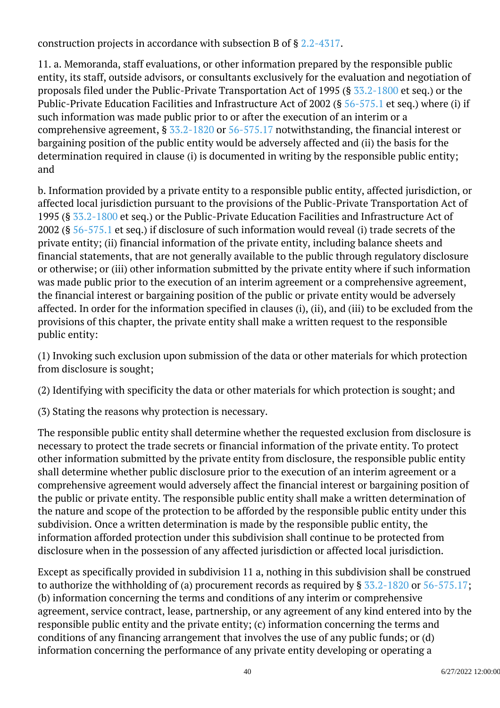construction projects in accordance with subsection B of § [2.2-4317](/vacode/2.2-4317/).

11. a. Memoranda, staff evaluations, or other information prepared by the responsible public entity, its staff, outside advisors, or consultants exclusively for the evaluation and negotiation of proposals filed under the Public-Private Transportation Act of 1995 (§ [33.2-1800](/vacode/33.2-1800/) et seq.) or the Public-Private Education Facilities and Infrastructure Act of 2002 (§ [56-575.1](/vacode/56-575.1/) et seq.) where (i) if such information was made public prior to or after the execution of an interim or a comprehensive agreement, § [33.2-1820](/vacode/33.2-1820/) or [56-575.17](/vacode/56-575.17/) notwithstanding, the financial interest or bargaining position of the public entity would be adversely affected and (ii) the basis for the determination required in clause (i) is documented in writing by the responsible public entity; and Ĩ

b. Information provided by a private entity to a responsible public entity, affected jurisdiction, or affected local jurisdiction pursuant to the provisions of the Public-Private Transportation Act of 1995 (§ [33.2-1800](/vacode/33.2-1800/) et seq.) or the Public-Private Education Facilities and Infrastructure Act of 2002 (§ [56-575.1](/vacode/56-575.1/) et seq.) if disclosure of such information would reveal (i) trade secrets of the private entity; (ii) financial information of the private entity, including balance sheets and financial statements, that are not generally available to the public through regulatory disclosure or otherwise; or (iii) other information submitted by the private entity where if such information was made public prior to the execution of an interim agreement or a comprehensive agreement, the financial interest or bargaining position of the public or private entity would be adversely affected. In order for the information specified in clauses (i), (ii), and (iii) to be excluded from the provisions of this chapter, the private entity shall make a written request to the responsible public entity: <sup>"</sup>

(1) Invoking such exclusion upon submission of the data or other materials for which protection from disclosure is sought;

(2) Identifying with specificity the data or other materials for which protection is sought; and Ì

(3) Stating the reasons why protection is necessary. Ì

The responsible public entity shall determine whether the requested exclusion from disclosure is necessary to protect the trade secrets or financial information of the private entity. To protect other information submitted by the private entity from disclosure, the responsible public entity shall determine whether public disclosure prior to the execution of an interim agreement or a comprehensive agreement would adversely affect the financial interest or bargaining position of the public or private entity. The responsible public entity shall make a written determination of the nature and scope of the protection to be afforded by the responsible public entity under this subdivision. Once a written determination is made by the responsible public entity, the information afforded protection under this subdivision shall continue to be protected from disclosure when in the possession of any affected jurisdiction or affected local jurisdiction.

Except as specifically provided in subdivision 11 a, nothing in this subdivision shall be construed to authorize the withholding of (a) procurement records as required by  $\S 33.2$ -1820 or [56-575.17;](/vacode/56-575.17/) (b) information concerning the terms and conditions of any interim or comprehensive agreement, service contract, lease, partnership, or any agreement of any kind entered into by the responsible public entity and the private entity; (c) information concerning the terms and conditions of any financing arrangement that involves the use of any public funds; or (d) information concerning the performance of any private entity developing or operating a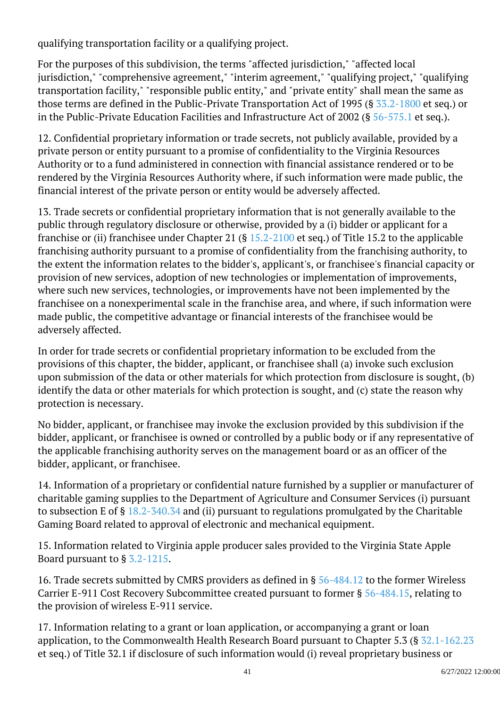qualifying transportation facility or a qualifying project.

For the purposes of this subdivision, the terms "affected jurisdiction," "affected local jurisdiction," "comprehensive agreement," "interim agreement," "qualifying project," "qualifying transportation facility," "responsible public entity," and "private entity" shall mean the same as those terms are defined in the Public-Private Transportation Act of 1995 (§ [33.2-1800](/vacode/33.2-1800/) et seq.) or in the Public-Private Education Facilities and Infrastructure Act of 2002 (§ [56-575.1](/vacode/56-575.1/) et seq.).

12. Confidential proprietary information or trade secrets, not publicly available, provided by a private person or entity pursuant to a promise of confidentiality to the Virginia Resources Authority or to a fund administered in connection with financial assistance rendered or to be rendered by the Virginia Resources Authority where, if such information were made public, the financial interest of the private person or entity would be adversely affected.

13. Trade secrets or confidential proprietary information that is not generally available to the public through regulatory disclosure or otherwise, provided by a (i) bidder or applicant for a franchise or (ii) franchisee under Chapter 21 (§ [15.2-2100](/vacode/15.2-2100/) et seq.) of Title 15.2 to the applicable franchising authority pursuant to a promise of confidentiality from the franchising authority, to the extent the information relates to the bidder's, applicant's, or franchisee's financial capacity or provision of new services, adoption of new technologies or implementation of improvements, where such new services, technologies, or improvements have not been implemented by the franchisee on a nonexperimental scale in the franchise area, and where, if such information were made public, the competitive advantage or financial interests of the franchisee would be adversely affected. Ĩ

In order for trade secrets or confidential proprietary information to be excluded from the provisions of this chapter, the bidder, applicant, or franchisee shall (a) invoke such exclusion upon submission of the data or other materials for which protection from disclosure is sought, (b) identify the data or other materials for which protection is sought, and (c) state the reason why protection is necessary. <sup>"</sup>

No bidder, applicant, or franchisee may invoke the exclusion provided by this subdivision if the bidder, applicant, or franchisee is owned or controlled by a public body or if any representative of the applicable franchising authority serves on the management board or as an officer of the bidder, applicant, or franchisee.

14. Information of a proprietary or confidential nature furnished by a supplier or manufacturer of charitable gaming supplies to the Department of Agriculture and Consumer Services (i) pursuant to subsection E of § [18.2-340.34](/vacode/18.2-340.34/) and (ii) pursuant to regulations promulgated by the Charitable Gaming Board related to approval of electronic and mechanical equipment.

15. Information related to Virginia apple producer sales provided to the Virginia State Apple Board pursuant to § [3.2-1215](/vacode/3.2-1215/).

16. Trade secrets submitted by CMRS providers as defined in § [56-484.12](/vacode/56-484.12/) to the former Wireless Carrier E-911 Cost Recovery Subcommittee created pursuant to former § [56-484.15](/vacode/56-484.15/), relating to the provision of wireless E-911 service.

17. Information relating to a grant or loan application, or accompanying a grant or loan application, to the Commonwealth Health Research Board pursuant to Chapter 5.3 (§ [32.1-162.23](/vacode/32.1-162.23/) et seq.) of Title 32.1 if disclosure of such information would (i) reveal proprietary business or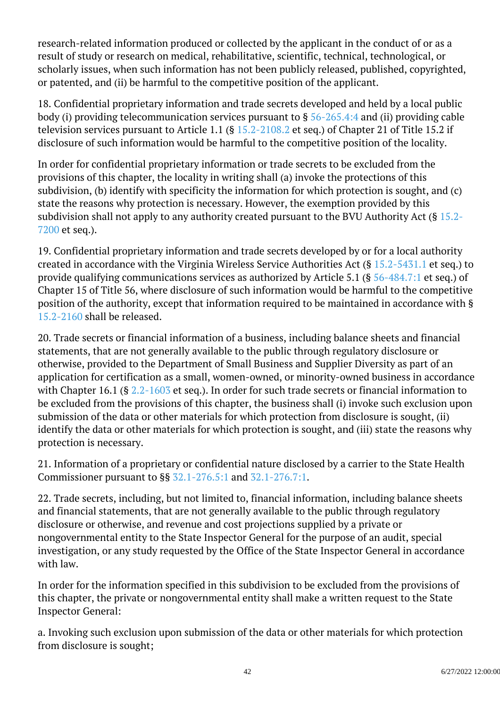research-related information produced or collected by the applicant in the conduct of or as a result of study or research on medical, rehabilitative, scientific, technical, technological, or scholarly issues, when such information has not been publicly released, published, copyrighted, or patented, and (ii) be harmful to the competitive position of the applicant.

18. Confidential proprietary information and trade secrets developed and held by a local public body (i) providing telecommunication services pursuant to § [56-265.4:4](/vacode/56-265.4:4/) and (ii) providing cable television services pursuant to Article 1.1 (§ [15.2-2108.2](/vacode/15.2-2108.2/) et seq.) of Chapter 21 of Title 15.2 if disclosure of such information would be harmful to the competitive position of the locality.

In order for confidential proprietary information or trade secrets to be excluded from the provisions of this chapter, the locality in writing shall (a) invoke the protections of this subdivision, (b) identify with specificity the information for which protection is sought, and (c) state the reasons why protection is necessary. However, the exemption provided by this subdivision shall not apply to any authority created pursuant to the BVU Authority Act (§  $15.2$ -[7200](/vacode/15.2-7200/) et seq.).

19. Confidential proprietary information and trade secrets developed by or for a local authority created in accordance with the Virginia Wireless Service Authorities Act (§ [15.2-5431.1](/vacode/15.2-5431.1/) et seq.) to provide qualifying communications services as authorized by Article 5.1 (§ [56-484.7:1](/vacode/56-484.7:1/) et seq.) of Chapter 15 of Title 56, where disclosure of such information would be harmful to the competitive position of the authority, except that information required to be maintained in accordance with § [15.2-2160](/vacode/15.2-2160/) shall be released.

20. Trade secrets or financial information of a business, including balance sheets and financial statements, that are not generally available to the public through regulatory disclosure or otherwise, provided to the Department of Small Business and Supplier Diversity as part of an application for certification as a small, women-owned, or minority-owned business in accordance with Chapter 16.1 (§ [2.2-1603](/vacode/2.2-1603/) et seq.). In order for such trade secrets or financial information to be excluded from the provisions of this chapter, the business shall (i) invoke such exclusion upon submission of the data or other materials for which protection from disclosure is sought, (ii) identify the data or other materials for which protection is sought, and (iii) state the reasons why protection is necessary. <sup>"</sup>

21. Information of a proprietary or confidential nature disclosed by a carrier to the State Health Commissioner pursuant to §§ [32.1-276.5:1](/vacode/32.1-276.5:1/) and [32.1-276.7:1.](/vacode/32.1-276.7:1/)

22. Trade secrets, including, but not limited to, financial information, including balance sheets and financial statements, that are not generally available to the public through regulatory disclosure or otherwise, and revenue and cost projections supplied by a private or nongovernmental entity to the State Inspector General for the purpose of an audit, special investigation, or any study requested by the Office of the State Inspector General in accordance with law.

In order for the information specified in this subdivision to be excluded from the provisions of this chapter, the private or nongovernmental entity shall make a written request to the State Inspector General:

a. Invoking such exclusion upon submission of the data or other materials for which protection from disclosure is sought;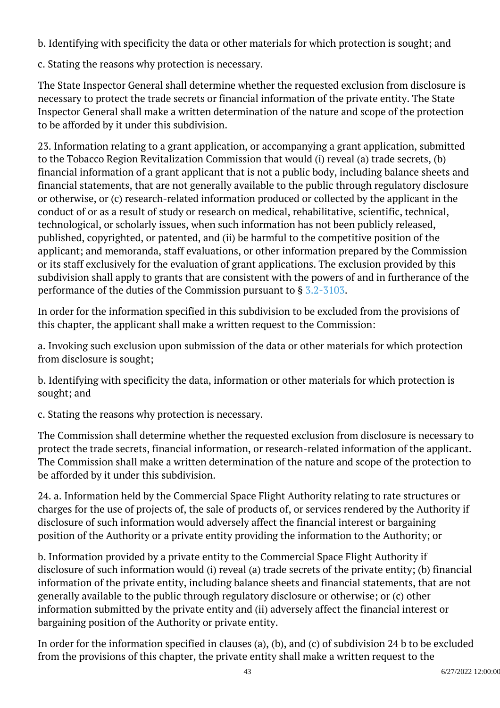b. Identifying with specificity the data or other materials for which protection is sought; and

c. Stating the reasons why protection is necessary.

The State Inspector General shall determine whether the requested exclusion from disclosure is necessary to protect the trade secrets or financial information of the private entity. The State Inspector General shall make a written determination of the nature and scope of the protection to be afforded by it under this subdivision.

23. Information relating to a grant application, or accompanying a grant application, submitted to the Tobacco Region Revitalization Commission that would (i) reveal (a) trade secrets, (b) financial information of a grant applicant that is not a public body, including balance sheets and financial statements, that are not generally available to the public through regulatory disclosure or otherwise, or (c) research-related information produced or collected by the applicant in the conduct of or as a result of study or research on medical, rehabilitative, scientific, technical, technological, or scholarly issues, when such information has not been publicly released, published, copyrighted, or patented, and (ii) be harmful to the competitive position of the applicant; and memoranda, staff evaluations, or other information prepared by the Commission or its staff exclusively for the evaluation of grant applications. The exclusion provided by this subdivision shall apply to grants that are consistent with the powers of and in furtherance of the performance of the duties of the Commission pursuant to § [3.2-3103](/vacode/3.2-3103/). <sup>"</sup>

In order for the information specified in this subdivision to be excluded from the provisions of this chapter, the applicant shall make a written request to the Commission:

a. Invoking such exclusion upon submission of the data or other materials for which protection from disclosure is sought;

b. Identifying with specificity the data, information or other materials for which protection is sought; and Ĩ

c. Stating the reasons why protection is necessary.

The Commission shall determine whether the requested exclusion from disclosure is necessary to protect the trade secrets, financial information, or research-related information of the applicant. The Commission shall make a written determination of the nature and scope of the protection to be afforded by it under this subdivision.

24. a. Information held by the Commercial Space Flight Authority relating to rate structures or charges for the use of projects of, the sale of products of, or services rendered by the Authority if disclosure of such information would adversely affect the financial interest or bargaining position of the Authority or a private entity providing the information to the Authority; or <sup>"</sup>

b. Information provided by a private entity to the Commercial Space Flight Authority if disclosure of such information would (i) reveal (a) trade secrets of the private entity; (b) financial information of the private entity, including balance sheets and financial statements, that are not generally available to the public through regulatory disclosure or otherwise; or (c) other information submitted by the private entity and (ii) adversely affect the financial interest or bargaining position of the Authority or private entity.

In order for the information specified in clauses (a), (b), and (c) of subdivision 24 b to be excluded from the provisions of this chapter, the private entity shall make a written request to the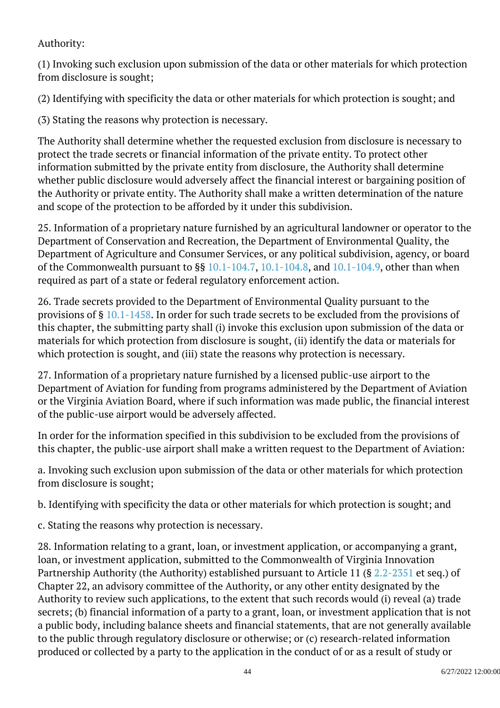### Authority:

(1) Invoking such exclusion upon submission of the data or other materials for which protection from disclosure is sought;

(2) Identifying with specificity the data or other materials for which protection is sought; and Ì

(3) Stating the reasons why protection is necessary. Ì

The Authority shall determine whether the requested exclusion from disclosure is necessary to protect the trade secrets or financial information of the private entity. To protect other information submitted by the private entity from disclosure, the Authority shall determine whether public disclosure would adversely affect the financial interest or bargaining position of the Authority or private entity. The Authority shall make a written determination of the nature and scope of the protection to be afforded by it under this subdivision.

25. Information of a proprietary nature furnished by an agricultural landowner or operator to the Department of Conservation and Recreation, the Department of Environmental Quality, the Department of Agriculture and Consumer Services, or any political subdivision, agency, or board of the Commonwealth pursuant to §§ [10.1-104.7,](/vacode/10.1-104.7/) [10.1-104.8,](/vacode/10.1-104.8/) and [10.1-104.9](/vacode/10.1-104.9/), other than when required as part of a state or federal regulatory enforcement action.

26. Trade secrets provided to the Department of Environmental Quality pursuant to the provisions of § [10.1-1458.](/vacode/10.1-1458/) In order for such trade secrets to be excluded from the provisions of this chapter, the submitting party shall (i) invoke this exclusion upon submission of the data or materials for which protection from disclosure is sought, (ii) identify the data or materials for which protection is sought, and (iii) state the reasons why protection is necessary.

27. Information of a proprietary nature furnished by a licensed public-use airport to the Department of Aviation for funding from programs administered by the Department of Aviation or the Virginia Aviation Board, where if such information was made public, the financial interest of the public-use airport would be adversely affected.

In order for the information specified in this subdivision to be excluded from the provisions of this chapter, the public-use airport shall make a written request to the Department of Aviation:

a. Invoking such exclusion upon submission of the data or other materials for which protection from disclosure is sought;

b. Identifying with specificity the data or other materials for which protection is sought; and

c. Stating the reasons why protection is necessary.

28. Information relating to a grant, loan, or investment application, or accompanying a grant, loan, or investment application, submitted to the Commonwealth of Virginia Innovation Partnership Authority (the Authority) established pursuant to Article 11 (§ [2.2-2351](/vacode/2.2-2351/) et seq.) of Chapter 22, an advisory committee of the Authority, or any other entity designated by the Authority to review such applications, to the extent that such records would (i) reveal (a) trade secrets; (b) financial information of a party to a grant, loan, or investment application that is not a public body, including balance sheets and financial statements, that are not generally available to the public through regulatory disclosure or otherwise; or (c) research-related information produced or collected by a party to the application in the conduct of or as a result of study or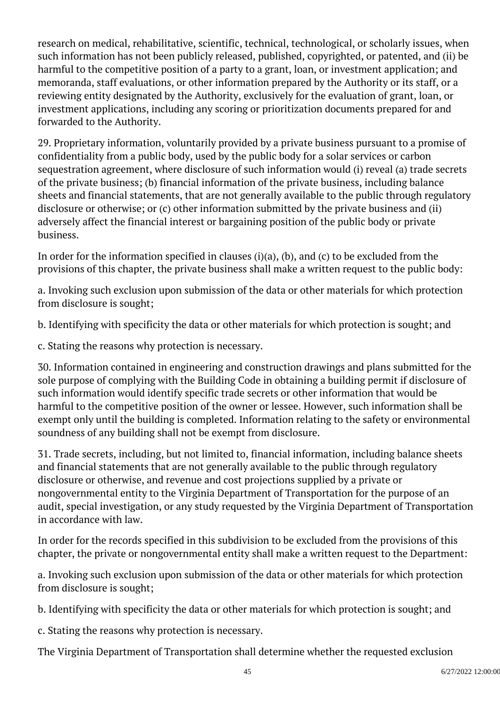research on medical, rehabilitative, scientific, technical, technological, or scholarly issues, when such information has not been publicly released, published, copyrighted, or patented, and (ii) be harmful to the competitive position of a party to a grant, loan, or investment application; and memoranda, staff evaluations, or other information prepared by the Authority or its staff, or a reviewing entity designated by the Authority, exclusively for the evaluation of grant, loan, or investment applications, including any scoring or prioritization documents prepared for and forwarded to the Authority.

29. Proprietary information, voluntarily provided by a private business pursuant to a promise of confidentiality from a public body, used by the public body for a solar services or carbon sequestration agreement, where disclosure of such information would (i) reveal (a) trade secrets of the private business; (b) financial information of the private business, including balance sheets and financial statements, that are not generally available to the public through regulatory disclosure or otherwise; or (c) other information submitted by the private business and (ii) adversely affect the financial interest or bargaining position of the public body or private business.

In order for the information specified in clauses  $(i)(a)$ ,  $(b)$ , and  $(c)$  to be excluded from the provisions of this chapter, the private business shall make a written request to the public body: <sup>"</sup>

a. Invoking such exclusion upon submission of the data or other materials for which protection from disclosure is sought;

b. Identifying with specificity the data or other materials for which protection is sought; and

c. Stating the reasons why protection is necessary.

30. Information contained in engineering and construction drawings and plans submitted for the sole purpose of complying with the Building Code in obtaining a building permit if disclosure of such information would identify specific trade secrets or other information that would be harmful to the competitive position of the owner or lessee. However, such information shall be exempt only until the building is completed. Information relating to the safety or environmental soundness of any building shall not be exempt from disclosure. Ĩ

31. Trade secrets, including, but not limited to, financial information, including balance sheets and financial statements that are not generally available to the public through regulatory disclosure or otherwise, and revenue and cost projections supplied by a private or nongovernmental entity to the Virginia Department of Transportation for the purpose of an audit, special investigation, or any study requested by the Virginia Department of Transportation in accordance with law.

In order for the records specified in this subdivision to be excluded from the provisions of this chapter, the private or nongovernmental entity shall make a written request to the Department:

a. Invoking such exclusion upon submission of the data or other materials for which protection from disclosure is sought;

b. Identifying with specificity the data or other materials for which protection is sought; and

c. Stating the reasons why protection is necessary.

The Virginia Department of Transportation shall determine whether the requested exclusion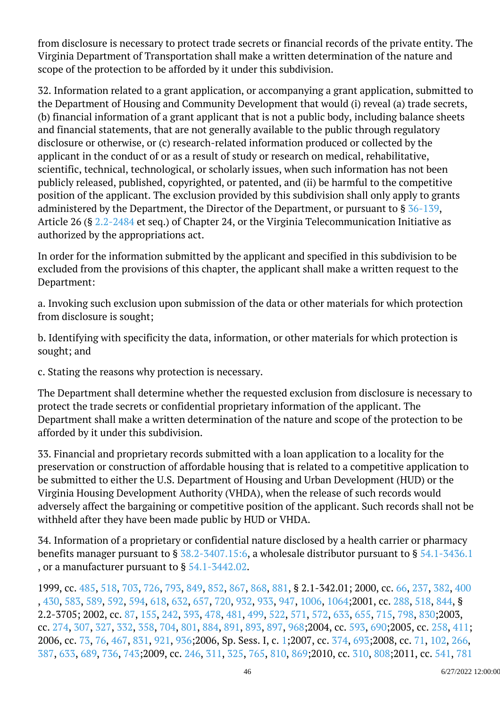from disclosure is necessary to protect trade secrets or financial records of the private entity. The Virginia Department of Transportation shall make a written determination of the nature and scope of the protection to be afforded by it under this subdivision. Ĩ

32. Information related to a grant application, or accompanying a grant application, submitted to the Department of Housing and Community Development that would (i) reveal (a) trade secrets, (b) financial information of a grant applicant that is not a public body, including balance sheets and financial statements, that are not generally available to the public through regulatory disclosure or otherwise, or (c) research-related information produced or collected by the applicant in the conduct of or as a result of study or research on medical, rehabilitative, scientific, technical, technological, or scholarly issues, when such information has not been publicly released, published, copyrighted, or patented, and (ii) be harmful to the competitive position of the applicant. The exclusion provided by this subdivision shall only apply to grants administered by the Department, the Director of the Department, or pursuant to  $\S 36-139$ , Article 26 (§ [2.2-2484](/vacode/2.2-2484/) et seq.) of Chapter 24, or the Virginia Telecommunication Initiative as authorized by the appropriations act. I

In order for the information submitted by the applicant and specified in this subdivision to be excluded from the provisions of this chapter, the applicant shall make a written request to the Department:

a. Invoking such exclusion upon submission of the data or other materials for which protection from disclosure is sought;

b. Identifying with specificity the data, information, or other materials for which protection is sought; and

c. Stating the reasons why protection is necessary.

The Department shall determine whether the requested exclusion from disclosure is necessary to protect the trade secrets or confidential proprietary information of the applicant. The Department shall make a written determination of the nature and scope of the protection to be afforded by it under this subdivision. Ĩ

33. Financial and proprietary records submitted with a loan application to a locality for the preservation or construction of affordable housing that is related to a competitive application to be submitted to either the U.S. Department of Housing and Urban Development (HUD) or the Virginia Housing Development Authority (VHDA), when the release of such records would adversely affect the bargaining or competitive position of the applicant. Such records shall not be withheld after they have been made public by HUD or VHDA.

34. Information of a proprietary or confidential nature disclosed by a health carrier or pharmacy benefits manager pursuant to § [38.2-3407.15:6](/vacode/38.2-3407.15:6/), a wholesale distributor pursuant to § [54.1-3436.1](/vacode/54.1-3436.1/) , or a manufacturer pursuant to  $\S~54.1$ -3442.02.  $\overline{\phantom{a}}$ 

1999, cc. [485,](http://lis.virginia.gov/cgi-bin/legp604.exe?991+ful+CHAP0485) [518](http://lis.virginia.gov/cgi-bin/legp604.exe?991+ful+CHAP0518), [703,](http://lis.virginia.gov/cgi-bin/legp604.exe?991+ful+CHAP0703) [726](http://lis.virginia.gov/cgi-bin/legp604.exe?991+ful+CHAP0726), [793,](http://lis.virginia.gov/cgi-bin/legp604.exe?991+ful+CHAP0793) [849](http://lis.virginia.gov/cgi-bin/legp604.exe?991+ful+CHAP0849), [852,](http://lis.virginia.gov/cgi-bin/legp604.exe?991+ful+CHAP0852) [867](http://lis.virginia.gov/cgi-bin/legp604.exe?991+ful+CHAP0867), [868,](http://lis.virginia.gov/cgi-bin/legp604.exe?991+ful+CHAP0868) [881](http://lis.virginia.gov/cgi-bin/legp604.exe?991+ful+CHAP0881), § 2.1-342.01; 2000, cc. [66](http://lis.virginia.gov/cgi-bin/legp604.exe?001+ful+CHAP0066), [237,](http://lis.virginia.gov/cgi-bin/legp604.exe?001+ful+CHAP0237) [382](http://lis.virginia.gov/cgi-bin/legp604.exe?001+ful+CHAP0382), [400](http://lis.virginia.gov/cgi-bin/legp604.exe?001+ful+CHAP0400) , [430](http://lis.virginia.gov/cgi-bin/legp604.exe?001+ful+CHAP0430), [583](http://lis.virginia.gov/cgi-bin/legp604.exe?001+ful+CHAP0583), [589,](http://lis.virginia.gov/cgi-bin/legp604.exe?001+ful+CHAP0589) [592](http://lis.virginia.gov/cgi-bin/legp604.exe?001+ful+CHAP0592), [594](http://lis.virginia.gov/cgi-bin/legp604.exe?001+ful+CHAP0594), [618](http://lis.virginia.gov/cgi-bin/legp604.exe?001+ful+CHAP0618), [632,](http://lis.virginia.gov/cgi-bin/legp604.exe?001+ful+CHAP0632) [657](http://lis.virginia.gov/cgi-bin/legp604.exe?001+ful+CHAP0657), [720](http://lis.virginia.gov/cgi-bin/legp604.exe?001+ful+CHAP0720), [932](http://lis.virginia.gov/cgi-bin/legp604.exe?001+ful+CHAP0932), [933,](http://lis.virginia.gov/cgi-bin/legp604.exe?001+ful+CHAP0933) [947](http://lis.virginia.gov/cgi-bin/legp604.exe?001+ful+CHAP0947), [1006,](http://lis.virginia.gov/cgi-bin/legp604.exe?001+ful+CHAP1006) [1064;2](http://lis.virginia.gov/cgi-bin/legp604.exe?001+ful+CHAP1064)001, cc. [288](http://lis.virginia.gov/cgi-bin/legp604.exe?011+ful+CHAP0288), [518,](http://lis.virginia.gov/cgi-bin/legp604.exe?011+ful+CHAP0518) [844](http://lis.virginia.gov/cgi-bin/legp604.exe?011+ful+CHAP0844), § 2.2-3705; 2002, cc. [87,](http://lis.virginia.gov/cgi-bin/legp604.exe?021+ful+CHAP0087) [155](http://lis.virginia.gov/cgi-bin/legp604.exe?021+ful+CHAP0155), [242,](http://lis.virginia.gov/cgi-bin/legp604.exe?021+ful+CHAP0242) [393](http://lis.virginia.gov/cgi-bin/legp604.exe?021+ful+CHAP0393), [478,](http://lis.virginia.gov/cgi-bin/legp604.exe?021+ful+CHAP0478) [481](http://lis.virginia.gov/cgi-bin/legp604.exe?021+ful+CHAP0481), [499,](http://lis.virginia.gov/cgi-bin/legp604.exe?021+ful+CHAP0499) [522](http://lis.virginia.gov/cgi-bin/legp604.exe?021+ful+CHAP0522), [571,](http://lis.virginia.gov/cgi-bin/legp604.exe?021+ful+CHAP0571) [572](http://lis.virginia.gov/cgi-bin/legp604.exe?021+ful+CHAP0572), [633,](http://lis.virginia.gov/cgi-bin/legp604.exe?021+ful+CHAP0633) [655](http://lis.virginia.gov/cgi-bin/legp604.exe?021+ful+CHAP0655), [715,](http://lis.virginia.gov/cgi-bin/legp604.exe?021+ful+CHAP0715) [798](http://lis.virginia.gov/cgi-bin/legp604.exe?021+ful+CHAP0798), [830;2](http://lis.virginia.gov/cgi-bin/legp604.exe?021+ful+CHAP0830)003, cc. [274,](http://lis.virginia.gov/cgi-bin/legp604.exe?031+ful+CHAP0274) [307](http://lis.virginia.gov/cgi-bin/legp604.exe?031+ful+CHAP0307), [327,](http://lis.virginia.gov/cgi-bin/legp604.exe?031+ful+CHAP0327) [332](http://lis.virginia.gov/cgi-bin/legp604.exe?031+ful+CHAP0332), [358,](http://lis.virginia.gov/cgi-bin/legp604.exe?031+ful+CHAP0358) [704](http://lis.virginia.gov/cgi-bin/legp604.exe?031+ful+CHAP0704), [801,](http://lis.virginia.gov/cgi-bin/legp604.exe?031+ful+CHAP0801) [884](http://lis.virginia.gov/cgi-bin/legp604.exe?031+ful+CHAP0884), [891,](http://lis.virginia.gov/cgi-bin/legp604.exe?031+ful+CHAP0891) [893](http://lis.virginia.gov/cgi-bin/legp604.exe?031+ful+CHAP0893), [897,](http://lis.virginia.gov/cgi-bin/legp604.exe?031+ful+CHAP0897) [968;](http://lis.virginia.gov/cgi-bin/legp604.exe?031+ful+CHAP0968)2004, cc. [593,](http://lis.virginia.gov/cgi-bin/legp604.exe?041+ful+CHAP0593) [690;](http://lis.virginia.gov/cgi-bin/legp604.exe?041+ful+CHAP0690)2005, cc. [258,](http://lis.virginia.gov/cgi-bin/legp604.exe?051+ful+CHAP0258) [411;](http://lis.virginia.gov/cgi-bin/legp604.exe?051+ful+CHAP0411) 2006, cc. [73](http://lis.virginia.gov/cgi-bin/legp604.exe?061+ful+CHAP0073), [76](http://lis.virginia.gov/cgi-bin/legp604.exe?061+ful+CHAP0076), [467,](http://lis.virginia.gov/cgi-bin/legp604.exe?061+ful+CHAP0467) [831](http://lis.virginia.gov/cgi-bin/legp604.exe?061+ful+CHAP0831), [921,](http://lis.virginia.gov/cgi-bin/legp604.exe?061+ful+CHAP0921) [936;](http://lis.virginia.gov/cgi-bin/legp604.exe?061+ful+CHAP0936)2006, Sp. Sess. I, c. [1;2](http://lis.virginia.gov/cgi-bin/legp604.exe?061+ful+CHAP0001)007, cc. [374](http://lis.virginia.gov/cgi-bin/legp604.exe?071+ful+CHAP0374), [693;2](http://lis.virginia.gov/cgi-bin/legp604.exe?071+ful+CHAP0693)008, cc. [71,](http://lis.virginia.gov/cgi-bin/legp604.exe?081+ful+CHAP0071) [102](http://lis.virginia.gov/cgi-bin/legp604.exe?081+ful+CHAP0102), [266,](http://lis.virginia.gov/cgi-bin/legp604.exe?081+ful+CHAP0266) [387](http://lis.virginia.gov/cgi-bin/legp604.exe?081+ful+CHAP0387), [633,](http://lis.virginia.gov/cgi-bin/legp604.exe?081+ful+CHAP0633) [689](http://lis.virginia.gov/cgi-bin/legp604.exe?081+ful+CHAP0689), [736,](http://lis.virginia.gov/cgi-bin/legp604.exe?081+ful+CHAP0736) [743;](http://lis.virginia.gov/cgi-bin/legp604.exe?081+ful+CHAP0743)2009, cc. [246,](http://lis.virginia.gov/cgi-bin/legp604.exe?091+ful+CHAP0246) [311](http://lis.virginia.gov/cgi-bin/legp604.exe?091+ful+CHAP0311), [325,](http://lis.virginia.gov/cgi-bin/legp604.exe?091+ful+CHAP0325) [765](http://lis.virginia.gov/cgi-bin/legp604.exe?091+ful+CHAP0765), [810,](http://lis.virginia.gov/cgi-bin/legp604.exe?091+ful+CHAP0810) [869;](http://lis.virginia.gov/cgi-bin/legp604.exe?091+ful+CHAP0869)2010, cc. [310,](http://lis.virginia.gov/cgi-bin/legp604.exe?101+ful+CHAP0310) [808;](http://lis.virginia.gov/cgi-bin/legp604.exe?101+ful+CHAP0808)2011, cc. [541,](http://lis.virginia.gov/cgi-bin/legp604.exe?111+ful+CHAP0541) [781](http://lis.virginia.gov/cgi-bin/legp604.exe?111+ful+CHAP0781)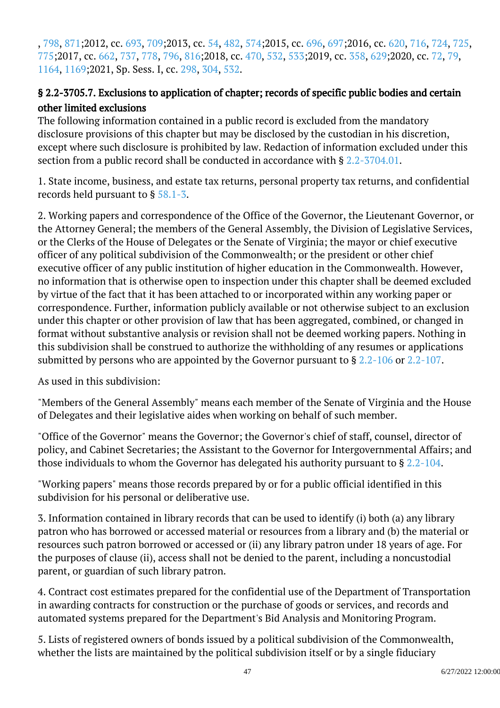, [798](http://lis.virginia.gov/cgi-bin/legp604.exe?111+ful+CHAP0798), [871;2](http://lis.virginia.gov/cgi-bin/legp604.exe?111+ful+CHAP0871)012, cc. [693,](http://lis.virginia.gov/cgi-bin/legp604.exe?121+ful+CHAP0693) [709;](http://lis.virginia.gov/cgi-bin/legp604.exe?121+ful+CHAP0709)2013, cc. [54](http://lis.virginia.gov/cgi-bin/legp604.exe?131+ful+CHAP0054), [482,](http://lis.virginia.gov/cgi-bin/legp604.exe?131+ful+CHAP0482) [574;](http://lis.virginia.gov/cgi-bin/legp604.exe?131+ful+CHAP0574)2015, cc. [696,](http://lis.virginia.gov/cgi-bin/legp604.exe?151+ful+CHAP0696) [697;](http://lis.virginia.gov/cgi-bin/legp604.exe?151+ful+CHAP0697)2016, cc. [620,](http://lis.virginia.gov/cgi-bin/legp604.exe?161+ful+CHAP0620) [716](http://lis.virginia.gov/cgi-bin/legp604.exe?161+ful+CHAP0716), [724,](http://lis.virginia.gov/cgi-bin/legp604.exe?161+ful+CHAP0724) [725](http://lis.virginia.gov/cgi-bin/legp604.exe?161+ful+CHAP0725), [775;](http://lis.virginia.gov/cgi-bin/legp604.exe?161+ful+CHAP0775)2017, cc. [662,](http://lis.virginia.gov/cgi-bin/legp604.exe?171+ful+CHAP0662) [737](http://lis.virginia.gov/cgi-bin/legp604.exe?171+ful+CHAP0737), [778,](http://lis.virginia.gov/cgi-bin/legp604.exe?171+ful+CHAP0778) [796](http://lis.virginia.gov/cgi-bin/legp604.exe?171+ful+CHAP0796), [816;2](http://lis.virginia.gov/cgi-bin/legp604.exe?171+ful+CHAP0816)018, cc. [470](http://lis.virginia.gov/cgi-bin/legp604.exe?181+ful+CHAP0470), [532,](http://lis.virginia.gov/cgi-bin/legp604.exe?181+ful+CHAP0532) [533;](http://lis.virginia.gov/cgi-bin/legp604.exe?181+ful+CHAP0533)2019, cc. [358,](http://lis.virginia.gov/cgi-bin/legp604.exe?191+ful+CHAP0358) [629;](http://lis.virginia.gov/cgi-bin/legp604.exe?191+ful+CHAP0629)2020, cc. [72](http://lis.virginia.gov/cgi-bin/legp604.exe?201+ful+CHAP0072), [79](http://lis.virginia.gov/cgi-bin/legp604.exe?201+ful+CHAP0079), [1164,](http://lis.virginia.gov/cgi-bin/legp604.exe?201+ful+CHAP1164) [1169;](http://lis.virginia.gov/cgi-bin/legp604.exe?201+ful+CHAP1169)2021, Sp. Sess. I, cc. [298](http://lis.virginia.gov/cgi-bin/legp604.exe?212+ful+CHAP0298), [304,](http://lis.virginia.gov/cgi-bin/legp604.exe?212+ful+CHAP0304) [532](http://lis.virginia.gov/cgi-bin/legp604.exe?212+ful+CHAP0532).

## § 2.2-3705.7. Exclusions to application of chapter; records of specific public bodies and certain other limited exclusions

The following information contained in a public record is excluded from the mandatory disclosure provisions of this chapter but may be disclosed by the custodian in his discretion, except where such disclosure is prohibited by law. Redaction of information excluded under this section from a public record shall be conducted in accordance with §  $2.2$ -3704.01. Ĩ

1. State income, business, and estate tax returns, personal property tax returns, and confidential records held pursuant to § [58.1-3.](/vacode/58.1-3/)

2. Working papers and correspondence of the Office of the Governor, the Lieutenant Governor, or the Attorney General; the members of the General Assembly, the Division of Legislative Services, or the Clerks of the House of Delegates or the Senate of Virginia; the mayor or chief executive officer of any political subdivision of the Commonwealth; or the president or other chief executive officer of any public institution of higher education in the Commonwealth. However, no information that is otherwise open to inspection under this chapter shall be deemed excluded by virtue of the fact that it has been attached to or incorporated within any working paper or correspondence. Further, information publicly available or not otherwise subject to an exclusion under this chapter or other provision of law that has been aggregated, combined, or changed in format without substantive analysis or revision shall not be deemed working papers. Nothing in this subdivision shall be construed to authorize the withholding of any resumes or applications submitted by persons who are appointed by the Governor pursuant to § [2.2-106](/vacode/2.2-106/) or [2.2-107](/vacode/2.2-107/). Ĩ

As used in this subdivision:

"Members of the General Assembly" means each member of the Senate of Virginia and the House of Delegates and their legislative aides when working on behalf of such member.

"Office of the Governor" means the Governor; the Governor's chief of staff, counsel, director of policy, and Cabinet Secretaries; the Assistant to the Governor for Intergovernmental Affairs; and those individuals to whom the Governor has delegated his authority pursuant to § [2.2-104](/vacode/2.2-104/).

"Working papers" means those records prepared by or for a public official identified in this subdivision for his personal or deliberative use.

3. Information contained in library records that can be used to identify (i) both (a) any library patron who has borrowed or accessed material or resources from a library and (b) the material or resources such patron borrowed or accessed or (ii) any library patron under 18 years of age. For the purposes of clause (ii), access shall not be denied to the parent, including a noncustodial parent, or guardian of such library patron. <sup>"</sup>

4. Contract cost estimates prepared for the confidential use of the Department of Transportation in awarding contracts for construction or the purchase of goods or services, and records and automated systems prepared for the Department's Bid Analysis and Monitoring Program.

5. Lists of registered owners of bonds issued by a political subdivision of the Commonwealth, whether the lists are maintained by the political subdivision itself or by a single fiduciary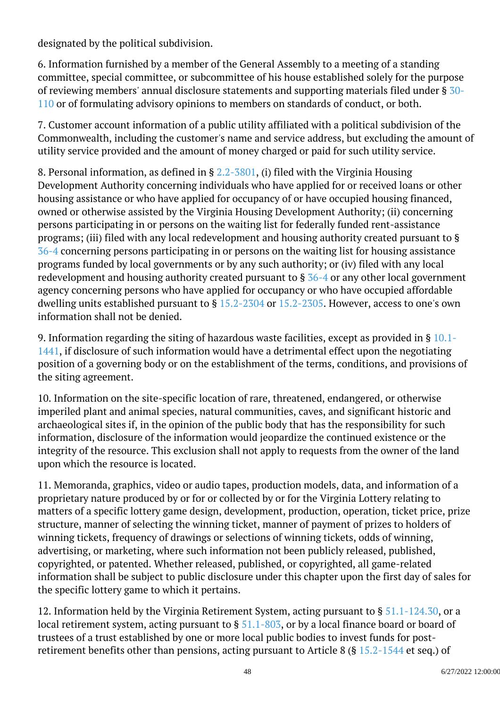designated by the political subdivision.

6. Information furnished by a member of the General Assembly to a meeting of a standing committee, special committee, or subcommittee of his house established solely for the purpose of reviewing members' annual disclosure statements and supporting materials filed under § [30-](/vacode/30-110/) [110](/vacode/30-110/) or of formulating advisory opinions to members on standards of conduct, or both.

7. Customer account information of a public utility affiliated with a political subdivision of the Commonwealth, including the customer's name and service address, but excluding the amount of utility service provided and the amount of money charged or paid for such utility service.

8. Personal information, as defined in § [2.2-3801,](/vacode/2.2-3801/) (i) filed with the Virginia Housing Development Authority concerning individuals who have applied for or received loans or other housing assistance or who have applied for occupancy of or have occupied housing financed, owned or otherwise assisted by the Virginia Housing Development Authority; (ii) concerning persons participating in or persons on the waiting list for federally funded rent-assistance programs; (iii) filed with any local redevelopment and housing authority created pursuant to § [36-4](/vacode/36-4/) concerning persons participating in or persons on the waiting list for housing assistance programs funded by local governments or by any such authority; or (iv) filed with any local redevelopment and housing authority created pursuant to § [36-4](/vacode/36-4/) or any other local government agency concerning persons who have applied for occupancy or who have occupied affordable dwelling units established pursuant to § [15.2-2304](/vacode/15.2-2304/) or [15.2-2305.](/vacode/15.2-2305/) However, access to one's own information shall not be denied.

9. Information regarding the siting of hazardous waste facilities, except as provided in § [10.1-](/vacode/10.1-1441/) [1441,](/vacode/10.1-1441/) if disclosure of such information would have a detrimental effect upon the negotiating position of a governing body or on the establishment of the terms, conditions, and provisions of the siting agreement.

10. Information on the site-specific location of rare, threatened, endangered, or otherwise imperiled plant and animal species, natural communities, caves, and significant historic and archaeological sites if, in the opinion of the public body that has the responsibility for such information, disclosure of the information would jeopardize the continued existence or the integrity of the resource. This exclusion shall not apply to requests from the owner of the land upon which the resource is located.

11. Memoranda, graphics, video or audio tapes, production models, data, and information of a proprietary nature produced by or for or collected by or for the Virginia Lottery relating to matters of a specific lottery game design, development, production, operation, ticket price, prize structure, manner of selecting the winning ticket, manner of payment of prizes to holders of winning tickets, frequency of drawings or selections of winning tickets, odds of winning, advertising, or marketing, where such information not been publicly released, published, copyrighted, or patented. Whether released, published, or copyrighted, all game-related information shall be subject to public disclosure under this chapter upon the first day of sales for the specific lottery game to which it pertains.

12. Information held by the Virginia Retirement System, acting pursuant to § [51.1-124.30,](/vacode/51.1-124.30/) or a local retirement system, acting pursuant to § [51.1-803](/vacode/51.1-803/), or by a local finance board or board of trustees of a trust established by one or more local public bodies to invest funds for postretirement benefits other than pensions, acting pursuant to Article 8 (§  $15.2-1544$  et seq.) of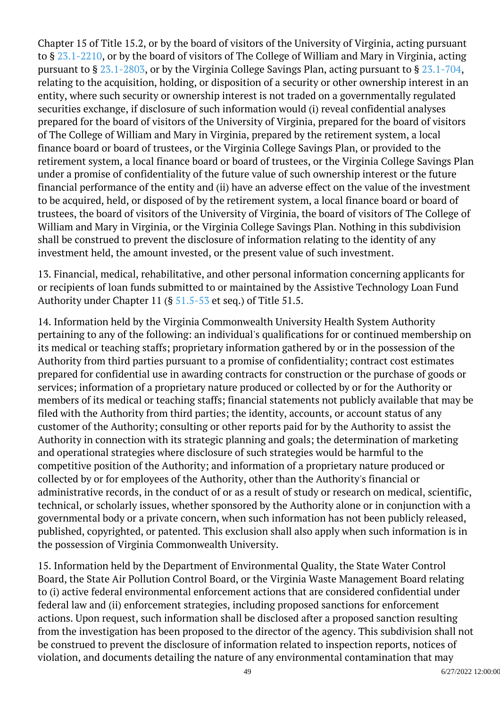Chapter 15 of Title 15.2, or by the board of visitors of the University of Virginia, acting pursuant to § [23.1-2210](/vacode/23.1-2210/), or by the board of visitors of The College of William and Mary in Virginia, acting pursuant to § [23.1-2803](/vacode/23.1-2803/), or by the Virginia College Savings Plan, acting pursuant to § [23.1-704,](/vacode/23.1-704/) relating to the acquisition, holding, or disposition of a security or other ownership interest in an entity, where such security or ownership interest is not traded on a governmentally regulated securities exchange, if disclosure of such information would (i) reveal confidential analyses prepared for the board of visitors of the University of Virginia, prepared for the board of visitors of The College of William and Mary in Virginia, prepared by the retirement system, a local finance board or board of trustees, or the Virginia College Savings Plan, or provided to the retirement system, a local finance board or board of trustees, or the Virginia College Savings Plan under a promise of confidentiality of the future value of such ownership interest or the future financial performance of the entity and (ii) have an adverse effect on the value of the investment to be acquired, held, or disposed of by the retirement system, a local finance board or board of trustees, the board of visitors of the University of Virginia, the board of visitors of The College of William and Mary in Virginia, or the Virginia College Savings Plan. Nothing in this subdivision shall be construed to prevent the disclosure of information relating to the identity of any investment held, the amount invested, or the present value of such investment.

13. Financial, medical, rehabilitative, and other personal information concerning applicants for or recipients of loan funds submitted to or maintained by the Assistive Technology Loan Fund Authority under Chapter 11 (§ [51.5-53](/vacode/51.5-53/) et seq.) of Title 51.5.

14. Information held by the Virginia Commonwealth University Health System Authority pertaining to any of the following: an individual's qualifications for or continued membership on its medical or teaching staffs; proprietary information gathered by or in the possession of the Authority from third parties pursuant to a promise of confidentiality; contract cost estimates prepared for confidential use in awarding contracts for construction or the purchase of goods or services; information of a proprietary nature produced or collected by or for the Authority or members of its medical or teaching staffs; financial statements not publicly available that may be filed with the Authority from third parties; the identity, accounts, or account status of any customer of the Authority; consulting or other reports paid for by the Authority to assist the Authority in connection with its strategic planning and goals; the determination of marketing and operational strategies where disclosure of such strategies would be harmful to the competitive position of the Authority; and information of a proprietary nature produced or collected by or for employees of the Authority, other than the Authority's financial or administrative records, in the conduct of or as a result of study or research on medical, scientific, technical, or scholarly issues, whether sponsored by the Authority alone or in conjunction with a governmental body or a private concern, when such information has not been publicly released, published, copyrighted, or patented. This exclusion shall also apply when such information is in the possession of Virginia Commonwealth University.

15. Information held by the Department of Environmental Quality, the State Water Control Board, the State Air Pollution Control Board, or the Virginia Waste Management Board relating to (i) active federal environmental enforcement actions that are considered confidential under federal law and (ii) enforcement strategies, including proposed sanctions for enforcement actions. Upon request, such information shall be disclosed after a proposed sanction resulting from the investigation has been proposed to the director of the agency. This subdivision shall not be construed to prevent the disclosure of information related to inspection reports, notices of violation, and documents detailing the nature of any environmental contamination that may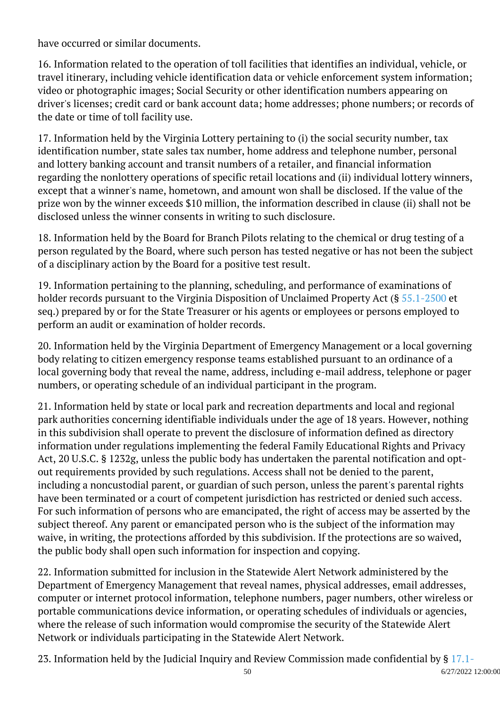have occurred or similar documents.

16. Information related to the operation of toll facilities that identifies an individual, vehicle, or travel itinerary, including vehicle identification data or vehicle enforcement system information; video or photographic images; Social Security or other identification numbers appearing on driver's licenses; credit card or bank account data; home addresses; phone numbers; or records of the date or time of toll facility use.

17. Information held by the Virginia Lottery pertaining to (i) the social security number, tax identification number, state sales tax number, home address and telephone number, personal and lottery banking account and transit numbers of a retailer, and financial information regarding the nonlottery operations of specific retail locations and (ii) individual lottery winners, except that a winner's name, hometown, and amount won shall be disclosed. If the value of the prize won by the winner exceeds \$10 million, the information described in clause (ii) shall not be disclosed unless the winner consents in writing to such disclosure.

18. Information held by the Board for Branch Pilots relating to the chemical or drug testing of a person regulated by the Board, where such person has tested negative or has not been the subject of a disciplinary action by the Board for a positive test result.

19. Information pertaining to the planning, scheduling, and performance of examinations of holder records pursuant to the Virginia Disposition of Unclaimed Property Act (§ [55.1-2500](/vacode/55.1-2500/) et seq.) prepared by or for the State Treasurer or his agents or employees or persons employed to perform an audit or examination of holder records. <sup>"</sup>

20. Information held by the Virginia Department of Emergency Management or a local governing body relating to citizen emergency response teams established pursuant to an ordinance of a local governing body that reveal the name, address, including e-mail address, telephone or pager numbers, or operating schedule of an individual participant in the program.

21. Information held by state or local park and recreation departments and local and regional park authorities concerning identifiable individuals under the age of 18 years. However, nothing in this subdivision shall operate to prevent the disclosure of information defined as directory information under regulations implementing the federal Family Educational Rights and Privacy Act, 20 U.S.C. § 1232g, unless the public body has undertaken the parental notification and optout requirements provided by such regulations. Access shall not be denied to the parent, including a noncustodial parent, or guardian of such person, unless the parent's parental rights have been terminated or a court of competent jurisdiction has restricted or denied such access. For such information of persons who are emancipated, the right of access may be asserted by the subject thereof. Any parent or emancipated person who is the subject of the information may waive, in writing, the protections afforded by this subdivision. If the protections are so waived, the public body shall open such information for inspection and copying.

22. Information submitted for inclusion in the Statewide Alert Network administered by the Department of Emergency Management that reveal names, physical addresses, email addresses, computer or internet protocol information, telephone numbers, pager numbers, other wireless or portable communications device information, or operating schedules of individuals or agencies, where the release of such information would compromise the security of the Statewide Alert Network or individuals participating in the Statewide Alert Network.

23. Information held by the Judicial Inquiry and Review Commission made confidential by § [17.1-](/vacode/17.1-913/)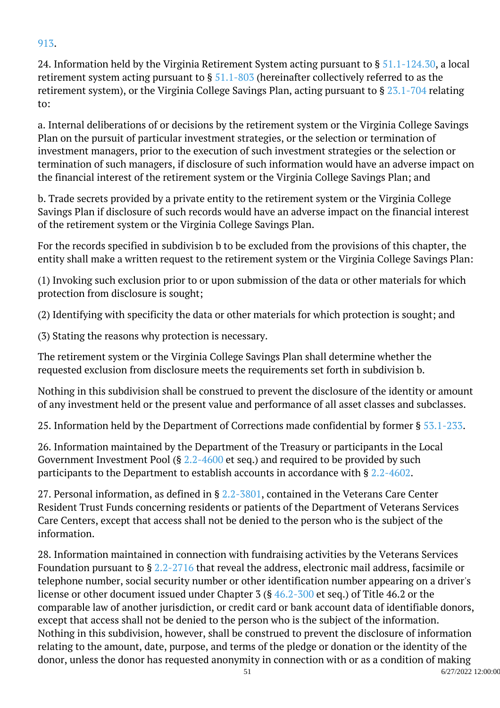# [913](/vacode/17.1-913/).

24. Information held by the Virginia Retirement System acting pursuant to § [51.1-124.30](/vacode/51.1-124.30/), a local retirement system acting pursuant to § [51.1-803](/vacode/51.1-803/) (hereinafter collectively referred to as the retirement system), or the Virginia College Savings Plan, acting pursuant to § [23.1-704](/vacode/23.1-704/) relating to:

a. Internal deliberations of or decisions by the retirement system or the Virginia College Savings Plan on the pursuit of particular investment strategies, or the selection or termination of investment managers, prior to the execution of such investment strategies or the selection or termination of such managers, if disclosure of such information would have an adverse impact on the financial interest of the retirement system or the Virginia College Savings Plan; and

b. Trade secrets provided by a private entity to the retirement system or the Virginia College Savings Plan if disclosure of such records would have an adverse impact on the financial interest of the retirement system or the Virginia College Savings Plan.

For the records specified in subdivision b to be excluded from the provisions of this chapter, the entity shall make a written request to the retirement system or the Virginia College Savings Plan:

(1) Invoking such exclusion prior to or upon submission of the data or other materials for which protection from disclosure is sought; <sup>"</sup>

(2) Identifying with specificity the data or other materials for which protection is sought; and Ì

(3) Stating the reasons why protection is necessary. Ì

The retirement system or the Virginia College Savings Plan shall determine whether the requested exclusion from disclosure meets the requirements set forth in subdivision b.

Nothing in this subdivision shall be construed to prevent the disclosure of the identity or amount of any investment held or the present value and performance of all asset classes and subclasses.

25. Information held by the Department of Corrections made confidential by former § [53.1-233.](/vacode/53.1-233/)

26. Information maintained by the Department of the Treasury or participants in the Local Government Investment Pool (§  $2.2-4600$  et seq.) and required to be provided by such participants to the Department to establish accounts in accordance with § [2.2-4602.](/vacode/2.2-4602/) <sup>"</sup>

27. Personal information, as defined in § [2.2-3801](/vacode/2.2-3801/), contained in the Veterans Care Center Resident Trust Funds concerning residents or patients of the Department of Veterans Services Care Centers, except that access shall not be denied to the person who is the subject of the information.

28. Information maintained in connection with fundraising activities by the Veterans Services Foundation pursuant to § [2.2-2716](/vacode/2.2-2716/) that reveal the address, electronic mail address, facsimile or telephone number, social security number or other identification number appearing on a driver's license or other document issued under Chapter 3 (§ [46.2-300](/vacode/46.2-300/) et seq.) of Title 46.2 or the comparable law of another jurisdiction, or credit card or bank account data of identifiable donors, except that access shall not be denied to the person who is the subject of the information. Nothing in this subdivision, however, shall be construed to prevent the disclosure of information relating to the amount, date, purpose, and terms of the pledge or donation or the identity of the donor, unless the donor has requested anonymity in connection with or as a condition of making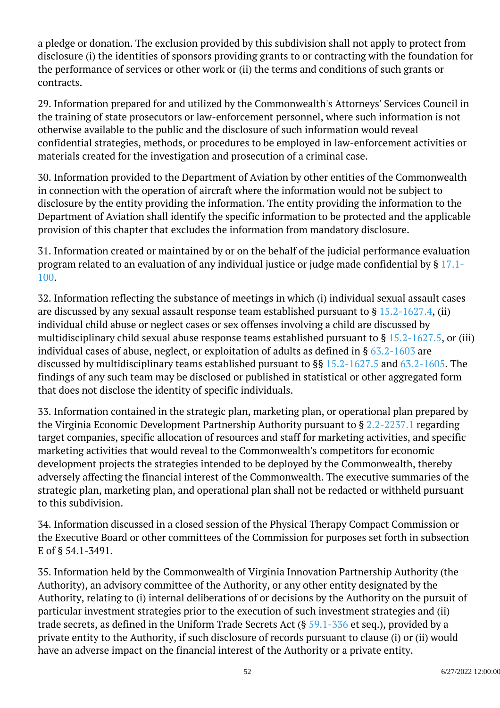a pledge or donation. The exclusion provided by this subdivision shall not apply to protect from disclosure (i) the identities of sponsors providing grants to or contracting with the foundation for the performance of services or other work or (ii) the terms and conditions of such grants or contracts.

29. Information prepared for and utilized by the Commonwealth's Attorneys' Services Council in the training of state prosecutors or law-enforcement personnel, where such information is not otherwise available to the public and the disclosure of such information would reveal confidential strategies, methods, or procedures to be employed in law-enforcement activities or materials created for the investigation and prosecution of a criminal case.

30. Information provided to the Department of Aviation by other entities of the Commonwealth in connection with the operation of aircraft where the information would not be subject to disclosure by the entity providing the information. The entity providing the information to the Department of Aviation shall identify the specific information to be protected and the applicable provision of this chapter that excludes the information from mandatory disclosure. <u>i</u>

31. Information created or maintained by or on the behalf of the judicial performance evaluation program related to an evaluation of any individual justice or judge made confidential by § [17.1-](/vacode/17.1-100/) [100](/vacode/17.1-100/).

32. Information reflecting the substance of meetings in which (i) individual sexual assault cases are discussed by any sexual assault response team established pursuant to  $\S 15.2$ -1627.4, (ii) individual child abuse or neglect cases or sex offenses involving a child are discussed by multidisciplinary child sexual abuse response teams established pursuant to § [15.2-1627.5](/vacode/15.2-1627.5/), or (iii) individual cases of abuse, neglect, or exploitation of adults as defined in § [63.2-1603](/vacode/63.2-1603/) are discussed by multidisciplinary teams established pursuant to §§ [15.2-1627.5](/vacode/15.2-1627.5/) and [63.2-1605.](/vacode/63.2-1605/) The findings of any such team may be disclosed or published in statistical or other aggregated form that does not disclose the identity of specific individuals.

33. Information contained in the strategic plan, marketing plan, or operational plan prepared by the Virginia Economic Development Partnership Authority pursuant to § [2.2-2237.1](/vacode/2.2-2237.1/) regarding target companies, specific allocation of resources and staff for marketing activities, and specific marketing activities that would reveal to the Commonwealth's competitors for economic development projects the strategies intended to be deployed by the Commonwealth, thereby adversely affecting the financial interest of the Commonwealth. The executive summaries of the strategic plan, marketing plan, and operational plan shall not be redacted or withheld pursuant to this subdivision.

34. Information discussed in a closed session of the Physical Therapy Compact Commission or the Executive Board or other committees of the Commission for purposes set forth in subsection E of § 54.1-3491.

35. Information held by the Commonwealth of Virginia Innovation Partnership Authority (the Authority), an advisory committee of the Authority, or any other entity designated by the Authority, relating to (i) internal deliberations of or decisions by the Authority on the pursuit of particular investment strategies prior to the execution of such investment strategies and (ii) trade secrets, as defined in the Uniform Trade Secrets Act (§ [59.1-336](/vacode/59.1-336/) et seq.), provided by a private entity to the Authority, if such disclosure of records pursuant to clause (i) or (ii) would have an adverse impact on the financial interest of the Authority or a private entity.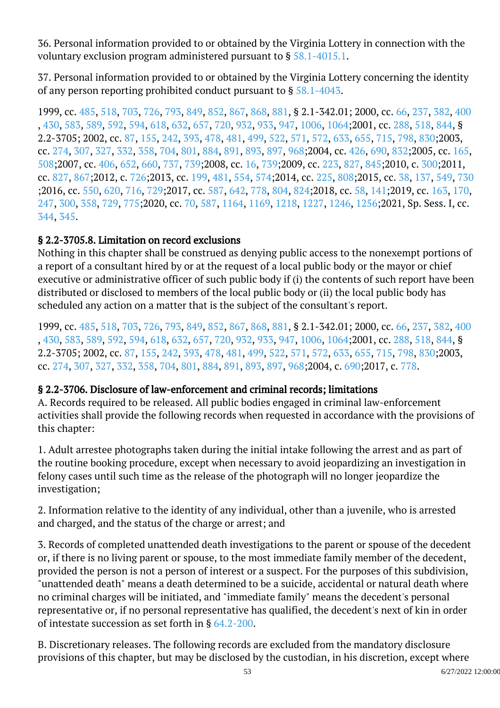36. Personal information provided to or obtained by the Virginia Lottery in connection with the voluntary exclusion program administered pursuant to § [58.1-4015.1](/vacode/58.1-4015.1/).

37. Personal information provided to or obtained by the Virginia Lottery concerning the identity of any person reporting prohibited conduct pursuant to § [58.1-4043](/vacode/58.1-4043/).

1999, cc. [485,](http://lis.virginia.gov/cgi-bin/legp604.exe?991+ful+CHAP0485) [518](http://lis.virginia.gov/cgi-bin/legp604.exe?991+ful+CHAP0518), [703,](http://lis.virginia.gov/cgi-bin/legp604.exe?991+ful+CHAP0703) [726](http://lis.virginia.gov/cgi-bin/legp604.exe?991+ful+CHAP0726), [793,](http://lis.virginia.gov/cgi-bin/legp604.exe?991+ful+CHAP0793) [849](http://lis.virginia.gov/cgi-bin/legp604.exe?991+ful+CHAP0849), [852,](http://lis.virginia.gov/cgi-bin/legp604.exe?991+ful+CHAP0852) [867](http://lis.virginia.gov/cgi-bin/legp604.exe?991+ful+CHAP0867), [868,](http://lis.virginia.gov/cgi-bin/legp604.exe?991+ful+CHAP0868) [881](http://lis.virginia.gov/cgi-bin/legp604.exe?991+ful+CHAP0881), § 2.1-342.01; 2000, cc. [66](http://lis.virginia.gov/cgi-bin/legp604.exe?001+ful+CHAP0066), [237,](http://lis.virginia.gov/cgi-bin/legp604.exe?001+ful+CHAP0237) [382](http://lis.virginia.gov/cgi-bin/legp604.exe?001+ful+CHAP0382), [400](http://lis.virginia.gov/cgi-bin/legp604.exe?001+ful+CHAP0400) , [430](http://lis.virginia.gov/cgi-bin/legp604.exe?001+ful+CHAP0430), [583](http://lis.virginia.gov/cgi-bin/legp604.exe?001+ful+CHAP0583), [589,](http://lis.virginia.gov/cgi-bin/legp604.exe?001+ful+CHAP0589) [592](http://lis.virginia.gov/cgi-bin/legp604.exe?001+ful+CHAP0592), [594](http://lis.virginia.gov/cgi-bin/legp604.exe?001+ful+CHAP0594), [618](http://lis.virginia.gov/cgi-bin/legp604.exe?001+ful+CHAP0618), [632,](http://lis.virginia.gov/cgi-bin/legp604.exe?001+ful+CHAP0632) [657](http://lis.virginia.gov/cgi-bin/legp604.exe?001+ful+CHAP0657), [720](http://lis.virginia.gov/cgi-bin/legp604.exe?001+ful+CHAP0720), [932](http://lis.virginia.gov/cgi-bin/legp604.exe?001+ful+CHAP0932), [933,](http://lis.virginia.gov/cgi-bin/legp604.exe?001+ful+CHAP0933) [947](http://lis.virginia.gov/cgi-bin/legp604.exe?001+ful+CHAP0947), [1006,](http://lis.virginia.gov/cgi-bin/legp604.exe?001+ful+CHAP1006) [1064;2](http://lis.virginia.gov/cgi-bin/legp604.exe?001+ful+CHAP1064)001, cc. [288](http://lis.virginia.gov/cgi-bin/legp604.exe?011+ful+CHAP0288), [518,](http://lis.virginia.gov/cgi-bin/legp604.exe?011+ful+CHAP0518) [844](http://lis.virginia.gov/cgi-bin/legp604.exe?011+ful+CHAP0844), § 2.2-3705; 2002, cc. [87,](http://lis.virginia.gov/cgi-bin/legp604.exe?021+ful+CHAP0087) [155](http://lis.virginia.gov/cgi-bin/legp604.exe?021+ful+CHAP0155), [242,](http://lis.virginia.gov/cgi-bin/legp604.exe?021+ful+CHAP0242) [393](http://lis.virginia.gov/cgi-bin/legp604.exe?021+ful+CHAP0393), [478,](http://lis.virginia.gov/cgi-bin/legp604.exe?021+ful+CHAP0478) [481](http://lis.virginia.gov/cgi-bin/legp604.exe?021+ful+CHAP0481), [499,](http://lis.virginia.gov/cgi-bin/legp604.exe?021+ful+CHAP0499) [522](http://lis.virginia.gov/cgi-bin/legp604.exe?021+ful+CHAP0522), [571,](http://lis.virginia.gov/cgi-bin/legp604.exe?021+ful+CHAP0571) [572](http://lis.virginia.gov/cgi-bin/legp604.exe?021+ful+CHAP0572), [633,](http://lis.virginia.gov/cgi-bin/legp604.exe?021+ful+CHAP0633) [655](http://lis.virginia.gov/cgi-bin/legp604.exe?021+ful+CHAP0655), [715,](http://lis.virginia.gov/cgi-bin/legp604.exe?021+ful+CHAP0715) [798](http://lis.virginia.gov/cgi-bin/legp604.exe?021+ful+CHAP0798), [830;2](http://lis.virginia.gov/cgi-bin/legp604.exe?021+ful+CHAP0830)003, cc. [274,](http://lis.virginia.gov/cgi-bin/legp604.exe?031+ful+CHAP0274) [307](http://lis.virginia.gov/cgi-bin/legp604.exe?031+ful+CHAP0307), [327,](http://lis.virginia.gov/cgi-bin/legp604.exe?031+ful+CHAP0327) [332](http://lis.virginia.gov/cgi-bin/legp604.exe?031+ful+CHAP0332), [358,](http://lis.virginia.gov/cgi-bin/legp604.exe?031+ful+CHAP0358) [704](http://lis.virginia.gov/cgi-bin/legp604.exe?031+ful+CHAP0704), [801,](http://lis.virginia.gov/cgi-bin/legp604.exe?031+ful+CHAP0801) [884](http://lis.virginia.gov/cgi-bin/legp604.exe?031+ful+CHAP0884), [891,](http://lis.virginia.gov/cgi-bin/legp604.exe?031+ful+CHAP0891) [893](http://lis.virginia.gov/cgi-bin/legp604.exe?031+ful+CHAP0893), [897,](http://lis.virginia.gov/cgi-bin/legp604.exe?031+ful+CHAP0897) [968;](http://lis.virginia.gov/cgi-bin/legp604.exe?031+ful+CHAP0968)2004, cc. [426,](http://lis.virginia.gov/cgi-bin/legp604.exe?041+ful+CHAP0426) [690](http://lis.virginia.gov/cgi-bin/legp604.exe?041+ful+CHAP0690), [832;2](http://lis.virginia.gov/cgi-bin/legp604.exe?041+ful+CHAP0832)005, cc. [165](http://lis.virginia.gov/cgi-bin/legp604.exe?051+ful+CHAP0165), [508;](http://lis.virginia.gov/cgi-bin/legp604.exe?051+ful+CHAP0508)2007, cc. [406,](http://lis.virginia.gov/cgi-bin/legp604.exe?071+ful+CHAP0406) [652](http://lis.virginia.gov/cgi-bin/legp604.exe?071+ful+CHAP0652), [660,](http://lis.virginia.gov/cgi-bin/legp604.exe?071+ful+CHAP0660) [737](http://lis.virginia.gov/cgi-bin/legp604.exe?071+ful+CHAP0737), [739;2](http://lis.virginia.gov/cgi-bin/legp604.exe?071+ful+CHAP0739)008, cc. [16,](http://lis.virginia.gov/cgi-bin/legp604.exe?081+ful+CHAP0016) [739;](http://lis.virginia.gov/cgi-bin/legp604.exe?081+ful+CHAP0739)2009, cc. [223,](http://lis.virginia.gov/cgi-bin/legp604.exe?091+ful+CHAP0223) [827](http://lis.virginia.gov/cgi-bin/legp604.exe?091+ful+CHAP0827), [845;2](http://lis.virginia.gov/cgi-bin/legp604.exe?091+ful+CHAP0845)010, c. [300;2](http://lis.virginia.gov/cgi-bin/legp604.exe?101+ful+CHAP0300)011, cc. [827,](http://lis.virginia.gov/cgi-bin/legp604.exe?111+ful+CHAP0827) [867;](http://lis.virginia.gov/cgi-bin/legp604.exe?111+ful+CHAP0867)2012, c. [726;](http://lis.virginia.gov/cgi-bin/legp604.exe?121+ful+CHAP0726)2013, cc. [199,](http://lis.virginia.gov/cgi-bin/legp604.exe?131+ful+CHAP0199) [481](http://lis.virginia.gov/cgi-bin/legp604.exe?131+ful+CHAP0481), [554,](http://lis.virginia.gov/cgi-bin/legp604.exe?131+ful+CHAP0554) [574;](http://lis.virginia.gov/cgi-bin/legp604.exe?131+ful+CHAP0574)2014, cc. [225,](http://lis.virginia.gov/cgi-bin/legp604.exe?141+ful+CHAP0225) [808;](http://lis.virginia.gov/cgi-bin/legp604.exe?141+ful+CHAP0808)2015, cc. [38](http://lis.virginia.gov/cgi-bin/legp604.exe?151+ful+CHAP0038), [137,](http://lis.virginia.gov/cgi-bin/legp604.exe?151+ful+CHAP0137) [549](http://lis.virginia.gov/cgi-bin/legp604.exe?151+ful+CHAP0549), [730](http://lis.virginia.gov/cgi-bin/legp604.exe?151+ful+CHAP0730) [;2](http://lis.virginia.gov/cgi-bin/legp604.exe?151+ful+CHAP0730)016, cc. [550,](http://lis.virginia.gov/cgi-bin/legp604.exe?161+ful+CHAP0550) [620](http://lis.virginia.gov/cgi-bin/legp604.exe?161+ful+CHAP0620), [716,](http://lis.virginia.gov/cgi-bin/legp604.exe?161+ful+CHAP0716) [729;](http://lis.virginia.gov/cgi-bin/legp604.exe?161+ful+CHAP0729)2017, cc. [587,](http://lis.virginia.gov/cgi-bin/legp604.exe?171+ful+CHAP0587) [642](http://lis.virginia.gov/cgi-bin/legp604.exe?171+ful+CHAP0642), [778,](http://lis.virginia.gov/cgi-bin/legp604.exe?171+ful+CHAP0778) [804](http://lis.virginia.gov/cgi-bin/legp604.exe?171+ful+CHAP0804), [824;2](http://lis.virginia.gov/cgi-bin/legp604.exe?171+ful+CHAP0824)018, cc. [58,](http://lis.virginia.gov/cgi-bin/legp604.exe?181+ful+CHAP0058) [141;](http://lis.virginia.gov/cgi-bin/legp604.exe?181+ful+CHAP0141)2019, cc. [163,](http://lis.virginia.gov/cgi-bin/legp604.exe?191+ful+CHAP0163) [170](http://lis.virginia.gov/cgi-bin/legp604.exe?191+ful+CHAP0170), [247](http://lis.virginia.gov/cgi-bin/legp604.exe?191+ful+CHAP0247), [300,](http://lis.virginia.gov/cgi-bin/legp604.exe?191+ful+CHAP0300) [358](http://lis.virginia.gov/cgi-bin/legp604.exe?191+ful+CHAP0358), [729,](http://lis.virginia.gov/cgi-bin/legp604.exe?191+ful+CHAP0729) [775;](http://lis.virginia.gov/cgi-bin/legp604.exe?191+ful+CHAP0775)2020, cc. [70](http://lis.virginia.gov/cgi-bin/legp604.exe?201+ful+CHAP0070), [587,](http://lis.virginia.gov/cgi-bin/legp604.exe?201+ful+CHAP0587) [1164,](http://lis.virginia.gov/cgi-bin/legp604.exe?201+ful+CHAP1164) [1169,](http://lis.virginia.gov/cgi-bin/legp604.exe?201+ful+CHAP1169) [1218,](http://lis.virginia.gov/cgi-bin/legp604.exe?201+ful+CHAP1218) [1227](http://lis.virginia.gov/cgi-bin/legp604.exe?201+ful+CHAP1227), [1246](http://lis.virginia.gov/cgi-bin/legp604.exe?201+ful+CHAP1246), [1256;](http://lis.virginia.gov/cgi-bin/legp604.exe?201+ful+CHAP1256)2021, Sp. Sess. I, cc. [344](http://lis.virginia.gov/cgi-bin/legp604.exe?212+ful+CHAP0344), [345.](http://lis.virginia.gov/cgi-bin/legp604.exe?212+ful+CHAP0345)

### § 2.2-3705.8. Limitation on record exclusions

Nothing in this chapter shall be construed as denying public access to the nonexempt portions of a report of a consultant hired by or at the request of a local public body or the mayor or chief executive or administrative officer of such public body if (i) the contents of such report have been distributed or disclosed to members of the local public body or (ii) the local public body has scheduled any action on a matter that is the subject of the consultant's report.

1999, cc. [485,](http://lis.virginia.gov/cgi-bin/legp604.exe?991+ful+CHAP0485) [518](http://lis.virginia.gov/cgi-bin/legp604.exe?991+ful+CHAP0518), [703,](http://lis.virginia.gov/cgi-bin/legp604.exe?991+ful+CHAP0703) [726](http://lis.virginia.gov/cgi-bin/legp604.exe?991+ful+CHAP0726), [793,](http://lis.virginia.gov/cgi-bin/legp604.exe?991+ful+CHAP0793) [849](http://lis.virginia.gov/cgi-bin/legp604.exe?991+ful+CHAP0849), [852,](http://lis.virginia.gov/cgi-bin/legp604.exe?991+ful+CHAP0852) [867](http://lis.virginia.gov/cgi-bin/legp604.exe?991+ful+CHAP0867), [868,](http://lis.virginia.gov/cgi-bin/legp604.exe?991+ful+CHAP0868) [881](http://lis.virginia.gov/cgi-bin/legp604.exe?991+ful+CHAP0881), § 2.1-342.01; 2000, cc. [66](http://lis.virginia.gov/cgi-bin/legp604.exe?001+ful+CHAP0066), [237,](http://lis.virginia.gov/cgi-bin/legp604.exe?001+ful+CHAP0237) [382](http://lis.virginia.gov/cgi-bin/legp604.exe?001+ful+CHAP0382), [400](http://lis.virginia.gov/cgi-bin/legp604.exe?001+ful+CHAP0400) , [430](http://lis.virginia.gov/cgi-bin/legp604.exe?001+ful+CHAP0430), [583](http://lis.virginia.gov/cgi-bin/legp604.exe?001+ful+CHAP0583), [589,](http://lis.virginia.gov/cgi-bin/legp604.exe?001+ful+CHAP0589) [592](http://lis.virginia.gov/cgi-bin/legp604.exe?001+ful+CHAP0592), [594](http://lis.virginia.gov/cgi-bin/legp604.exe?001+ful+CHAP0594), [618](http://lis.virginia.gov/cgi-bin/legp604.exe?001+ful+CHAP0618), [632,](http://lis.virginia.gov/cgi-bin/legp604.exe?001+ful+CHAP0632) [657](http://lis.virginia.gov/cgi-bin/legp604.exe?001+ful+CHAP0657), [720](http://lis.virginia.gov/cgi-bin/legp604.exe?001+ful+CHAP0720), [932](http://lis.virginia.gov/cgi-bin/legp604.exe?001+ful+CHAP0932), [933,](http://lis.virginia.gov/cgi-bin/legp604.exe?001+ful+CHAP0933) [947](http://lis.virginia.gov/cgi-bin/legp604.exe?001+ful+CHAP0947), [1006,](http://lis.virginia.gov/cgi-bin/legp604.exe?001+ful+CHAP1006) [1064;2](http://lis.virginia.gov/cgi-bin/legp604.exe?001+ful+CHAP1064)001, cc. [288](http://lis.virginia.gov/cgi-bin/legp604.exe?011+ful+CHAP0288), [518,](http://lis.virginia.gov/cgi-bin/legp604.exe?011+ful+CHAP0518) [844](http://lis.virginia.gov/cgi-bin/legp604.exe?011+ful+CHAP0844), § 2.2-3705; 2002, cc. [87,](http://lis.virginia.gov/cgi-bin/legp604.exe?021+ful+CHAP0087) [155](http://lis.virginia.gov/cgi-bin/legp604.exe?021+ful+CHAP0155), [242,](http://lis.virginia.gov/cgi-bin/legp604.exe?021+ful+CHAP0242) [393](http://lis.virginia.gov/cgi-bin/legp604.exe?021+ful+CHAP0393), [478,](http://lis.virginia.gov/cgi-bin/legp604.exe?021+ful+CHAP0478) [481](http://lis.virginia.gov/cgi-bin/legp604.exe?021+ful+CHAP0481), [499,](http://lis.virginia.gov/cgi-bin/legp604.exe?021+ful+CHAP0499) [522](http://lis.virginia.gov/cgi-bin/legp604.exe?021+ful+CHAP0522), [571,](http://lis.virginia.gov/cgi-bin/legp604.exe?021+ful+CHAP0571) [572](http://lis.virginia.gov/cgi-bin/legp604.exe?021+ful+CHAP0572), [633,](http://lis.virginia.gov/cgi-bin/legp604.exe?021+ful+CHAP0633) [655](http://lis.virginia.gov/cgi-bin/legp604.exe?021+ful+CHAP0655), [715,](http://lis.virginia.gov/cgi-bin/legp604.exe?021+ful+CHAP0715) [798](http://lis.virginia.gov/cgi-bin/legp604.exe?021+ful+CHAP0798), [830;2](http://lis.virginia.gov/cgi-bin/legp604.exe?021+ful+CHAP0830)003, cc. [274,](http://lis.virginia.gov/cgi-bin/legp604.exe?031+ful+CHAP0274) [307](http://lis.virginia.gov/cgi-bin/legp604.exe?031+ful+CHAP0307), [327,](http://lis.virginia.gov/cgi-bin/legp604.exe?031+ful+CHAP0327) [332](http://lis.virginia.gov/cgi-bin/legp604.exe?031+ful+CHAP0332), [358,](http://lis.virginia.gov/cgi-bin/legp604.exe?031+ful+CHAP0358) [704](http://lis.virginia.gov/cgi-bin/legp604.exe?031+ful+CHAP0704), [801,](http://lis.virginia.gov/cgi-bin/legp604.exe?031+ful+CHAP0801) [884](http://lis.virginia.gov/cgi-bin/legp604.exe?031+ful+CHAP0884), [891,](http://lis.virginia.gov/cgi-bin/legp604.exe?031+ful+CHAP0891) [893](http://lis.virginia.gov/cgi-bin/legp604.exe?031+ful+CHAP0893), [897,](http://lis.virginia.gov/cgi-bin/legp604.exe?031+ful+CHAP0897) [968;](http://lis.virginia.gov/cgi-bin/legp604.exe?031+ful+CHAP0968)2004, c. [690;](http://lis.virginia.gov/cgi-bin/legp604.exe?041+ful+CHAP0690)2017, c. [778.](http://lis.virginia.gov/cgi-bin/legp604.exe?171+ful+CHAP0778)

#### § 2.2-3706. Disclosure of law-enforcement and criminal records; limitations

A. Records required to be released. All public bodies engaged in criminal law-enforcement activities shall provide the following records when requested in accordance with the provisions of this chapter:

1. Adult arrestee photographs taken during the initial intake following the arrest and as part of the routine booking procedure, except when necessary to avoid jeopardizing an investigation in felony cases until such time as the release of the photograph will no longer jeopardize the investigation;

2. Information relative to the identity of any individual, other than a juvenile, who is arrested and charged, and the status of the charge or arrest; and Ĩ

3. Records of completed unattended death investigations to the parent or spouse of the decedent or, if there is no living parent or spouse, to the most immediate family member of the decedent, provided the person is not a person of interest or a suspect. For the purposes of this subdivision, "unattended death" means a death determined to be a suicide, accidental or natural death where no criminal charges will be initiated, and "immediate family" means the decedent's personal representative or, if no personal representative has qualified, the decedent's next of kin in order of intestate succession as set forth in § [64.2-200](/vacode/64.2-200/).

B. Discretionary releases. The following records are excluded from the mandatory disclosure provisions of this chapter, but may be disclosed by the custodian, in his discretion, except where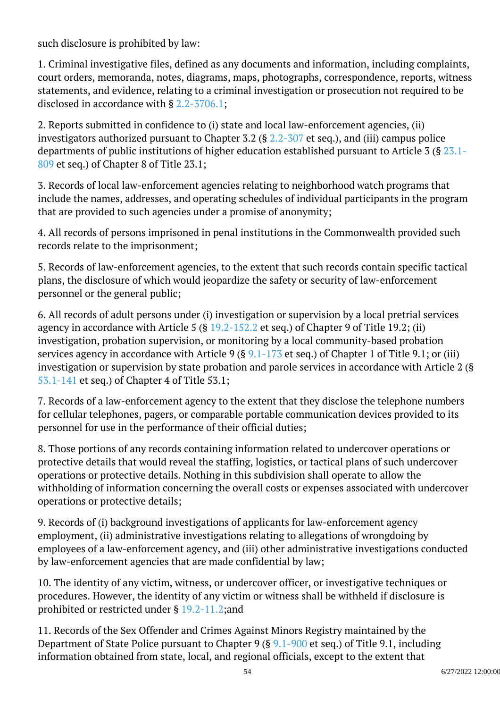such disclosure is prohibited by law: Ĩ

1. Criminal investigative files, defined as any documents and information, including complaints, court orders, memoranda, notes, diagrams, maps, photographs, correspondence, reports, witness statements, and evidence, relating to a criminal investigation or prosecution not required to be disclosed in accordance with § [2.2-3706.1](/vacode/2.2-3706.1/);

2. Reports submitted in confidence to (i) state and local law-enforcement agencies, (ii) investigators authorized pursuant to Chapter 3.2 (§  $2.2$ -307 et seq.), and (iii) campus police departments of public institutions of higher education established pursuant to Article 3 (§ [23.1-](/vacode/23.1-809/) [809](/vacode/23.1-809/) et seq.) of Chapter 8 of Title 23.1;

3. Records of local law-enforcement agencies relating to neighborhood watch programs that include the names, addresses, and operating schedules of individual participants in the program that are provided to such agencies under a promise of anonymity;

4. All records of persons imprisoned in penal institutions in the Commonwealth provided such records relate to the imprisonment;

5. Records of law-enforcement agencies, to the extent that such records contain specific tactical plans, the disclosure of which would jeopardize the safety or security of law-enforcement personnel or the general public; <sup>"</sup>

6. All records of adult persons under (i) investigation or supervision by a local pretrial services agency in accordance with Article 5 (§  $19.2-152.2$  et seq.) of Chapter 9 of Title 19.2; (ii) investigation, probation supervision, or monitoring by a local community-based probation services agency in accordance with Article 9 (§  $9.1-173$  et seq.) of Chapter 1 of Title 9.1; or (iii) investigation or supervision by state probation and parole services in accordance with Article 2 (§ [53.1-141](/vacode/53.1-141/) et seq.) of Chapter 4 of Title 53.1;

7. Records of a law-enforcement agency to the extent that they disclose the telephone numbers for cellular telephones, pagers, or comparable portable communication devices provided to its personnel for use in the performance of their official duties; <sup>"</sup>

8. Those portions of any records containing information related to undercover operations or protective details that would reveal the staffing, logistics, or tactical plans of such undercover operations or protective details. Nothing in this subdivision shall operate to allow the withholding of information concerning the overall costs or expenses associated with undercover operations or protective details;

9. Records of (i) background investigations of applicants for law-enforcement agency employment, (ii) administrative investigations relating to allegations of wrongdoing by employees of a law-enforcement agency, and (iii) other administrative investigations conducted by law-enforcement agencies that are made confidential by law;

10. The identity of any victim, witness, or undercover officer, or investigative techniques or procedures. However, the identity of any victim or witness shall be withheld if disclosure is prohibited or restricted under § [19.2-11.2;a](/vacode/19.2-11.2/)nd <sup>"</sup>

11. Records of the Sex Offender and Crimes Against Minors Registry maintained by the Department of State Police pursuant to Chapter 9 (§ [9.1-900](/vacode/9.1-900/) et seq.) of Title 9.1, including information obtained from state, local, and regional officials, except to the extent that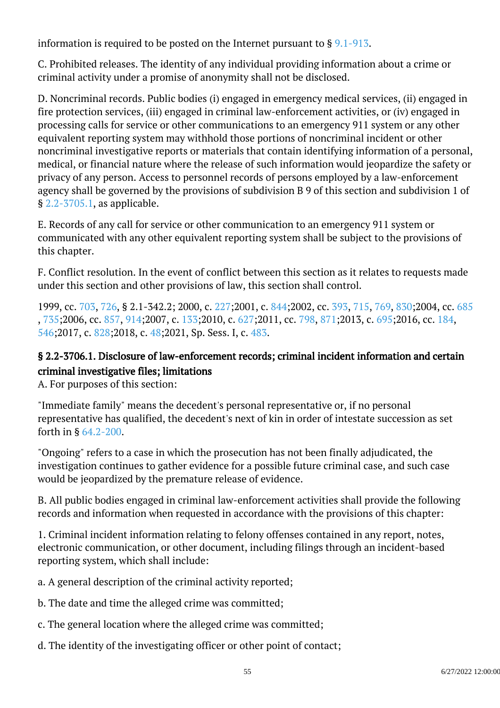information is required to be posted on the Internet pursuant to § [9.1-913.](/vacode/9.1-913/)

C. Prohibited releases. The identity of any individual providing information about a crime or criminal activity under a promise of anonymity shall not be disclosed.

D. Noncriminal records. Public bodies (i) engaged in emergency medical services, (ii) engaged in fire protection services, (iii) engaged in criminal law-enforcement activities, or (iv) engaged in processing calls for service or other communications to an emergency 911 system or any other equivalent reporting system may withhold those portions of noncriminal incident or other noncriminal investigative reports or materials that contain identifying information of a personal, medical, or financial nature where the release of such information would jeopardize the safety or privacy of any person. Access to personnel records of persons employed by a law-enforcement agency shall be governed by the provisions of subdivision B 9 of this section and subdivision 1 of § [2.2-3705.1,](/vacode/2.2-3705.1/) as applicable. Ì

E. Records of any call for service or other communication to an emergency 911 system or communicated with any other equivalent reporting system shall be subject to the provisions of this chapter.

F. Conflict resolution. In the event of conflict between this section as it relates to requests made under this section and other provisions of law, this section shall control.

1999, cc. [703,](http://lis.virginia.gov/cgi-bin/legp604.exe?991+ful+CHAP0703) [726](http://lis.virginia.gov/cgi-bin/legp604.exe?991+ful+CHAP0726), § 2.1-342.2; 2000, c. [227;2](http://lis.virginia.gov/cgi-bin/legp604.exe?001+ful+CHAP0227)001, c. [844;2](http://lis.virginia.gov/cgi-bin/legp604.exe?011+ful+CHAP0844)002, cc. [393](http://lis.virginia.gov/cgi-bin/legp604.exe?021+ful+CHAP0393), [715,](http://lis.virginia.gov/cgi-bin/legp604.exe?021+ful+CHAP0715) [769](http://lis.virginia.gov/cgi-bin/legp604.exe?021+ful+CHAP0769), [830;2](http://lis.virginia.gov/cgi-bin/legp604.exe?021+ful+CHAP0830)004, cc. [685](http://lis.virginia.gov/cgi-bin/legp604.exe?041+ful+CHAP0685) , [735;](http://lis.virginia.gov/cgi-bin/legp604.exe?041+ful+CHAP0735)2006, cc. [857](http://lis.virginia.gov/cgi-bin/legp604.exe?061+ful+CHAP0857), [914;](http://lis.virginia.gov/cgi-bin/legp604.exe?061+ful+CHAP0914)2007, c. [133;](http://lis.virginia.gov/cgi-bin/legp604.exe?071+ful+CHAP0133)2010, c. [627;](http://lis.virginia.gov/cgi-bin/legp604.exe?101+ful+CHAP0627)2011, cc. [798,](http://lis.virginia.gov/cgi-bin/legp604.exe?111+ful+CHAP0798) [871;](http://lis.virginia.gov/cgi-bin/legp604.exe?111+ful+CHAP0871)2013, c. [695;](http://lis.virginia.gov/cgi-bin/legp604.exe?131+ful+CHAP0695)2016, cc. [184,](http://lis.virginia.gov/cgi-bin/legp604.exe?161+ful+CHAP0184) [546;](http://lis.virginia.gov/cgi-bin/legp604.exe?161+ful+CHAP0546)2017, c. [828;](http://lis.virginia.gov/cgi-bin/legp604.exe?171+ful+CHAP0828)2018, c. [48;2](http://lis.virginia.gov/cgi-bin/legp604.exe?181+ful+CHAP0048)021, Sp. Sess. I, c. [483.](http://lis.virginia.gov/cgi-bin/legp604.exe?212+ful+CHAP0483)

# § 2.2-3706.1. Disclosure of law-enforcement records; criminal incident information and certain criminal investigative files; limitations

A. For purposes of this section:

"Immediate family" means the decedent's personal representative or, if no personal representative has qualified, the decedent's next of kin in order of intestate succession as set forth in § [64.2-200](/vacode/64.2-200/).

"Ongoing" refers to a case in which the prosecution has not been finally adjudicated, the investigation continues to gather evidence for a possible future criminal case, and such case would be jeopardized by the premature release of evidence.

B. All public bodies engaged in criminal law-enforcement activities shall provide the following records and information when requested in accordance with the provisions of this chapter:

1. Criminal incident information relating to felony offenses contained in any report, notes, electronic communication, or other document, including filings through an incident-based reporting system, which shall include:

a. A general description of the criminal activity reported; Ĩ

b. The date and time the alleged crime was committed;

c. The general location where the alleged crime was committed;

d. The identity of the investigating officer or other point of contact;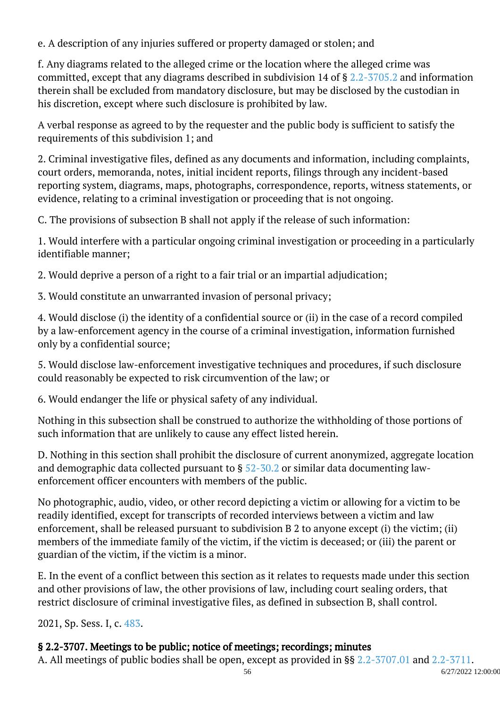e. A description of any injuries suffered or property damaged or stolen; and

f. Any diagrams related to the alleged crime or the location where the alleged crime was committed, except that any diagrams described in subdivision 14 of § [2.2-3705.2](/vacode/2.2-3705.2/) and information therein shall be excluded from mandatory disclosure, but may be disclosed by the custodian in his discretion, except where such disclosure is prohibited by law.

A verbal response as agreed to by the requester and the public body is sufficient to satisfy the requirements of this subdivision 1; and

2. Criminal investigative files, defined as any documents and information, including complaints, court orders, memoranda, notes, initial incident reports, filings through any incident-based reporting system, diagrams, maps, photographs, correspondence, reports, witness statements, or evidence, relating to a criminal investigation or proceeding that is not ongoing.

C. The provisions of subsection B shall not apply if the release of such information:

1. Would interfere with a particular ongoing criminal investigation or proceeding in a particularly identifiable manner;

2. Would deprive a person of a right to a fair trial or an impartial adjudication;

3. Would constitute an unwarranted invasion of personal privacy;

4. Would disclose (i) the identity of a confidential source or (ii) in the case of a record compiled by a law-enforcement agency in the course of a criminal investigation, information furnished only by a confidential source;

5. Would disclose law-enforcement investigative techniques and procedures, if such disclosure could reasonably be expected to risk circumvention of the law; or

6. Would endanger the life or physical safety of any individual.

Nothing in this subsection shall be construed to authorize the withholding of those portions of such information that are unlikely to cause any effect listed herein. Ĩ

D. Nothing in this section shall prohibit the disclosure of current anonymized, aggregate location and demographic data collected pursuant to § [52-30.2](/vacode/52-30.2/) or similar data documenting lawenforcement officer encounters with members of the public.

No photographic, audio, video, or other record depicting a victim or allowing for a victim to be readily identified, except for transcripts of recorded interviews between a victim and law enforcement, shall be released pursuant to subdivision B 2 to anyone except (i) the victim; (ii) members of the immediate family of the victim, if the victim is deceased; or (iii) the parent or guardian of the victim, if the victim is a minor. ĺ

E. In the event of a conflict between this section as it relates to requests made under this section and other provisions of law, the other provisions of law, including court sealing orders, that restrict disclosure of criminal investigative files, as defined in subsection B, shall control.

2021, Sp. Sess. I, c. [483](http://lis.virginia.gov/cgi-bin/legp604.exe?212+ful+CHAP0483).

### § 2.2-3707. Meetings to be public; notice of meetings; recordings; minutes

A. All meetings of public bodies shall be open, except as provided in §§ [2.2-3707.01](/vacode/2.2-3707.01/) and [2.2-3711.](/vacode/2.2-3711/)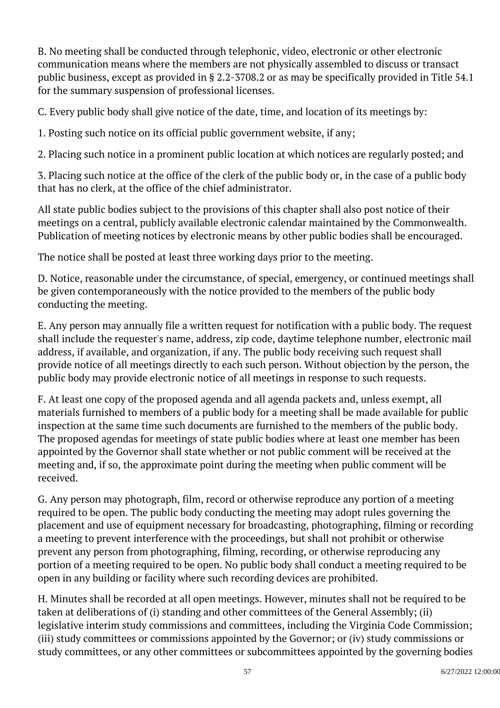B. No meeting shall be conducted through telephonic, video, electronic or other electronic communication means where the members are not physically assembled to discuss or transact public business, except as provided in § 2.2-3708.2 or as may be specifically provided in Title 54.1 for the summary suspension of professional licenses.

C. Every public body shall give notice of the date, time, and location of its meetings by:

1. Posting such notice on its official public government website, if any;

2. Placing such notice in a prominent public location at which notices are regularly posted; and

3. Placing such notice at the office of the clerk of the public body or, in the case of a public body that has no clerk, at the office of the chief administrator.

All state public bodies subject to the provisions of this chapter shall also post notice of their meetings on a central, publicly available electronic calendar maintained by the Commonwealth. Publication of meeting notices by electronic means by other public bodies shall be encouraged.

The notice shall be posted at least three working days prior to the meeting.

D. Notice, reasonable under the circumstance, of special, emergency, or continued meetings shall be given contemporaneously with the notice provided to the members of the public body conducting the meeting.

E. Any person may annually file a written request for notification with a public body. The request shall include the requester's name, address, zip code, daytime telephone number, electronic mail address, if available, and organization, if any. The public body receiving such request shall provide notice of all meetings directly to each such person. Without objection by the person, the public body may provide electronic notice of all meetings in response to such requests. <sup>"</sup>

F. At least one copy of the proposed agenda and all agenda packets and, unless exempt, all materials furnished to members of a public body for a meeting shall be made available for public inspection at the same time such documents are furnished to the members of the public body. The proposed agendas for meetings of state public bodies where at least one member has been appointed by the Governor shall state whether or not public comment will be received at the meeting and, if so, the approximate point during the meeting when public comment will be received.

G. Any person may photograph, film, record or otherwise reproduce any portion of a meeting required to be open. The public body conducting the meeting may adopt rules governing the placement and use of equipment necessary for broadcasting, photographing, filming or recording a meeting to prevent interference with the proceedings, but shall not prohibit or otherwise prevent any person from photographing, filming, recording, or otherwise reproducing any portion of a meeting required to be open. No public body shall conduct a meeting required to be open in any building or facility where such recording devices are prohibited.

H. Minutes shall be recorded at all open meetings. However, minutes shall not be required to be taken at deliberations of (i) standing and other committees of the General Assembly; (ii) legislative interim study commissions and committees, including the Virginia Code Commission; (iii) study committees or commissions appointed by the Governor; or (iv) study commissions or study committees, or any other committees or subcommittees appointed by the governing bodies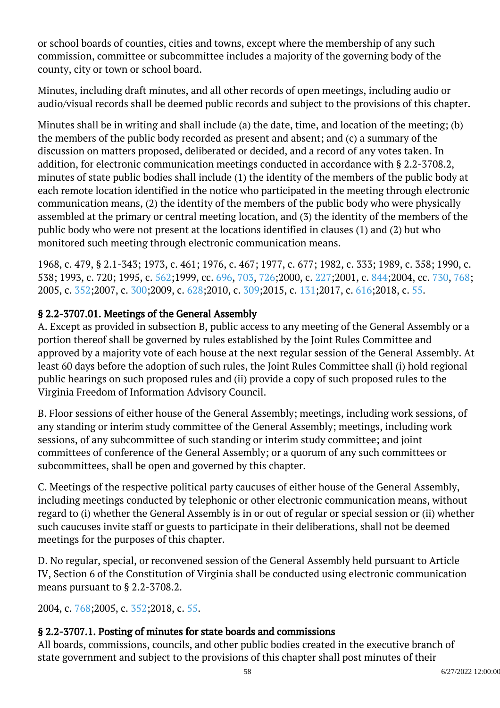or school boards of counties, cities and towns, except where the membership of any such commission, committee or subcommittee includes a majority of the governing body of the county, city or town or school board.

Minutes, including draft minutes, and all other records of open meetings, including audio or audio/visual records shall be deemed public records and subject to the provisions of this chapter. Ĩ

Minutes shall be in writing and shall include (a) the date, time, and location of the meeting; (b) the members of the public body recorded as present and absent; and (c) a summary of the discussion on matters proposed, deliberated or decided, and a record of any votes taken. In addition, for electronic communication meetings conducted in accordance with § 2.2-3708.2, minutes of state public bodies shall include (1) the identity of the members of the public body at each remote location identified in the notice who participated in the meeting through electronic communication means, (2) the identity of the members of the public body who were physically assembled at the primary or central meeting location, and (3) the identity of the members of the public body who were not present at the locations identified in clauses (1) and (2) but who monitored such meeting through electronic communication means.

1968, c. 479, § 2.1-343; 1973, c. 461; 1976, c. 467; 1977, c. 677; 1982, c. 333; 1989, c. 358; 1990, c. 538; 1993, c. 720; 1995, c. [562;1](http://lis.virginia.gov/cgi-bin/legp604.exe?951+ful+CHAP0562)999, cc. [696](http://lis.virginia.gov/cgi-bin/legp604.exe?991+ful+CHAP0696), [703,](http://lis.virginia.gov/cgi-bin/legp604.exe?991+ful+CHAP0703) [726;](http://lis.virginia.gov/cgi-bin/legp604.exe?991+ful+CHAP0726)2000, c. [227;](http://lis.virginia.gov/cgi-bin/legp604.exe?001+ful+CHAP0227)2001, c. [844;](http://lis.virginia.gov/cgi-bin/legp604.exe?011+ful+CHAP0844)2004, cc. [730,](http://lis.virginia.gov/cgi-bin/legp604.exe?041+ful+CHAP0730) [768;](http://lis.virginia.gov/cgi-bin/legp604.exe?041+ful+CHAP0768) 2005, c. [352;2](http://lis.virginia.gov/cgi-bin/legp604.exe?051+ful+CHAP0352)007, c. [300;2](http://lis.virginia.gov/cgi-bin/legp604.exe?071+ful+CHAP0300)009, c. [628;2](http://lis.virginia.gov/cgi-bin/legp604.exe?091+ful+CHAP0628)010, c. [309;2](http://lis.virginia.gov/cgi-bin/legp604.exe?101+ful+CHAP0309)015, c. [131;2](http://lis.virginia.gov/cgi-bin/legp604.exe?151+ful+CHAP0131)017, c. [616;2](http://lis.virginia.gov/cgi-bin/legp604.exe?171+ful+CHAP0616)018, c. [55](http://lis.virginia.gov/cgi-bin/legp604.exe?181+ful+CHAP0055).

### § 2.2-3707.01. Meetings of the General Assembly

A. Except as provided in subsection B, public access to any meeting of the General Assembly or a portion thereof shall be governed by rules established by the Joint Rules Committee and approved by a majority vote of each house at the next regular session of the General Assembly. At least 60 days before the adoption of such rules, the Joint Rules Committee shall (i) hold regional public hearings on such proposed rules and (ii) provide a copy of such proposed rules to the Virginia Freedom of Information Advisory Council.

B. Floor sessions of either house of the General Assembly; meetings, including work sessions, of any standing or interim study committee of the General Assembly; meetings, including work sessions, of any subcommittee of such standing or interim study committee; and joint committees of conference of the General Assembly; or a quorum of any such committees or subcommittees, shall be open and governed by this chapter. Ĩ

C. Meetings of the respective political party caucuses of either house of the General Assembly, including meetings conducted by telephonic or other electronic communication means, without regard to (i) whether the General Assembly is in or out of regular or special session or (ii) whether such caucuses invite staff or guests to participate in their deliberations, shall not be deemed meetings for the purposes of this chapter.

D. No regular, special, or reconvened session of the General Assembly held pursuant to Article IV, Section 6 of the Constitution of Virginia shall be conducted using electronic communication means pursuant to § 2.2-3708.2.

2004, c. [768;2](http://lis.virginia.gov/cgi-bin/legp604.exe?041+ful+CHAP0768)005, c. [352;2](http://lis.virginia.gov/cgi-bin/legp604.exe?051+ful+CHAP0352)018, c. [55](http://lis.virginia.gov/cgi-bin/legp604.exe?181+ful+CHAP0055).

# § 2.2-3707.1. Posting of minutes for state boards and commissions

All boards, commissions, councils, and other public bodies created in the executive branch of state government and subject to the provisions of this chapter shall post minutes of their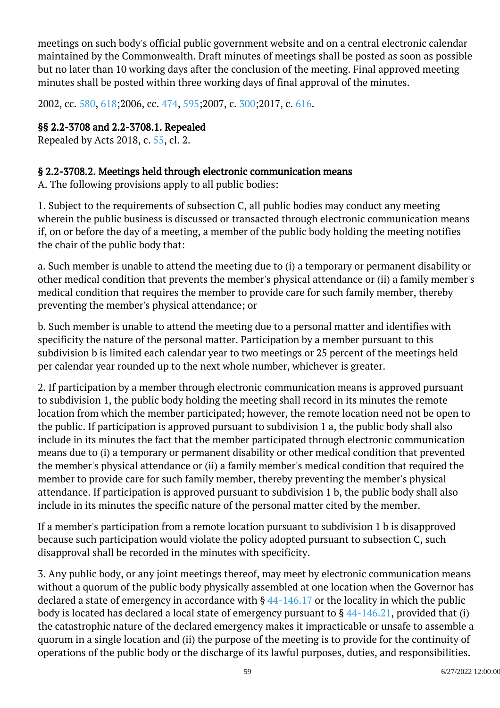meetings on such body's official public government website and on a central electronic calendar maintained by the Commonwealth. Draft minutes of meetings shall be posted as soon as possible but no later than 10 working days after the conclusion of the meeting. Final approved meeting minutes shall be posted within three working days of final approval of the minutes.

2002, cc. [580,](http://lis.virginia.gov/cgi-bin/legp604.exe?021+ful+CHAP0580) [618;](http://lis.virginia.gov/cgi-bin/legp604.exe?021+ful+CHAP0618)2006, cc. [474,](http://lis.virginia.gov/cgi-bin/legp604.exe?061+ful+CHAP0474) [595;](http://lis.virginia.gov/cgi-bin/legp604.exe?061+ful+CHAP0595)2007, c. [300;2](http://lis.virginia.gov/cgi-bin/legp604.exe?071+ful+CHAP0300)017, c. [616.](http://lis.virginia.gov/cgi-bin/legp604.exe?171+ful+CHAP0616)

## §§ 2.2-3708 and 2.2-3708.1. Repealed

Repealed by Acts 2018, c. [55](http://lis.virginia.gov/cgi-bin/legp604.exe?181+ful+CHAP0055), cl. 2.

## § 2.2-3708.2. Meetings held through electronic communication means

A. The following provisions apply to all public bodies:

1. Subject to the requirements of subsection C, all public bodies may conduct any meeting wherein the public business is discussed or transacted through electronic communication means if, on or before the day of a meeting, a member of the public body holding the meeting notifies the chair of the public body that:

a. Such member is unable to attend the meeting due to (i) a temporary or permanent disability or other medical condition that prevents the member's physical attendance or (ii) a family member's medical condition that requires the member to provide care for such family member, thereby preventing the member's physical attendance; or <sup>"</sup>

b. Such member is unable to attend the meeting due to a personal matter and identifies with specificity the nature of the personal matter. Participation by a member pursuant to this subdivision b is limited each calendar year to two meetings or 25 percent of the meetings held per calendar year rounded up to the next whole number, whichever is greater. <sup>"</sup>

2. If participation by a member through electronic communication means is approved pursuant to subdivision 1, the public body holding the meeting shall record in its minutes the remote location from which the member participated; however, the remote location need not be open to the public. If participation is approved pursuant to subdivision 1 a, the public body shall also include in its minutes the fact that the member participated through electronic communication means due to (i) a temporary or permanent disability or other medical condition that prevented the member's physical attendance or (ii) a family member's medical condition that required the member to provide care for such family member, thereby preventing the member's physical attendance. If participation is approved pursuant to subdivision 1 b, the public body shall also include in its minutes the specific nature of the personal matter cited by the member.

If a member's participation from a remote location pursuant to subdivision 1 b is disapproved because such participation would violate the policy adopted pursuant to subsection C, such disapproval shall be recorded in the minutes with specificity.

3. Any public body, or any joint meetings thereof, may meet by electronic communication means without a quorum of the public body physically assembled at one location when the Governor has declared a state of emergency in accordance with § [44-146.17](/vacode/44-146.17/) or the locality in which the public body is located has declared a local state of emergency pursuant to § [44-146.21,](/vacode/44-146.21/) provided that (i) the catastrophic nature of the declared emergency makes it impracticable or unsafe to assemble a quorum in a single location and (ii) the purpose of the meeting is to provide for the continuity of operations of the public body or the discharge of its lawful purposes, duties, and responsibilities.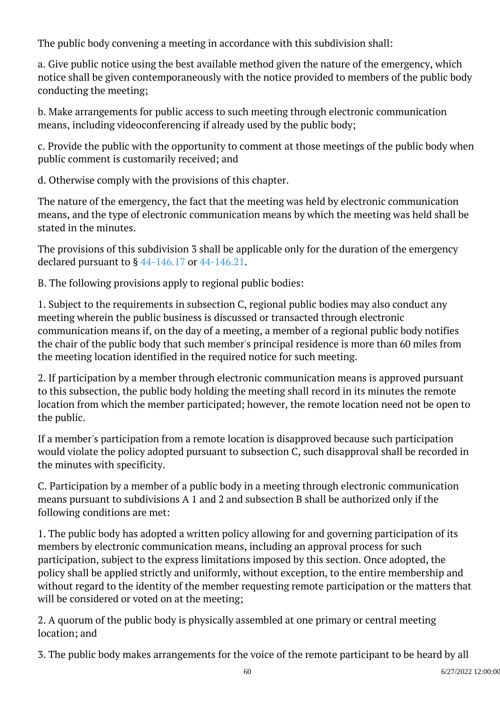The public body convening a meeting in accordance with this subdivision shall:

a. Give public notice using the best available method given the nature of the emergency, which notice shall be given contemporaneously with the notice provided to members of the public body conducting the meeting;

b. Make arrangements for public access to such meeting through electronic communication means, including videoconferencing if already used by the public body;

c. Provide the public with the opportunity to comment at those meetings of the public body when public comment is customarily received; and <sup>"</sup>

d. Otherwise comply with the provisions of this chapter.

The nature of the emergency, the fact that the meeting was held by electronic communication means, and the type of electronic communication means by which the meeting was held shall be stated in the minutes. Ĩ

The provisions of this subdivision 3 shall be applicable only for the duration of the emergency declared pursuant to § [44-146.17](/vacode/44-146.17/) or [44-146.21.](/vacode/44-146.21/)

B. The following provisions apply to regional public bodies:

1. Subject to the requirements in subsection C, regional public bodies may also conduct any meeting wherein the public business is discussed or transacted through electronic communication means if, on the day of a meeting, a member of a regional public body notifies the chair of the public body that such member's principal residence is more than 60 miles from the meeting location identified in the required notice for such meeting.

2. If participation by a member through electronic communication means is approved pursuant to this subsection, the public body holding the meeting shall record in its minutes the remote location from which the member participated; however, the remote location need not be open to the public.

If a member's participation from a remote location is disapproved because such participation would violate the policy adopted pursuant to subsection C, such disapproval shall be recorded in the minutes with specificity.

C. Participation by a member of a public body in a meeting through electronic communication means pursuant to subdivisions A 1 and 2 and subsection B shall be authorized only if the following conditions are met:

1. The public body has adopted a written policy allowing for and governing participation of its members by electronic communication means, including an approval process for such participation, subject to the express limitations imposed by this section. Once adopted, the policy shall be applied strictly and uniformly, without exception, to the entire membership and without regard to the identity of the member requesting remote participation or the matters that will be considered or voted on at the meeting;

2. A quorum of the public body is physically assembled at one primary or central meeting location; and

3. The public body makes arrangements for the voice of the remote participant to be heard by all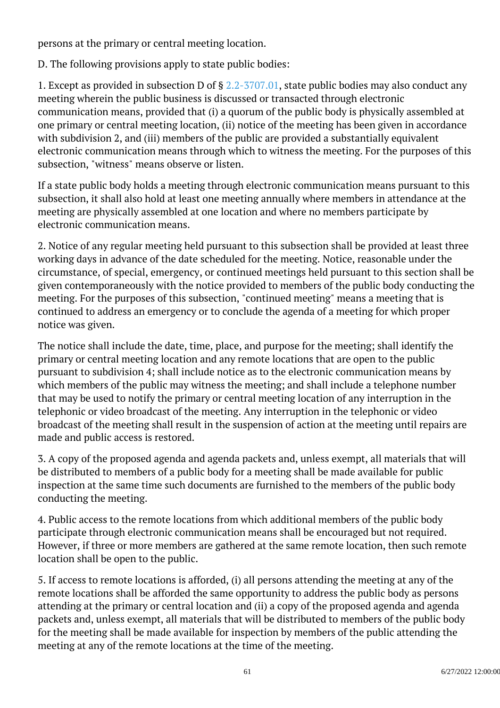persons at the primary or central meeting location. <sup>"</sup>

D. The following provisions apply to state public bodies:

1. Except as provided in subsection D of § [2.2-3707.01,](/vacode/2.2-3707.01/) state public bodies may also conduct any meeting wherein the public business is discussed or transacted through electronic communication means, provided that (i) a quorum of the public body is physically assembled at one primary or central meeting location, (ii) notice of the meeting has been given in accordance with subdivision 2, and (iii) members of the public are provided a substantially equivalent electronic communication means through which to witness the meeting. For the purposes of this subsection, "witness" means observe or listen. Ĩ

If a state public body holds a meeting through electronic communication means pursuant to this subsection, it shall also hold at least one meeting annually where members in attendance at the meeting are physically assembled at one location and where no members participate by electronic communication means.

2. Notice of any regular meeting held pursuant to this subsection shall be provided at least three working days in advance of the date scheduled for the meeting. Notice, reasonable under the circumstance, of special, emergency, or continued meetings held pursuant to this section shall be given contemporaneously with the notice provided to members of the public body conducting the meeting. For the purposes of this subsection, "continued meeting" means a meeting that is continued to address an emergency or to conclude the agenda of a meeting for which proper notice was given.

The notice shall include the date, time, place, and purpose for the meeting; shall identify the primary or central meeting location and any remote locations that are open to the public pursuant to subdivision 4; shall include notice as to the electronic communication means by which members of the public may witness the meeting; and shall include a telephone number that may be used to notify the primary or central meeting location of any interruption in the telephonic or video broadcast of the meeting. Any interruption in the telephonic or video broadcast of the meeting shall result in the suspension of action at the meeting until repairs are made and public access is restored.

3. A copy of the proposed agenda and agenda packets and, unless exempt, all materials that will be distributed to members of a public body for a meeting shall be made available for public inspection at the same time such documents are furnished to the members of the public body conducting the meeting.

4. Public access to the remote locations from which additional members of the public body participate through electronic communication means shall be encouraged but not required. However, if three or more members are gathered at the same remote location, then such remote location shall be open to the public.

5. If access to remote locations is afforded, (i) all persons attending the meeting at any of the remote locations shall be afforded the same opportunity to address the public body as persons attending at the primary or central location and (ii) a copy of the proposed agenda and agenda packets and, unless exempt, all materials that will be distributed to members of the public body for the meeting shall be made available for inspection by members of the public attending the meeting at any of the remote locations at the time of the meeting.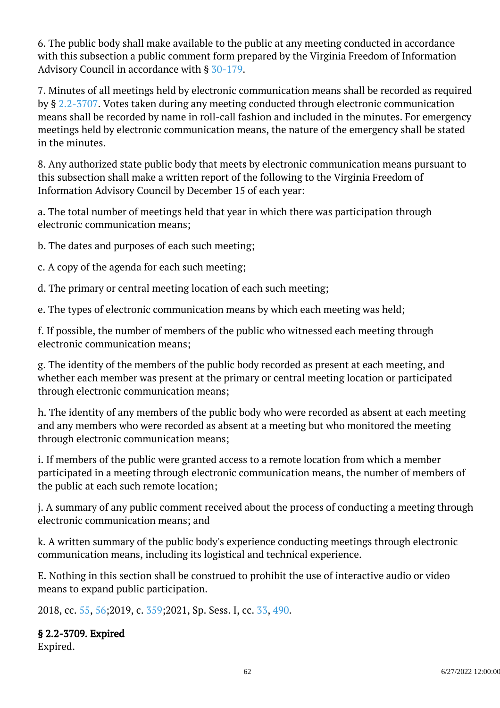6. The public body shall make available to the public at any meeting conducted in accordance with this subsection a public comment form prepared by the Virginia Freedom of Information Advisory Council in accordance with § [30-179.](/vacode/30-179/)

7. Minutes of all meetings held by electronic communication means shall be recorded as required by § [2.2-3707.](/vacode/2.2-3707/) Votes taken during any meeting conducted through electronic communication means shall be recorded by name in roll-call fashion and included in the minutes. For emergency meetings held by electronic communication means, the nature of the emergency shall be stated in the minutes.

8. Any authorized state public body that meets by electronic communication means pursuant to this subsection shall make a written report of the following to the Virginia Freedom of Information Advisory Council by December 15 of each year:

a. The total number of meetings held that year in which there was participation through electronic communication means;

b. The dates and purposes of each such meeting;

c. A copy of the agenda for each such meeting;

d. The primary or central meeting location of each such meeting;

e. The types of electronic communication means by which each meeting was held;

f. If possible, the number of members of the public who witnessed each meeting through electronic communication means;

g. The identity of the members of the public body recorded as present at each meeting, and whether each member was present at the primary or central meeting location or participated through electronic communication means;

h. The identity of any members of the public body who were recorded as absent at each meeting and any members who were recorded as absent at a meeting but who monitored the meeting through electronic communication means;

i. If members of the public were granted access to a remote location from which a member participated in a meeting through electronic communication means, the number of members of the public at each such remote location;

j. A summary of any public comment received about the process of conducting a meeting through electronic communication means; and

k. A written summary of the public body's experience conducting meetings through electronic communication means, including its logistical and technical experience.

E. Nothing in this section shall be construed to prohibit the use of interactive audio or video means to expand public participation.

2018, cc. [55](http://lis.virginia.gov/cgi-bin/legp604.exe?181+ful+CHAP0055), [56;](http://lis.virginia.gov/cgi-bin/legp604.exe?181+ful+CHAP0056)2019, c. [359;](http://lis.virginia.gov/cgi-bin/legp604.exe?191+ful+CHAP0359)2021, Sp. Sess. I, cc. [33](http://lis.virginia.gov/cgi-bin/legp604.exe?212+ful+CHAP0033), [490.](http://lis.virginia.gov/cgi-bin/legp604.exe?212+ful+CHAP0490)

§ 2.2-3709. Expired Expired.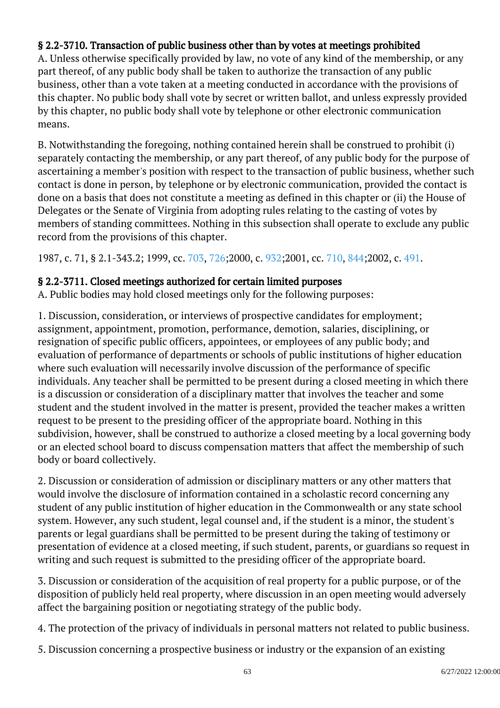### § 2.2-3710. Transaction of public business other than by votes at meetings prohibited

A. Unless otherwise specifically provided by law, no vote of any kind of the membership, or any part thereof, of any public body shall be taken to authorize the transaction of any public business, other than a vote taken at a meeting conducted in accordance with the provisions of this chapter. No public body shall vote by secret or written ballot, and unless expressly provided by this chapter, no public body shall vote by telephone or other electronic communication means.

B. Notwithstanding the foregoing, nothing contained herein shall be construed to prohibit (i) separately contacting the membership, or any part thereof, of any public body for the purpose of ascertaining a member's position with respect to the transaction of public business, whether such contact is done in person, by telephone or by electronic communication, provided the contact is done on a basis that does not constitute a meeting as defined in this chapter or (ii) the House of Delegates or the Senate of Virginia from adopting rules relating to the casting of votes by members of standing committees. Nothing in this subsection shall operate to exclude any public record from the provisions of this chapter.

1987, c. 71, § 2.1-343.2; 1999, cc. [703,](http://lis.virginia.gov/cgi-bin/legp604.exe?991+ful+CHAP0703) [726;](http://lis.virginia.gov/cgi-bin/legp604.exe?991+ful+CHAP0726)2000, c. [932;](http://lis.virginia.gov/cgi-bin/legp604.exe?001+ful+CHAP0932)2001, cc. [710,](http://lis.virginia.gov/cgi-bin/legp604.exe?011+ful+CHAP0710) [844;](http://lis.virginia.gov/cgi-bin/legp604.exe?011+ful+CHAP0844)2002, c. [491](http://lis.virginia.gov/cgi-bin/legp604.exe?021+ful+CHAP0491).

#### § 2.2-3711. Closed meetings authorized for certain limited purposes

A. Public bodies may hold closed meetings only for the following purposes:

1. Discussion, consideration, or interviews of prospective candidates for employment; assignment, appointment, promotion, performance, demotion, salaries, disciplining, or resignation of specific public officers, appointees, or employees of any public body; and evaluation of performance of departments or schools of public institutions of higher education where such evaluation will necessarily involve discussion of the performance of specific individuals. Any teacher shall be permitted to be present during a closed meeting in which there is a discussion or consideration of a disciplinary matter that involves the teacher and some student and the student involved in the matter is present, provided the teacher makes a written request to be present to the presiding officer of the appropriate board. Nothing in this subdivision, however, shall be construed to authorize a closed meeting by a local governing body or an elected school board to discuss compensation matters that affect the membership of such body or board collectively.

2. Discussion or consideration of admission or disciplinary matters or any other matters that would involve the disclosure of information contained in a scholastic record concerning any student of any public institution of higher education in the Commonwealth or any state school system. However, any such student, legal counsel and, if the student is a minor, the student's parents or legal guardians shall be permitted to be present during the taking of testimony or presentation of evidence at a closed meeting, if such student, parents, or guardians so request in writing and such request is submitted to the presiding officer of the appropriate board.

3. Discussion or consideration of the acquisition of real property for a public purpose, or of the disposition of publicly held real property, where discussion in an open meeting would adversely affect the bargaining position or negotiating strategy of the public body. Ĩ

4. The protection of the privacy of individuals in personal matters not related to public business.

5. Discussion concerning a prospective business or industry or the expansion of an existing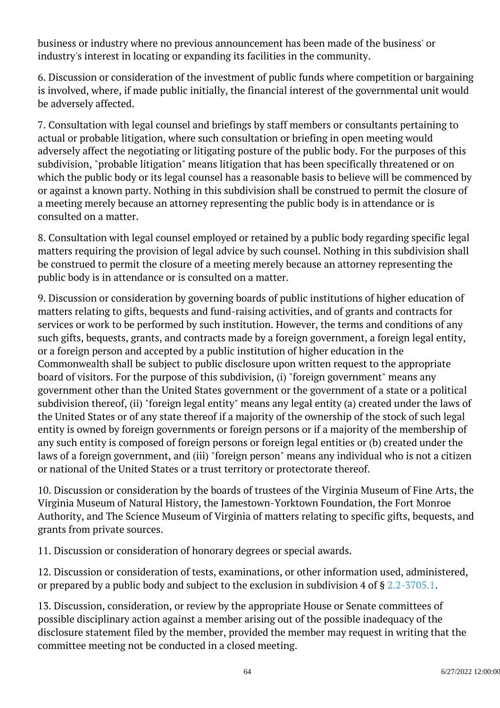business or industry where no previous announcement has been made of the business' or industry's interest in locating or expanding its facilities in the community.

6. Discussion or consideration of the investment of public funds where competition or bargaining is involved, where, if made public initially, the financial interest of the governmental unit would be adversely affected.

7. Consultation with legal counsel and briefings by staff members or consultants pertaining to actual or probable litigation, where such consultation or briefing in open meeting would adversely affect the negotiating or litigating posture of the public body. For the purposes of this subdivision, "probable litigation" means litigation that has been specifically threatened or on which the public body or its legal counsel has a reasonable basis to believe will be commenced by or against a known party. Nothing in this subdivision shall be construed to permit the closure of a meeting merely because an attorney representing the public body is in attendance or is consulted on a matter.

8. Consultation with legal counsel employed or retained by a public body regarding specific legal matters requiring the provision of legal advice by such counsel. Nothing in this subdivision shall be construed to permit the closure of a meeting merely because an attorney representing the public body is in attendance or is consulted on a matter. <sup>"</sup>

9. Discussion or consideration by governing boards of public institutions of higher education of matters relating to gifts, bequests and fund-raising activities, and of grants and contracts for services or work to be performed by such institution. However, the terms and conditions of any such gifts, bequests, grants, and contracts made by a foreign government, a foreign legal entity, or a foreign person and accepted by a public institution of higher education in the Commonwealth shall be subject to public disclosure upon written request to the appropriate board of visitors. For the purpose of this subdivision, (i) "foreign government" means any government other than the United States government or the government of a state or a political subdivision thereof, (ii) "foreign legal entity" means any legal entity (a) created under the laws of the United States or of any state thereof if a majority of the ownership of the stock of such legal entity is owned by foreign governments or foreign persons or if a majority of the membership of any such entity is composed of foreign persons or foreign legal entities or (b) created under the laws of a foreign government, and (iii) "foreign person" means any individual who is not a citizen or national of the United States or a trust territory or protectorate thereof.

10. Discussion or consideration by the boards of trustees of the Virginia Museum of Fine Arts, the Virginia Museum of Natural History, the Jamestown-Yorktown Foundation, the Fort Monroe Authority, and The Science Museum of Virginia of matters relating to specific gifts, bequests, and grants from private sources. ĺ

11. Discussion or consideration of honorary degrees or special awards.

12. Discussion or consideration of tests, examinations, or other information used, administered, or prepared by a public body and subject to the exclusion in subdivision 4 of § [2.2-3705.1.](/vacode/2.2-3705.1/)

13. Discussion, consideration, or review by the appropriate House or Senate committees of possible disciplinary action against a member arising out of the possible inadequacy of the disclosure statement filed by the member, provided the member may request in writing that the committee meeting not be conducted in a closed meeting.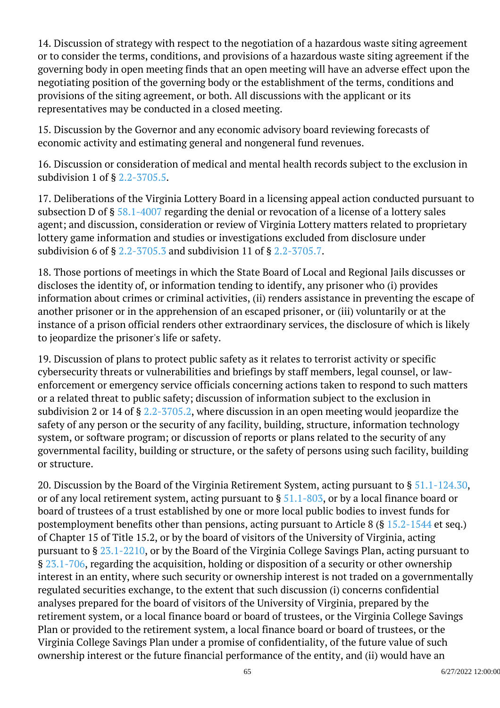14. Discussion of strategy with respect to the negotiation of a hazardous waste siting agreement or to consider the terms, conditions, and provisions of a hazardous waste siting agreement if the governing body in open meeting finds that an open meeting will have an adverse effect upon the negotiating position of the governing body or the establishment of the terms, conditions and provisions of the siting agreement, or both. All discussions with the applicant or its representatives may be conducted in a closed meeting.

15. Discussion by the Governor and any economic advisory board reviewing forecasts of economic activity and estimating general and nongeneral fund revenues.

16. Discussion or consideration of medical and mental health records subject to the exclusion in subdivision 1 of § [2.2-3705.5.](/vacode/2.2-3705.5/) Ĩ

17. Deliberations of the Virginia Lottery Board in a licensing appeal action conducted pursuant to subsection D of § [58.1-4007](/vacode/58.1-4007/) regarding the denial or revocation of a license of a lottery sales agent; and discussion, consideration or review of Virginia Lottery matters related to proprietary lottery game information and studies or investigations excluded from disclosure under subdivision 6 of § [2.2-3705.3](/vacode/2.2-3705.3/) and subdivision 11 of § [2.2-3705.7.](/vacode/2.2-3705.7/) Ĩ

18. Those portions of meetings in which the State Board of Local and Regional Jails discusses or discloses the identity of, or information tending to identify, any prisoner who (i) provides information about crimes or criminal activities, (ii) renders assistance in preventing the escape of another prisoner or in the apprehension of an escaped prisoner, or (iii) voluntarily or at the instance of a prison official renders other extraordinary services, the disclosure of which is likely to jeopardize the prisoner's life or safety.

19. Discussion of plans to protect public safety as it relates to terrorist activity or specific cybersecurity threats or vulnerabilities and briefings by staff members, legal counsel, or lawenforcement or emergency service officials concerning actions taken to respond to such matters or a related threat to public safety; discussion of information subject to the exclusion in subdivision 2 or 14 of § [2.2-3705.2,](/vacode/2.2-3705.2/) where discussion in an open meeting would jeopardize the safety of any person or the security of any facility, building, structure, information technology system, or software program; or discussion of reports or plans related to the security of any governmental facility, building or structure, or the safety of persons using such facility, building or structure.

20. Discussion by the Board of the Virginia Retirement System, acting pursuant to § [51.1-124.30](/vacode/51.1-124.30/), or of any local retirement system, acting pursuant to § [51.1-803](/vacode/51.1-803/), or by a local finance board or board of trustees of a trust established by one or more local public bodies to invest funds for postemployment benefits other than pensions, acting pursuant to Article 8 (§ [15.2-1544](/vacode/15.2-1544/) et seq.) of Chapter 15 of Title 15.2, or by the board of visitors of the University of Virginia, acting pursuant to § [23.1-2210](/vacode/23.1-2210/), or by the Board of the Virginia College Savings Plan, acting pursuant to § [23.1-706](/vacode/23.1-706/), regarding the acquisition, holding or disposition of a security or other ownership interest in an entity, where such security or ownership interest is not traded on a governmentally regulated securities exchange, to the extent that such discussion (i) concerns confidential analyses prepared for the board of visitors of the University of Virginia, prepared by the retirement system, or a local finance board or board of trustees, or the Virginia College Savings Plan or provided to the retirement system, a local finance board or board of trustees, or the Virginia College Savings Plan under a promise of confidentiality, of the future value of such ownership interest or the future financial performance of the entity, and (ii) would have an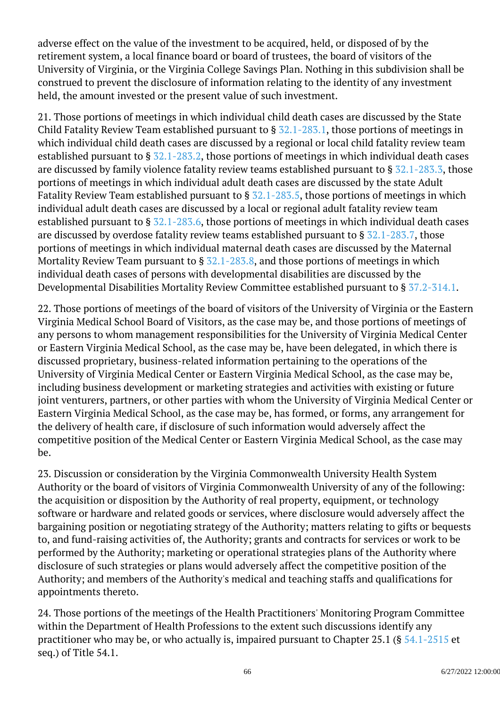adverse effect on the value of the investment to be acquired, held, or disposed of by the retirement system, a local finance board or board of trustees, the board of visitors of the University of Virginia, or the Virginia College Savings Plan. Nothing in this subdivision shall be construed to prevent the disclosure of information relating to the identity of any investment held, the amount invested or the present value of such investment.

21. Those portions of meetings in which individual child death cases are discussed by the State Child Fatality Review Team established pursuant to § [32.1-283.1](/vacode/32.1-283.1/), those portions of meetings in which individual child death cases are discussed by a regional or local child fatality review team established pursuant to § [32.1-283.2](/vacode/32.1-283.2/), those portions of meetings in which individual death cases are discussed by family violence fatality review teams established pursuant to  $\S 32.1-283.3$ , those portions of meetings in which individual adult death cases are discussed by the state Adult Fatality Review Team established pursuant to  $\S$  [32.1-283.5,](/vacode/32.1-283.5/) those portions of meetings in which individual adult death cases are discussed by a local or regional adult fatality review team established pursuant to  $\S 32.1-283.6$  $\S 32.1-283.6$ , those portions of meetings in which individual death cases are discussed by overdose fatality review teams established pursuant to § [32.1-283.7](/vacode/32.1-283.7/), those portions of meetings in which individual maternal death cases are discussed by the Maternal Mortality Review Team pursuant to § [32.1-283.8](/vacode/32.1-283.8/), and those portions of meetings in which individual death cases of persons with developmental disabilities are discussed by the Developmental Disabilities Mortality Review Committee established pursuant to § [37.2-314.1.](/vacode/37.2-314.1/)

22. Those portions of meetings of the board of visitors of the University of Virginia or the Eastern Virginia Medical School Board of Visitors, as the case may be, and those portions of meetings of any persons to whom management responsibilities for the University of Virginia Medical Center or Eastern Virginia Medical School, as the case may be, have been delegated, in which there is discussed proprietary, business-related information pertaining to the operations of the University of Virginia Medical Center or Eastern Virginia Medical School, as the case may be, including business development or marketing strategies and activities with existing or future joint venturers, partners, or other parties with whom the University of Virginia Medical Center or Eastern Virginia Medical School, as the case may be, has formed, or forms, any arrangement for the delivery of health care, if disclosure of such information would adversely affect the competitive position of the Medical Center or Eastern Virginia Medical School, as the case may be.

23. Discussion or consideration by the Virginia Commonwealth University Health System Authority or the board of visitors of Virginia Commonwealth University of any of the following: the acquisition or disposition by the Authority of real property, equipment, or technology software or hardware and related goods or services, where disclosure would adversely affect the bargaining position or negotiating strategy of the Authority; matters relating to gifts or bequests to, and fund-raising activities of, the Authority; grants and contracts for services or work to be performed by the Authority; marketing or operational strategies plans of the Authority where disclosure of such strategies or plans would adversely affect the competitive position of the Authority; and members of the Authority's medical and teaching staffs and qualifications for appointments thereto. Ĩ

24. Those portions of the meetings of the Health Practitioners' Monitoring Program Committee within the Department of Health Professions to the extent such discussions identify any practitioner who may be, or who actually is, impaired pursuant to Chapter 25.1 (§ [54.1-2515](/vacode/54.1-2515/) et seq.) of Title 54.1. Ĩ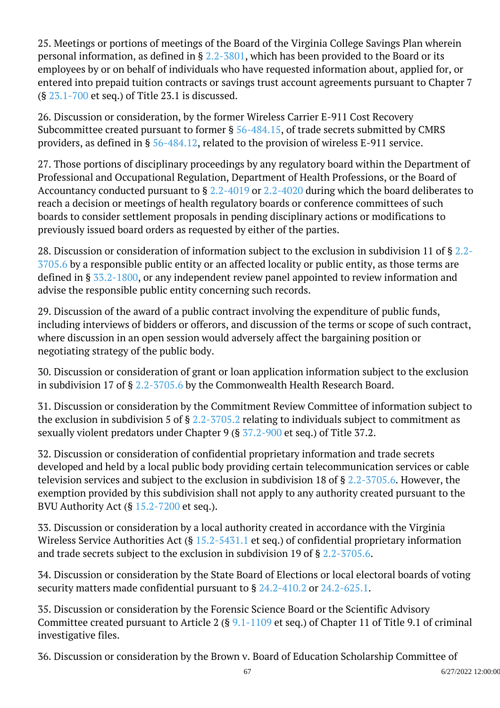25. Meetings or portions of meetings of the Board of the Virginia College Savings Plan wherein personal information, as defined in § [2.2-3801,](/vacode/2.2-3801/) which has been provided to the Board or its employees by or on behalf of individuals who have requested information about, applied for, or entered into prepaid tuition contracts or savings trust account agreements pursuant to Chapter 7  $(\S 23.1 - 700$  et seq.) of Title 23.1 is discussed. Ì

26. Discussion or consideration, by the former Wireless Carrier E-911 Cost Recovery Subcommittee created pursuant to former § [56-484.15](/vacode/56-484.15/), of trade secrets submitted by CMRS providers, as defined in § [56-484.12,](/vacode/56-484.12/) related to the provision of wireless E-911 service. <sup>"</sup>

27. Those portions of disciplinary proceedings by any regulatory board within the Department of Professional and Occupational Regulation, Department of Health Professions, or the Board of Accountancy conducted pursuant to § [2.2-4019](/vacode/2.2-4019/) or [2.2-4020](/vacode/2.2-4020/) during which the board deliberates to reach a decision or meetings of health regulatory boards or conference committees of such boards to consider settlement proposals in pending disciplinary actions or modifications to previously issued board orders as requested by either of the parties. <u>i</u>

28. Discussion or consideration of information subject to the exclusion in subdivision 11 of § [2.2-](/vacode/2.2-3705.6/) [3705.6](/vacode/2.2-3705.6/) by a responsible public entity or an affected locality or public entity, as those terms are defined in § [33.2-1800](/vacode/33.2-1800/), or any independent review panel appointed to review information and advise the responsible public entity concerning such records.

29. Discussion of the award of a public contract involving the expenditure of public funds, including interviews of bidders or offerors, and discussion of the terms or scope of such contract, where discussion in an open session would adversely affect the bargaining position or negotiating strategy of the public body.

30. Discussion or consideration of grant or loan application information subject to the exclusion in subdivision 17 of § [2.2-3705.6](/vacode/2.2-3705.6/) by the Commonwealth Health Research Board.

31. Discussion or consideration by the Commitment Review Committee of information subject to the exclusion in subdivision 5 of  $\S$  [2.2-3705.2](/vacode/2.2-3705.2/) relating to individuals subject to commitment as sexually violent predators under Chapter 9 (§ [37.2-900](/vacode/37.2-900/) et seq.) of Title 37.2. Ĩ

32. Discussion or consideration of confidential proprietary information and trade secrets developed and held by a local public body providing certain telecommunication services or cable television services and subject to the exclusion in subdivision 18 of § [2.2-3705.6.](/vacode/2.2-3705.6/) However, the exemption provided by this subdivision shall not apply to any authority created pursuant to the BVU Authority Act  $(\S 15.2$ -7200 et seq.).

33. Discussion or consideration by a local authority created in accordance with the Virginia Wireless Service Authorities Act (§ [15.2-5431.1](/vacode/15.2-5431.1/) et seq.) of confidential proprietary information and trade secrets subject to the exclusion in subdivision 19 of § [2.2-3705.6.](/vacode/2.2-3705.6/) Ĩ

34. Discussion or consideration by the State Board of Elections or local electoral boards of voting security matters made confidential pursuant to § [24.2-410.2](/vacode/24.2-410.2/) or [24.2-625.1](/vacode/24.2-625.1/).

35. Discussion or consideration by the Forensic Science Board or the Scientific Advisory Committee created pursuant to Article 2 (§  $9.1-1109$  et seq.) of Chapter 11 of Title 9.1 of criminal investigative files.

36. Discussion or consideration by the Brown v. Board of Education Scholarship Committee of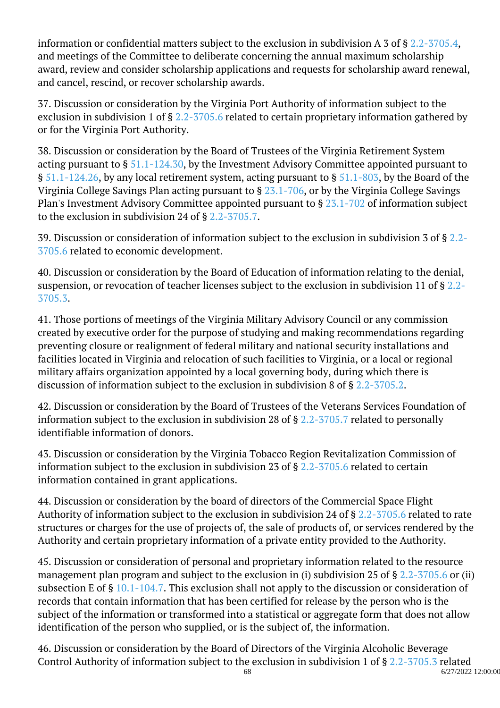information or confidential matters subject to the exclusion in subdivision A 3 of § [2.2-3705.4](/vacode/2.2-3705.4/), and meetings of the Committee to deliberate concerning the annual maximum scholarship award, review and consider scholarship applications and requests for scholarship award renewal, and cancel, rescind, or recover scholarship awards. Ĩ

37. Discussion or consideration by the Virginia Port Authority of information subject to the exclusion in subdivision 1 of § [2.2-3705.6](/vacode/2.2-3705.6/) related to certain proprietary information gathered by or for the Virginia Port Authority.

38. Discussion or consideration by the Board of Trustees of the Virginia Retirement System acting pursuant to § [51.1-124.30](/vacode/51.1-124.30/), by the Investment Advisory Committee appointed pursuant to § [51.1-124.26](/vacode/51.1-124.26/), by any local retirement system, acting pursuant to § [51.1-803,](/vacode/51.1-803/) by the Board of the Virginia College Savings Plan acting pursuant to § [23.1-706,](/vacode/23.1-706/) or by the Virginia College Savings Plan's Investment Advisory Committee appointed pursuant to § [23.1-702](/vacode/23.1-702/) of information subject to the exclusion in subdivision 24 of § [2.2-3705.7](/vacode/2.2-3705.7/).

39. Discussion or consideration of information subject to the exclusion in subdivision 3 of § [2.2-](/vacode/2.2-3705.6/) [3705.6](/vacode/2.2-3705.6/) related to economic development.

40. Discussion or consideration by the Board of Education of information relating to the denial, suspension, or revocation of teacher licenses subject to the exclusion in subdivision 11 of § [2.2-](/vacode/2.2-3705.3/) [3705.3](/vacode/2.2-3705.3/).

41. Those portions of meetings of the Virginia Military Advisory Council or any commission created by executive order for the purpose of studying and making recommendations regarding preventing closure or realignment of federal military and national security installations and facilities located in Virginia and relocation of such facilities to Virginia, or a local or regional military affairs organization appointed by a local governing body, during which there is discussion of information subject to the exclusion in subdivision 8 of § [2.2-3705.2](/vacode/2.2-3705.2/).

42. Discussion or consideration by the Board of Trustees of the Veterans Services Foundation of information subject to the exclusion in subdivision 28 of § [2.2-3705.7](/vacode/2.2-3705.7/) related to personally identifiable information of donors.

43. Discussion or consideration by the Virginia Tobacco Region Revitalization Commission of information subject to the exclusion in subdivision 23 of § [2.2-3705.6](/vacode/2.2-3705.6/) related to certain information contained in grant applications.

44. Discussion or consideration by the board of directors of the Commercial Space Flight Authority of information subject to the exclusion in subdivision 24 of § [2.2-3705.6](/vacode/2.2-3705.6/) related to rate structures or charges for the use of projects of, the sale of products of, or services rendered by the Authority and certain proprietary information of a private entity provided to the Authority.

45. Discussion or consideration of personal and proprietary information related to the resource management plan program and subject to the exclusion in (i) subdivision 25 of § [2.2-3705.6](/vacode/2.2-3705.6/) or (ii) subsection E of § [10.1-104.7.](/vacode/10.1-104.7/) This exclusion shall not apply to the discussion or consideration of records that contain information that has been certified for release by the person who is the subject of the information or transformed into a statistical or aggregate form that does not allow identification of the person who supplied, or is the subject of, the information.

46. Discussion or consideration by the Board of Directors of the Virginia Alcoholic Beverage Control Authority of information subject to the exclusion in subdivision 1 of § [2.2-3705.3](/vacode/2.2-3705.3/) related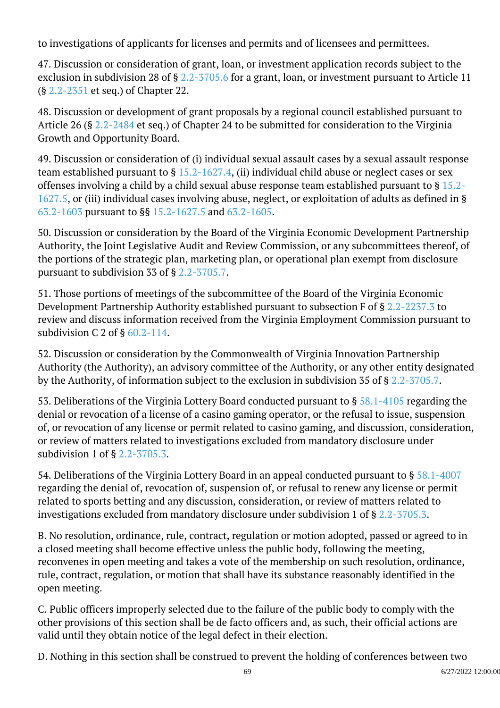to investigations of applicants for licenses and permits and of licensees and permittees.

47. Discussion or consideration of grant, loan, or investment application records subject to the exclusion in subdivision 28 of § [2.2-3705.6](/vacode/2.2-3705.6/) for a grant, loan, or investment pursuant to Article 11 (§ [2.2-2351](/vacode/2.2-2351/) et seq.) of Chapter 22. Ì

48. Discussion or development of grant proposals by a regional council established pursuant to Article 26 (§ [2.2-2484](/vacode/2.2-2484/) et seq.) of Chapter 24 to be submitted for consideration to the Virginia Growth and Opportunity Board.

49. Discussion or consideration of (i) individual sexual assault cases by a sexual assault response team established pursuant to §  $15.2$ - $1627.4$ , (ii) individual child abuse or neglect cases or sex offenses involving a child by a child sexual abuse response team established pursuant to § [15.2-](/vacode/15.2-1627.5/) [1627.5](/vacode/15.2-1627.5/), or (iii) individual cases involving abuse, neglect, or exploitation of adults as defined in § [63.2-1603](/vacode/63.2-1603/) pursuant to §§ [15.2-1627.5](/vacode/15.2-1627.5/) and [63.2-1605.](/vacode/63.2-1605/)

50. Discussion or consideration by the Board of the Virginia Economic Development Partnership Authority, the Joint Legislative Audit and Review Commission, or any subcommittees thereof, of the portions of the strategic plan, marketing plan, or operational plan exempt from disclosure pursuant to subdivision 33 of § [2.2-3705.7](/vacode/2.2-3705.7/). <sup>"</sup>

51. Those portions of meetings of the subcommittee of the Board of the Virginia Economic Development Partnership Authority established pursuant to subsection F of § [2.2-2237.3](/vacode/2.2-2237.3/) to review and discuss information received from the Virginia Employment Commission pursuant to subdivision C 2 of  $\S$  [60.2-114.](/vacode/60.2-114/)

52. Discussion or consideration by the Commonwealth of Virginia Innovation Partnership Authority (the Authority), an advisory committee of the Authority, or any other entity designated by the Authority, of information subject to the exclusion in subdivision 35 of § [2.2-3705.7](/vacode/2.2-3705.7/).

53. Deliberations of the Virginia Lottery Board conducted pursuant to § [58.1-4105](/vacode/58.1-4105/) regarding the denial or revocation of a license of a casino gaming operator, or the refusal to issue, suspension of, or revocation of any license or permit related to casino gaming, and discussion, consideration, or review of matters related to investigations excluded from mandatory disclosure under subdivision 1 of § [2.2-3705.3.](/vacode/2.2-3705.3/) Ĩ

54. Deliberations of the Virginia Lottery Board in an appeal conducted pursuant to § [58.1-4007](/vacode/58.1-4007/) regarding the denial of, revocation of, suspension of, or refusal to renew any license or permit related to sports betting and any discussion, consideration, or review of matters related to investigations excluded from mandatory disclosure under subdivision 1 of § [2.2-3705.3.](/vacode/2.2-3705.3/)

B. No resolution, ordinance, rule, contract, regulation or motion adopted, passed or agreed to in a closed meeting shall become effective unless the public body, following the meeting, reconvenes in open meeting and takes a vote of the membership on such resolution, ordinance, rule, contract, regulation, or motion that shall have its substance reasonably identified in the open meeting.

C. Public officers improperly selected due to the failure of the public body to comply with the other provisions of this section shall be de facto officers and, as such, their official actions are valid until they obtain notice of the legal defect in their election.

D. Nothing in this section shall be construed to prevent the holding of conferences between two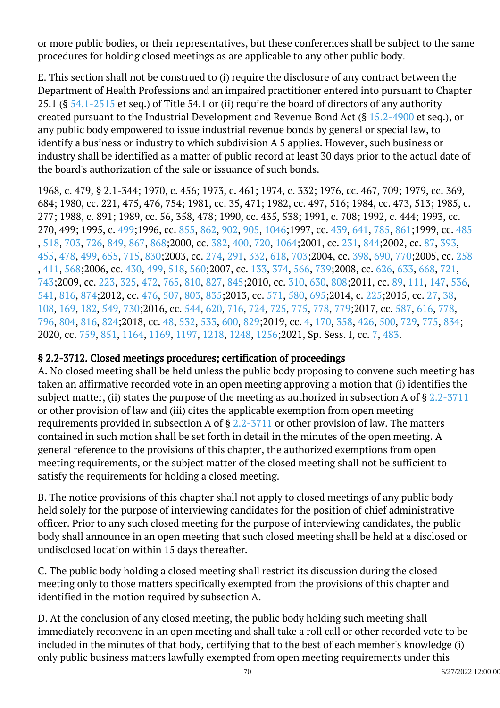or more public bodies, or their representatives, but these conferences shall be subject to the same procedures for holding closed meetings as are applicable to any other public body. <sup>"</sup>

E. This section shall not be construed to (i) require the disclosure of any contract between the Department of Health Professions and an impaired practitioner entered into pursuant to Chapter 25.1 (§ [54.1-2515](/vacode/54.1-2515/) et seq.) of Title 54.1 or (ii) require the board of directors of any authority created pursuant to the Industrial Development and Revenue Bond Act (§ [15.2-4900](/vacode/15.2-4900/) et seq.), or any public body empowered to issue industrial revenue bonds by general or special law, to identify a business or industry to which subdivision A 5 applies. However, such business or industry shall be identified as a matter of public record at least 30 days prior to the actual date of the board's authorization of the sale or issuance of such bonds.

1968, c. 479, § 2.1-344; 1970, c. 456; 1973, c. 461; 1974, c. 332; 1976, cc. 467, 709; 1979, cc. 369, 684; 1980, cc. 221, 475, 476, 754; 1981, cc. 35, 471; 1982, cc. 497, 516; 1984, cc. 473, 513; 1985, c. 277; 1988, c. 891; 1989, cc. 56, 358, 478; 1990, cc. 435, 538; 1991, c. 708; 1992, c. 444; 1993, cc. 270, 499; 1995, c. [499;1](http://lis.virginia.gov/cgi-bin/legp604.exe?951+ful+CHAP0499)996, cc. [855](http://lis.virginia.gov/cgi-bin/legp604.exe?961+ful+CHAP0855), [862,](http://lis.virginia.gov/cgi-bin/legp604.exe?961+ful+CHAP0862) [902](http://lis.virginia.gov/cgi-bin/legp604.exe?961+ful+CHAP0902), [905,](http://lis.virginia.gov/cgi-bin/legp604.exe?961+ful+CHAP0905) [1046;](http://lis.virginia.gov/cgi-bin/legp604.exe?961+ful+CHAP1046)1997, cc. [439,](http://lis.virginia.gov/cgi-bin/legp604.exe?971+ful+CHAP0439) [641](http://lis.virginia.gov/cgi-bin/legp604.exe?971+ful+CHAP0641), [785,](http://lis.virginia.gov/cgi-bin/legp604.exe?971+ful+CHAP0785) [861;](http://lis.virginia.gov/cgi-bin/legp604.exe?971+ful+CHAP0861)1999, cc. [485](http://lis.virginia.gov/cgi-bin/legp604.exe?991+ful+CHAP0485) , [518](http://lis.virginia.gov/cgi-bin/legp604.exe?991+ful+CHAP0518), [703](http://lis.virginia.gov/cgi-bin/legp604.exe?991+ful+CHAP0703), [726,](http://lis.virginia.gov/cgi-bin/legp604.exe?991+ful+CHAP0726) [849](http://lis.virginia.gov/cgi-bin/legp604.exe?991+ful+CHAP0849), [867](http://lis.virginia.gov/cgi-bin/legp604.exe?991+ful+CHAP0867), [868;2](http://lis.virginia.gov/cgi-bin/legp604.exe?991+ful+CHAP0868)000, cc. [382,](http://lis.virginia.gov/cgi-bin/legp604.exe?001+ful+CHAP0382) [400](http://lis.virginia.gov/cgi-bin/legp604.exe?001+ful+CHAP0400), [720,](http://lis.virginia.gov/cgi-bin/legp604.exe?001+ful+CHAP0720) [1064;](http://lis.virginia.gov/cgi-bin/legp604.exe?001+ful+CHAP1064)2001, cc. [231,](http://lis.virginia.gov/cgi-bin/legp604.exe?011+ful+CHAP0231) [844;](http://lis.virginia.gov/cgi-bin/legp604.exe?011+ful+CHAP0844)2002, cc. [87,](http://lis.virginia.gov/cgi-bin/legp604.exe?021+ful+CHAP0087) [393](http://lis.virginia.gov/cgi-bin/legp604.exe?021+ful+CHAP0393), [455](http://lis.virginia.gov/cgi-bin/legp604.exe?021+ful+CHAP0455), [478,](http://lis.virginia.gov/cgi-bin/legp604.exe?021+ful+CHAP0478) [499](http://lis.virginia.gov/cgi-bin/legp604.exe?021+ful+CHAP0499), [655,](http://lis.virginia.gov/cgi-bin/legp604.exe?021+ful+CHAP0655) [715](http://lis.virginia.gov/cgi-bin/legp604.exe?021+ful+CHAP0715), [830;2](http://lis.virginia.gov/cgi-bin/legp604.exe?021+ful+CHAP0830)003, cc. [274](http://lis.virginia.gov/cgi-bin/legp604.exe?031+ful+CHAP0274), [291,](http://lis.virginia.gov/cgi-bin/legp604.exe?031+ful+CHAP0291) [332](http://lis.virginia.gov/cgi-bin/legp604.exe?031+ful+CHAP0332), [618,](http://lis.virginia.gov/cgi-bin/legp604.exe?031+ful+CHAP0618) [703;](http://lis.virginia.gov/cgi-bin/legp604.exe?031+ful+CHAP0703)2004, cc. [398,](http://lis.virginia.gov/cgi-bin/legp604.exe?041+ful+CHAP0398) [690](http://lis.virginia.gov/cgi-bin/legp604.exe?041+ful+CHAP0690), [770;2](http://lis.virginia.gov/cgi-bin/legp604.exe?041+ful+CHAP0770)005, cc. [258](http://lis.virginia.gov/cgi-bin/legp604.exe?051+ful+CHAP0258) , [411](http://lis.virginia.gov/cgi-bin/legp604.exe?051+ful+CHAP0411), [568;2](http://lis.virginia.gov/cgi-bin/legp604.exe?051+ful+CHAP0568)006, cc. [430,](http://lis.virginia.gov/cgi-bin/legp604.exe?061+ful+CHAP0430) [499](http://lis.virginia.gov/cgi-bin/legp604.exe?061+ful+CHAP0499), [518,](http://lis.virginia.gov/cgi-bin/legp604.exe?061+ful+CHAP0518) [560;](http://lis.virginia.gov/cgi-bin/legp604.exe?061+ful+CHAP0560)2007, cc. [133,](http://lis.virginia.gov/cgi-bin/legp604.exe?071+ful+CHAP0133) [374](http://lis.virginia.gov/cgi-bin/legp604.exe?071+ful+CHAP0374), [566,](http://lis.virginia.gov/cgi-bin/legp604.exe?071+ful+CHAP0566) [739;](http://lis.virginia.gov/cgi-bin/legp604.exe?071+ful+CHAP0739)2008, cc. [626,](http://lis.virginia.gov/cgi-bin/legp604.exe?081+ful+CHAP0626) [633](http://lis.virginia.gov/cgi-bin/legp604.exe?081+ful+CHAP0633), [668,](http://lis.virginia.gov/cgi-bin/legp604.exe?081+ful+CHAP0668) [721](http://lis.virginia.gov/cgi-bin/legp604.exe?081+ful+CHAP0721), [743;](http://lis.virginia.gov/cgi-bin/legp604.exe?081+ful+CHAP0743)2009, cc. [223,](http://lis.virginia.gov/cgi-bin/legp604.exe?091+ful+CHAP0223) [325](http://lis.virginia.gov/cgi-bin/legp604.exe?091+ful+CHAP0325), [472,](http://lis.virginia.gov/cgi-bin/legp604.exe?091+ful+CHAP0472) [765](http://lis.virginia.gov/cgi-bin/legp604.exe?091+ful+CHAP0765), [810,](http://lis.virginia.gov/cgi-bin/legp604.exe?091+ful+CHAP0810) [827](http://lis.virginia.gov/cgi-bin/legp604.exe?091+ful+CHAP0827), [845;2](http://lis.virginia.gov/cgi-bin/legp604.exe?091+ful+CHAP0845)010, cc. [310](http://lis.virginia.gov/cgi-bin/legp604.exe?101+ful+CHAP0310), [630,](http://lis.virginia.gov/cgi-bin/legp604.exe?101+ful+CHAP0630) [808;](http://lis.virginia.gov/cgi-bin/legp604.exe?101+ful+CHAP0808)2011, cc. [89](http://lis.virginia.gov/cgi-bin/legp604.exe?111+ful+CHAP0089), [111,](http://lis.virginia.gov/cgi-bin/legp604.exe?111+ful+CHAP0111) [147](http://lis.virginia.gov/cgi-bin/legp604.exe?111+ful+CHAP0147), [536,](http://lis.virginia.gov/cgi-bin/legp604.exe?111+ful+CHAP0536) [541](http://lis.virginia.gov/cgi-bin/legp604.exe?111+ful+CHAP0541), [816,](http://lis.virginia.gov/cgi-bin/legp604.exe?111+ful+CHAP0816) [874;](http://lis.virginia.gov/cgi-bin/legp604.exe?111+ful+CHAP0874)2012, cc. [476,](http://lis.virginia.gov/cgi-bin/legp604.exe?121+ful+CHAP0476) [507](http://lis.virginia.gov/cgi-bin/legp604.exe?121+ful+CHAP0507), [803,](http://lis.virginia.gov/cgi-bin/legp604.exe?121+ful+CHAP0803) [835;](http://lis.virginia.gov/cgi-bin/legp604.exe?121+ful+CHAP0835)2013, cc. [571,](http://lis.virginia.gov/cgi-bin/legp604.exe?131+ful+CHAP0571) [580](http://lis.virginia.gov/cgi-bin/legp604.exe?131+ful+CHAP0580), [695;2](http://lis.virginia.gov/cgi-bin/legp604.exe?131+ful+CHAP0695)014, c. [225;2](http://lis.virginia.gov/cgi-bin/legp604.exe?141+ful+CHAP0225)015, cc. [27,](http://lis.virginia.gov/cgi-bin/legp604.exe?151+ful+CHAP0027) [38,](http://lis.virginia.gov/cgi-bin/legp604.exe?151+ful+CHAP0038) [108](http://lis.virginia.gov/cgi-bin/legp604.exe?151+ful+CHAP0108), [169,](http://lis.virginia.gov/cgi-bin/legp604.exe?151+ful+CHAP0169) [182](http://lis.virginia.gov/cgi-bin/legp604.exe?151+ful+CHAP0182), [549,](http://lis.virginia.gov/cgi-bin/legp604.exe?151+ful+CHAP0549) [730;](http://lis.virginia.gov/cgi-bin/legp604.exe?151+ful+CHAP0730)2016, cc. [544,](http://lis.virginia.gov/cgi-bin/legp604.exe?161+ful+CHAP0544) [620](http://lis.virginia.gov/cgi-bin/legp604.exe?161+ful+CHAP0620), [716,](http://lis.virginia.gov/cgi-bin/legp604.exe?161+ful+CHAP0716) [724](http://lis.virginia.gov/cgi-bin/legp604.exe?161+ful+CHAP0724), [725,](http://lis.virginia.gov/cgi-bin/legp604.exe?161+ful+CHAP0725) [775](http://lis.virginia.gov/cgi-bin/legp604.exe?161+ful+CHAP0775), [778,](http://lis.virginia.gov/cgi-bin/legp604.exe?161+ful+CHAP0778) [779;](http://lis.virginia.gov/cgi-bin/legp604.exe?161+ful+CHAP0779)2017, cc. [587,](http://lis.virginia.gov/cgi-bin/legp604.exe?171+ful+CHAP0587) [616](http://lis.virginia.gov/cgi-bin/legp604.exe?171+ful+CHAP0616), [778,](http://lis.virginia.gov/cgi-bin/legp604.exe?171+ful+CHAP0778) [796](http://lis.virginia.gov/cgi-bin/legp604.exe?171+ful+CHAP0796), [804,](http://lis.virginia.gov/cgi-bin/legp604.exe?171+ful+CHAP0804) [816](http://lis.virginia.gov/cgi-bin/legp604.exe?171+ful+CHAP0816), [824;2](http://lis.virginia.gov/cgi-bin/legp604.exe?171+ful+CHAP0824)018, cc. [48,](http://lis.virginia.gov/cgi-bin/legp604.exe?181+ful+CHAP0048) [532](http://lis.virginia.gov/cgi-bin/legp604.exe?181+ful+CHAP0532), [533,](http://lis.virginia.gov/cgi-bin/legp604.exe?181+ful+CHAP0533) [600](http://lis.virginia.gov/cgi-bin/legp604.exe?181+ful+CHAP0600), [829;2](http://lis.virginia.gov/cgi-bin/legp604.exe?181+ful+CHAP0829)019, cc. [4,](http://lis.virginia.gov/cgi-bin/legp604.exe?191+ful+CHAP0004) [170](http://lis.virginia.gov/cgi-bin/legp604.exe?191+ful+CHAP0170), [358,](http://lis.virginia.gov/cgi-bin/legp604.exe?191+ful+CHAP0358) [426](http://lis.virginia.gov/cgi-bin/legp604.exe?191+ful+CHAP0426), [500,](http://lis.virginia.gov/cgi-bin/legp604.exe?191+ful+CHAP0500) [729](http://lis.virginia.gov/cgi-bin/legp604.exe?191+ful+CHAP0729), [775,](http://lis.virginia.gov/cgi-bin/legp604.exe?191+ful+CHAP0775) [834;](http://lis.virginia.gov/cgi-bin/legp604.exe?191+ful+CHAP0834) 2020, cc. [759,](http://lis.virginia.gov/cgi-bin/legp604.exe?201+ful+CHAP0759) [851](http://lis.virginia.gov/cgi-bin/legp604.exe?201+ful+CHAP0851), [1164,](http://lis.virginia.gov/cgi-bin/legp604.exe?201+ful+CHAP1164) [1169,](http://lis.virginia.gov/cgi-bin/legp604.exe?201+ful+CHAP1169) [1197,](http://lis.virginia.gov/cgi-bin/legp604.exe?201+ful+CHAP1197) [1218,](http://lis.virginia.gov/cgi-bin/legp604.exe?201+ful+CHAP1218) [1248,](http://lis.virginia.gov/cgi-bin/legp604.exe?201+ful+CHAP1248) [1256;](http://lis.virginia.gov/cgi-bin/legp604.exe?201+ful+CHAP1256)2021, Sp. Sess. I, cc. [7](http://lis.virginia.gov/cgi-bin/legp604.exe?212+ful+CHAP0007), [483.](http://lis.virginia.gov/cgi-bin/legp604.exe?212+ful+CHAP0483)

#### § 2.2-3712. Closed meetings procedures; certification of proceedings

A. No closed meeting shall be held unless the public body proposing to convene such meeting has taken an affirmative recorded vote in an open meeting approving a motion that (i) identifies the subject matter, (ii) states the purpose of the meeting as authorized in subsection A of  $\S 2.2-3711$  $\S 2.2-3711$ or other provision of law and (iii) cites the applicable exemption from open meeting requirements provided in subsection A of  $\S 2.2 - 3711$  or other provision of law. The matters contained in such motion shall be set forth in detail in the minutes of the open meeting. A general reference to the provisions of this chapter, the authorized exemptions from open meeting requirements, or the subject matter of the closed meeting shall not be sufficient to satisfy the requirements for holding a closed meeting. Ĩ

B. The notice provisions of this chapter shall not apply to closed meetings of any public body held solely for the purpose of interviewing candidates for the position of chief administrative officer. Prior to any such closed meeting for the purpose of interviewing candidates, the public body shall announce in an open meeting that such closed meeting shall be held at a disclosed or undisclosed location within 15 days thereafter.

C. The public body holding a closed meeting shall restrict its discussion during the closed meeting only to those matters specifically exempted from the provisions of this chapter and identified in the motion required by subsection A.

D. At the conclusion of any closed meeting, the public body holding such meeting shall immediately reconvene in an open meeting and shall take a roll call or other recorded vote to be included in the minutes of that body, certifying that to the best of each member's knowledge (i) only public business matters lawfully exempted from open meeting requirements under this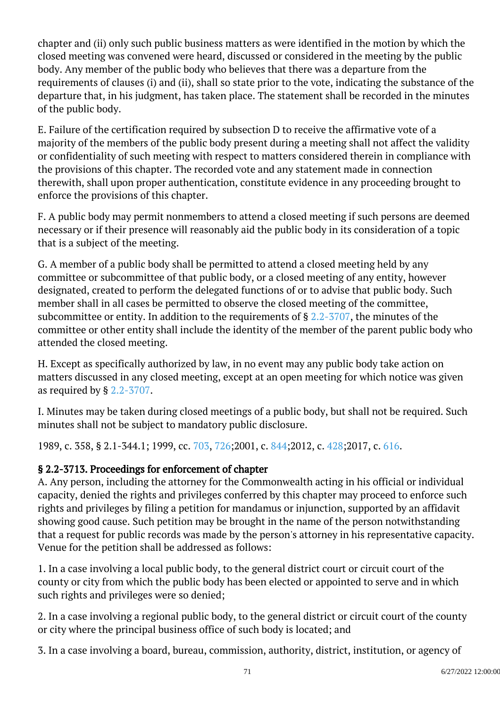chapter and (ii) only such public business matters as were identified in the motion by which the closed meeting was convened were heard, discussed or considered in the meeting by the public body. Any member of the public body who believes that there was a departure from the requirements of clauses (i) and (ii), shall so state prior to the vote, indicating the substance of the departure that, in his judgment, has taken place. The statement shall be recorded in the minutes of the public body.

E. Failure of the certification required by subsection D to receive the affirmative vote of a majority of the members of the public body present during a meeting shall not affect the validity or confidentiality of such meeting with respect to matters considered therein in compliance with the provisions of this chapter. The recorded vote and any statement made in connection therewith, shall upon proper authentication, constitute evidence in any proceeding brought to enforce the provisions of this chapter.

F. A public body may permit nonmembers to attend a closed meeting if such persons are deemed necessary or if their presence will reasonably aid the public body in its consideration of a topic that is a subject of the meeting.

G. A member of a public body shall be permitted to attend a closed meeting held by any committee or subcommittee of that public body, or a closed meeting of any entity, however designated, created to perform the delegated functions of or to advise that public body. Such member shall in all cases be permitted to observe the closed meeting of the committee, subcommittee or entity. In addition to the requirements of  $\S 2.2 - 3707$ , the minutes of the committee or other entity shall include the identity of the member of the parent public body who attended the closed meeting.

H. Except as specifically authorized by law, in no event may any public body take action on matters discussed in any closed meeting, except at an open meeting for which notice was given as required by § [2.2-3707.](http://law.lis.virginia.gov/vacode/2.2-3707/) Ĩ

I. Minutes may be taken during closed meetings of a public body, but shall not be required. Such minutes shall not be subject to mandatory public disclosure.

1989, c. 358, § 2.1-344.1; 1999, cc. [703](http://lis.virginia.gov/cgi-bin/legp604.exe?991+ful+CHAP0703), [726;2](http://lis.virginia.gov/cgi-bin/legp604.exe?991+ful+CHAP0726)001, c. [844;2](http://lis.virginia.gov/cgi-bin/legp604.exe?011+ful+CHAP0844)012, c. [428;](http://lis.virginia.gov/cgi-bin/legp604.exe?121+ful+CHAP0428)2017, c. [616](http://lis.virginia.gov/cgi-bin/legp604.exe?171+ful+CHAP0616).

# § 2.2-3713. Proceedings for enforcement of chapter

A. Any person, including the attorney for the Commonwealth acting in his official or individual capacity, denied the rights and privileges conferred by this chapter may proceed to enforce such rights and privileges by filing a petition for mandamus or injunction, supported by an affidavit showing good cause. Such petition may be brought in the name of the person notwithstanding that a request for public records was made by the person's attorney in his representative capacity. Venue for the petition shall be addressed as follows:

1. In a case involving a local public body, to the general district court or circuit court of the county or city from which the public body has been elected or appointed to serve and in which such rights and privileges were so denied; Ĩ

2. In a case involving a regional public body, to the general district or circuit court of the county or city where the principal business office of such body is located; and

3. In a case involving a board, bureau, commission, authority, district, institution, or agency of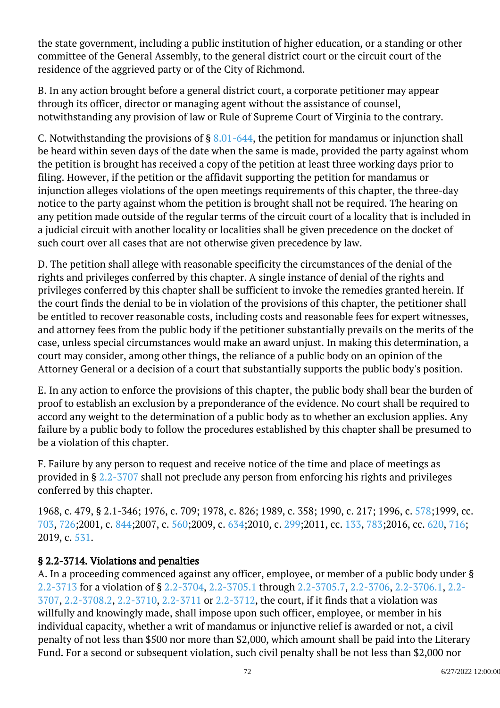the state government, including a public institution of higher education, or a standing or other committee of the General Assembly, to the general district court or the circuit court of the residence of the aggrieved party or of the City of Richmond.

B. In any action brought before a general district court, a corporate petitioner may appear through its officer, director or managing agent without the assistance of counsel, notwithstanding any provision of law or Rule of Supreme Court of Virginia to the contrary.

C. Notwithstanding the provisions of § [8.01-644,](/vacode/8.01-644/) the petition for mandamus or injunction shall be heard within seven days of the date when the same is made, provided the party against whom the petition is brought has received a copy of the petition at least three working days prior to filing. However, if the petition or the affidavit supporting the petition for mandamus or injunction alleges violations of the open meetings requirements of this chapter, the three-day notice to the party against whom the petition is brought shall not be required. The hearing on any petition made outside of the regular terms of the circuit court of a locality that is included in a judicial circuit with another locality or localities shall be given precedence on the docket of such court over all cases that are not otherwise given precedence by law. Ĩ

D. The petition shall allege with reasonable specificity the circumstances of the denial of the rights and privileges conferred by this chapter. A single instance of denial of the rights and privileges conferred by this chapter shall be sufficient to invoke the remedies granted herein. If the court finds the denial to be in violation of the provisions of this chapter, the petitioner shall be entitled to recover reasonable costs, including costs and reasonable fees for expert witnesses, and attorney fees from the public body if the petitioner substantially prevails on the merits of the case, unless special circumstances would make an award unjust. In making this determination, a court may consider, among other things, the reliance of a public body on an opinion of the Attorney General or a decision of a court that substantially supports the public body's position.

E. In any action to enforce the provisions of this chapter, the public body shall bear the burden of proof to establish an exclusion by a preponderance of the evidence. No court shall be required to accord any weight to the determination of a public body as to whether an exclusion applies. Any failure by a public body to follow the procedures established by this chapter shall be presumed to be a violation of this chapter.

F. Failure by any person to request and receive notice of the time and place of meetings as provided in § [2.2-3707](/vacode/2.2-3707/) shall not preclude any person from enforcing his rights and privileges conferred by this chapter.

1968, c. 479, § 2.1-346; 1976, c. 709; 1978, c. 826; 1989, c. 358; 1990, c. 217; 1996, c. [578;](http://lis.virginia.gov/cgi-bin/legp604.exe?961+ful+CHAP0578)1999, cc. [703](http://lis.virginia.gov/cgi-bin/legp604.exe?991+ful+CHAP0703), [726;2](http://lis.virginia.gov/cgi-bin/legp604.exe?991+ful+CHAP0726)001, c. [844;2](http://lis.virginia.gov/cgi-bin/legp604.exe?011+ful+CHAP0844)007, c. [560;2](http://lis.virginia.gov/cgi-bin/legp604.exe?071+ful+CHAP0560)009, c. [634;](http://lis.virginia.gov/cgi-bin/legp604.exe?091+ful+CHAP0634)2010, c. [299;](http://lis.virginia.gov/cgi-bin/legp604.exe?101+ful+CHAP0299)2011, cc. [133,](http://lis.virginia.gov/cgi-bin/legp604.exe?111+ful+CHAP0133) [783;](http://lis.virginia.gov/cgi-bin/legp604.exe?111+ful+CHAP0783)2016, cc. [620,](http://lis.virginia.gov/cgi-bin/legp604.exe?161+ful+CHAP0620) [716;](http://lis.virginia.gov/cgi-bin/legp604.exe?161+ful+CHAP0716) 2019, c. [531.](http://lis.virginia.gov/cgi-bin/legp604.exe?191+ful+CHAP0531)

### § 2.2-3714. Violations and penalties

A. In a proceeding commenced against any officer, employee, or member of a public body under § [2.2-3713](/vacode/2.2-3713/) for a violation of § [2.2-3704](/vacode/2.2-3704/), [2.2-3705.1](/vacode/2.2-3705.1/) through [2.2-3705.7,](/vacode/2.2-3705.7/) [2.2-3706,](/vacode/2.2-3706/) [2.2-3706.1,](/vacode/2.2-3706.1/) [2.2-](/vacode/2.2-3707/) [3707,](/vacode/2.2-3707/) [2.2-3708.2](/vacode/2.2-3708.2/), [2.2-3710,](/vacode/2.2-3710/) [2.2-3711](/vacode/2.2-3711/) or [2.2-3712,](/vacode/2.2-3712/) the court, if it finds that a violation was willfully and knowingly made, shall impose upon such officer, employee, or member in his individual capacity, whether a writ of mandamus or injunctive relief is awarded or not, a civil penalty of not less than \$500 nor more than \$2,000, which amount shall be paid into the Literary Fund. For a second or subsequent violation, such civil penalty shall be not less than \$2,000 nor